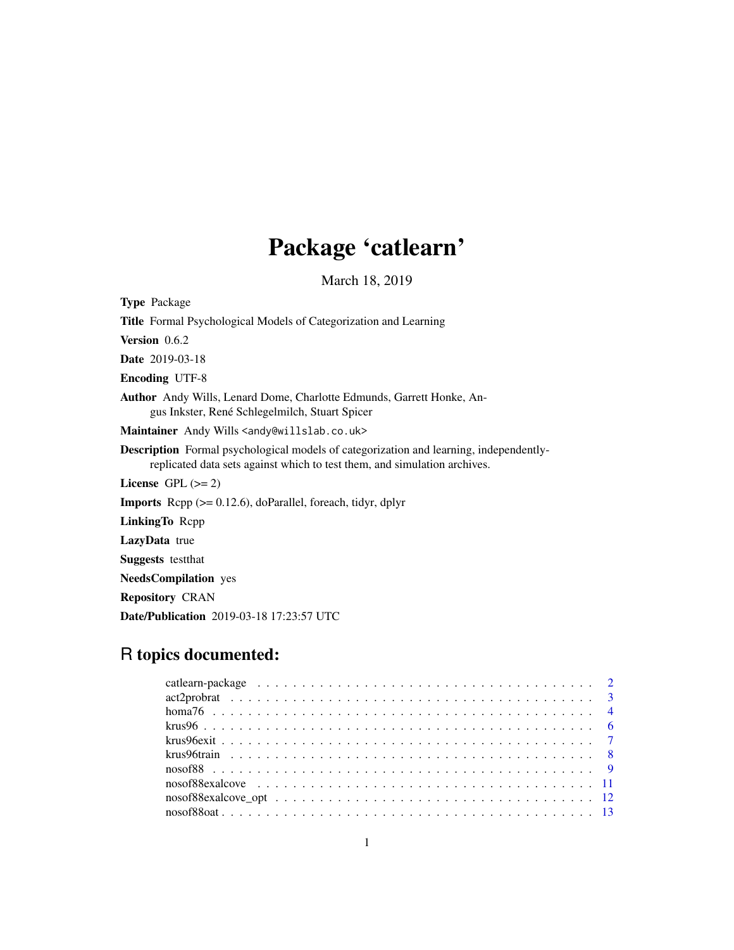# Package 'catlearn'

March 18, 2019

<span id="page-0-0"></span>

| <b>Type Package</b>                                                                                                                                                        |
|----------------------------------------------------------------------------------------------------------------------------------------------------------------------------|
| Title Formal Psychological Models of Categorization and Learning                                                                                                           |
| Version 0.6.2                                                                                                                                                              |
| <b>Date</b> 2019-03-18                                                                                                                                                     |
| <b>Encoding UTF-8</b>                                                                                                                                                      |
| <b>Author</b> Andy Wills, Lenard Dome, Charlotte Edmunds, Garrett Honke, An-<br>gus Inkster, René Schlegelmilch, Stuart Spicer                                             |
| Maintainer Andy Wills <andy@willslab.co.uk></andy@willslab.co.uk>                                                                                                          |
| <b>Description</b> Formal psychological models of categorization and learning, independently-<br>replicated data sets against which to test them, and simulation archives. |
| License $GPL (= 2)$                                                                                                                                                        |
| <b>Imports</b> Repp $(>= 0.12.6)$ , doParallel, foreach, tidyr, dplyr                                                                                                      |
| LinkingTo Repp                                                                                                                                                             |
| <b>LazyData</b> true                                                                                                                                                       |
| <b>Suggests</b> test that                                                                                                                                                  |
| <b>NeedsCompilation</b> yes                                                                                                                                                |
|                                                                                                                                                                            |

Repository CRAN

Date/Publication 2019-03-18 17:23:57 UTC

# R topics documented: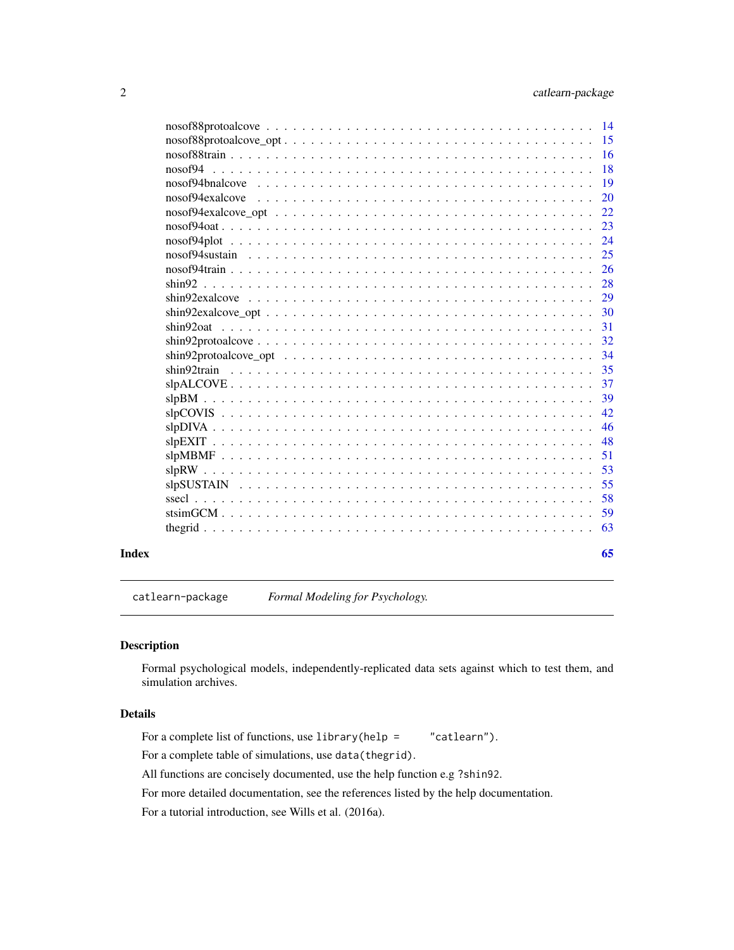<span id="page-1-0"></span>

| Index |                 | 65            |
|-------|-----------------|---------------|
|       |                 | 63            |
|       |                 |               |
|       |                 | 59            |
|       |                 | 58            |
|       |                 | 55            |
|       |                 | 53            |
|       |                 | 51            |
|       |                 | 48            |
|       |                 | 46            |
|       |                 | 42            |
|       |                 | 39            |
|       |                 | 37            |
|       |                 | 35            |
|       |                 | 34            |
|       |                 | 32            |
|       | shin920at       | 31            |
|       |                 | 30            |
|       | $\sin 92$       | 28<br>29      |
|       |                 | 26            |
|       |                 | 25            |
|       |                 | 24            |
|       |                 | 23            |
|       |                 | 22            |
|       |                 | <b>20</b>     |
|       | nosof94bnalcove | 19            |
|       |                 | 18            |
|       |                 | <sup>16</sup> |
|       |                 | 15            |
|       |                 |               |
|       |                 |               |

catlearn-package *Formal Modeling for Psychology.*

### Description

Formal psychological models, independently-replicated data sets against which to test them, and simulation archives.

## Details

For a complete list of functions, use library(help = "catlearn").

For a complete table of simulations, use data(thegrid).

All functions are concisely documented, use the help function e.g ?shin92.

For more detailed documentation, see the references listed by the help documentation.

For a tutorial introduction, see Wills et al. (2016a).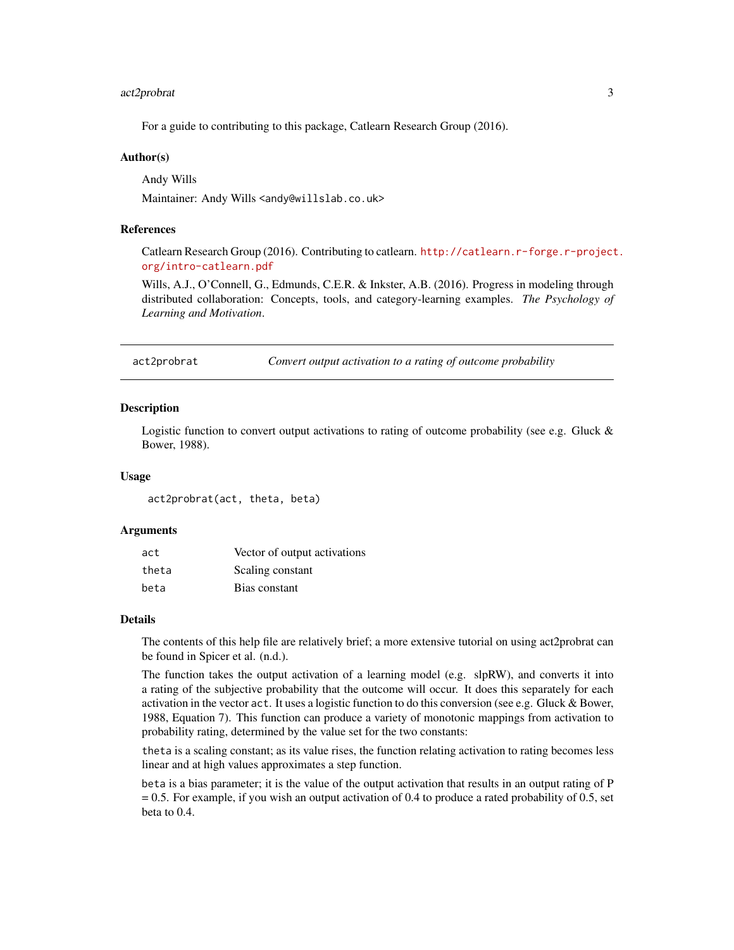### <span id="page-2-0"></span>act2probrat 3

For a guide to contributing to this package, Catlearn Research Group (2016).

### Author(s)

Andy Wills

Maintainer: Andy Wills <andy@willslab.co.uk>

### References

Catlearn Research Group (2016). Contributing to catlearn. [http://catlearn.r-forge.r-project](http://catlearn.r-forge.r-project.org/intro-catlearn.pdf). [org/intro-catlearn.pdf](http://catlearn.r-forge.r-project.org/intro-catlearn.pdf)

Wills, A.J., O'Connell, G., Edmunds, C.E.R. & Inkster, A.B. (2016). Progress in modeling through distributed collaboration: Concepts, tools, and category-learning examples. *The Psychology of Learning and Motivation*.

act2probrat *Convert output activation to a rating of outcome probability*

#### Description

Logistic function to convert output activations to rating of outcome probability (see e.g. Gluck & Bower, 1988).

### Usage

act2probrat(act, theta, beta)

#### **Arguments**

| act   | Vector of output activations |
|-------|------------------------------|
| theta | Scaling constant             |
| beta  | Bias constant                |

### Details

The contents of this help file are relatively brief; a more extensive tutorial on using act2probrat can be found in Spicer et al. (n.d.).

The function takes the output activation of a learning model (e.g. slpRW), and converts it into a rating of the subjective probability that the outcome will occur. It does this separately for each activation in the vector act. It uses a logistic function to do this conversion (see e.g. Gluck & Bower, 1988, Equation 7). This function can produce a variety of monotonic mappings from activation to probability rating, determined by the value set for the two constants:

theta is a scaling constant; as its value rises, the function relating activation to rating becomes less linear and at high values approximates a step function.

beta is a bias parameter; it is the value of the output activation that results in an output rating of P = 0.5. For example, if you wish an output activation of 0.4 to produce a rated probability of 0.5, set beta to 0.4.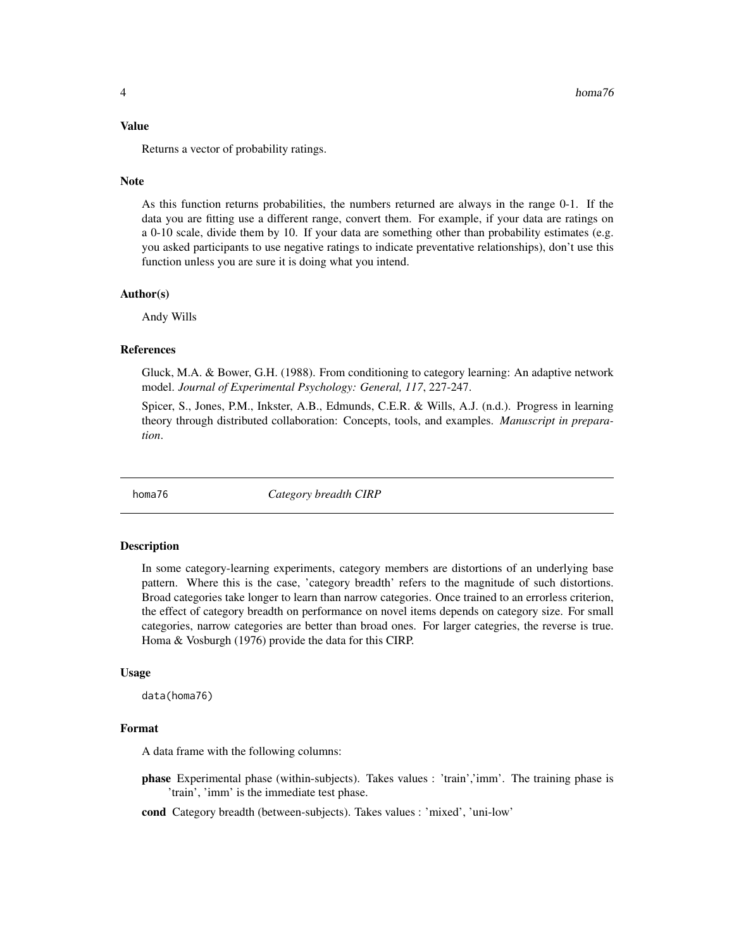#### <span id="page-3-0"></span>Value

Returns a vector of probability ratings.

#### **Note**

As this function returns probabilities, the numbers returned are always in the range 0-1. If the data you are fitting use a different range, convert them. For example, if your data are ratings on a 0-10 scale, divide them by 10. If your data are something other than probability estimates (e.g. you asked participants to use negative ratings to indicate preventative relationships), don't use this function unless you are sure it is doing what you intend.

### Author(s)

Andy Wills

#### References

Gluck, M.A. & Bower, G.H. (1988). From conditioning to category learning: An adaptive network model. *Journal of Experimental Psychology: General, 117*, 227-247.

Spicer, S., Jones, P.M., Inkster, A.B., Edmunds, C.E.R. & Wills, A.J. (n.d.). Progress in learning theory through distributed collaboration: Concepts, tools, and examples. *Manuscript in preparation*.

homa76 *Category breadth CIRP*

#### Description

In some category-learning experiments, category members are distortions of an underlying base pattern. Where this is the case, 'category breadth' refers to the magnitude of such distortions. Broad categories take longer to learn than narrow categories. Once trained to an errorless criterion, the effect of category breadth on performance on novel items depends on category size. For small categories, narrow categories are better than broad ones. For larger categries, the reverse is true. Homa & Vosburgh (1976) provide the data for this CIRP.

### Usage

data(homa76)

#### Format

A data frame with the following columns:

- phase Experimental phase (within-subjects). Takes values : 'train','imm'. The training phase is 'train', 'imm' is the immediate test phase.
- cond Category breadth (between-subjects). Takes values : 'mixed', 'uni-low'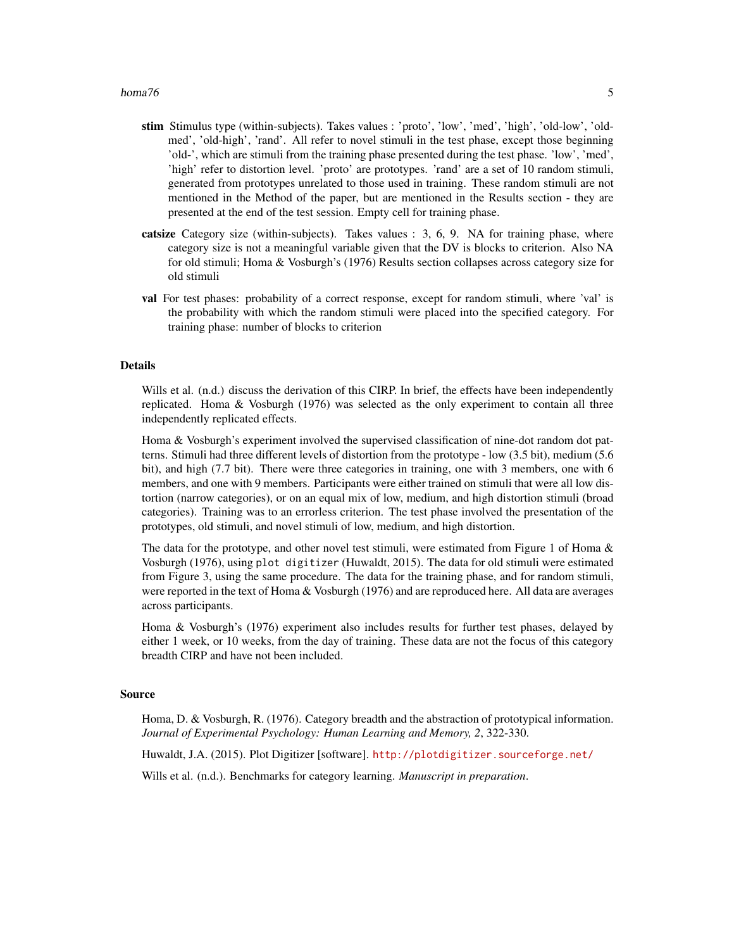#### $homa76$  5

- stim Stimulus type (within-subjects). Takes values : 'proto', 'low', 'med', 'high', 'old-low', 'oldmed', 'old-high', 'rand'. All refer to novel stimuli in the test phase, except those beginning 'old-', which are stimuli from the training phase presented during the test phase. 'low', 'med', 'high' refer to distortion level. 'proto' are prototypes. 'rand' are a set of 10 random stimuli, generated from prototypes unrelated to those used in training. These random stimuli are not mentioned in the Method of the paper, but are mentioned in the Results section - they are presented at the end of the test session. Empty cell for training phase.
- catsize Category size (within-subjects). Takes values : 3, 6, 9. NA for training phase, where category size is not a meaningful variable given that the DV is blocks to criterion. Also NA for old stimuli; Homa & Vosburgh's (1976) Results section collapses across category size for old stimuli
- val For test phases: probability of a correct response, except for random stimuli, where 'val' is the probability with which the random stimuli were placed into the specified category. For training phase: number of blocks to criterion

### Details

Wills et al. (n.d.) discuss the derivation of this CIRP. In brief, the effects have been independently replicated. Homa & Vosburgh (1976) was selected as the only experiment to contain all three independently replicated effects.

Homa & Vosburgh's experiment involved the supervised classification of nine-dot random dot patterns. Stimuli had three different levels of distortion from the prototype - low (3.5 bit), medium (5.6 bit), and high (7.7 bit). There were three categories in training, one with 3 members, one with 6 members, and one with 9 members. Participants were either trained on stimuli that were all low distortion (narrow categories), or on an equal mix of low, medium, and high distortion stimuli (broad categories). Training was to an errorless criterion. The test phase involved the presentation of the prototypes, old stimuli, and novel stimuli of low, medium, and high distortion.

The data for the prototype, and other novel test stimuli, were estimated from Figure 1 of Homa  $\&$ Vosburgh (1976), using plot digitizer (Huwaldt, 2015). The data for old stimuli were estimated from Figure 3, using the same procedure. The data for the training phase, and for random stimuli, were reported in the text of Homa & Vosburgh (1976) and are reproduced here. All data are averages across participants.

Homa & Vosburgh's (1976) experiment also includes results for further test phases, delayed by either 1 week, or 10 weeks, from the day of training. These data are not the focus of this category breadth CIRP and have not been included.

#### Source

Homa, D. & Vosburgh, R. (1976). Category breadth and the abstraction of prototypical information. *Journal of Experimental Psychology: Human Learning and Memory, 2*, 322-330.

Huwaldt, J.A. (2015). Plot Digitizer [software]. <http://plotdigitizer.sourceforge.net/>

Wills et al. (n.d.). Benchmarks for category learning. *Manuscript in preparation*.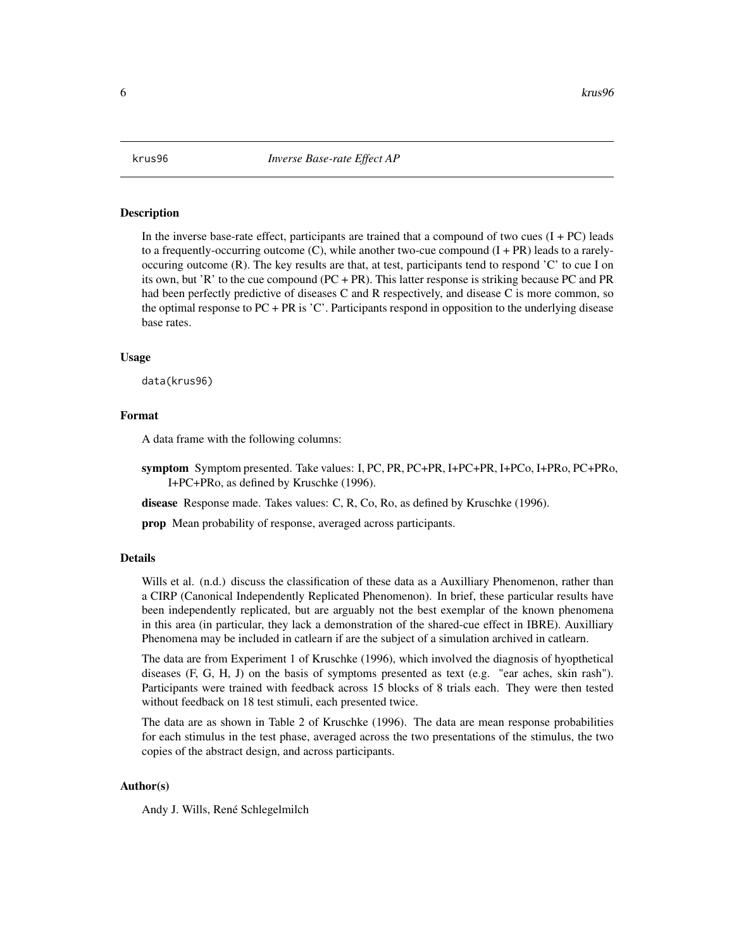<span id="page-5-1"></span><span id="page-5-0"></span>

#### **Description**

In the inverse base-rate effect, participants are trained that a compound of two cues  $(I + PC)$  leads to a frequently-occurring outcome  $(C)$ , while another two-cue compound  $(I + PR)$  leads to a rarelyoccuring outcome  $(R)$ . The key results are that, at test, participants tend to respond  $C'$  to cue I on its own, but 'R' to the cue compound (PC + PR). This latter response is striking because PC and PR had been perfectly predictive of diseases C and R respectively, and disease C is more common, so the optimal response to PC + PR is 'C'. Participants respond in opposition to the underlying disease base rates.

#### Usage

data(krus96)

### Format

A data frame with the following columns:

symptom Symptom presented. Take values: I, PC, PR, PC+PR, I+PC+PR, I+PCo, I+PRo, PC+PRo, I+PC+PRo, as defined by Kruschke (1996).

disease Response made. Takes values: C, R, Co, Ro, as defined by Kruschke (1996).

prop Mean probability of response, averaged across participants.

### Details

Wills et al. (n.d.) discuss the classification of these data as a Auxilliary Phenomenon, rather than a CIRP (Canonical Independently Replicated Phenomenon). In brief, these particular results have been independently replicated, but are arguably not the best exemplar of the known phenomena in this area (in particular, they lack a demonstration of the shared-cue effect in IBRE). Auxilliary Phenomena may be included in catlearn if are the subject of a simulation archived in catlearn.

The data are from Experiment 1 of Kruschke (1996), which involved the diagnosis of hyopthetical diseases (F, G, H, J) on the basis of symptoms presented as text (e.g. "ear aches, skin rash"). Participants were trained with feedback across 15 blocks of 8 trials each. They were then tested without feedback on 18 test stimuli, each presented twice.

The data are as shown in Table 2 of Kruschke (1996). The data are mean response probabilities for each stimulus in the test phase, averaged across the two presentations of the stimulus, the two copies of the abstract design, and across participants.

### Author(s)

Andy J. Wills, René Schlegelmilch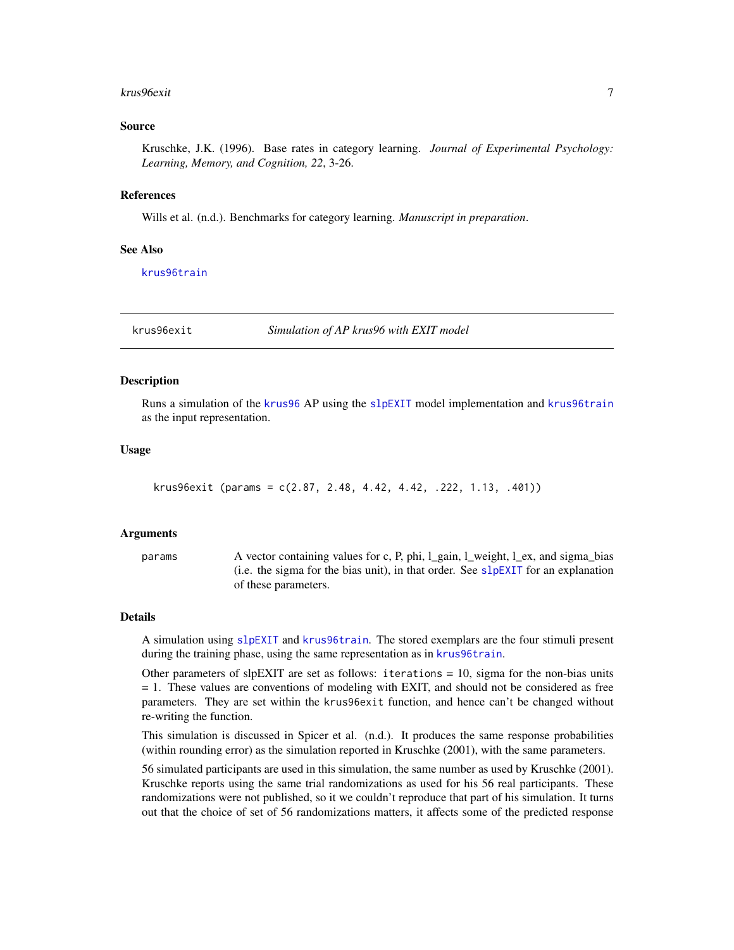#### <span id="page-6-0"></span>krus96exit 7

### Source

Kruschke, J.K. (1996). Base rates in category learning. *Journal of Experimental Psychology: Learning, Memory, and Cognition, 22*, 3-26.

#### References

Wills et al. (n.d.). Benchmarks for category learning. *Manuscript in preparation*.

#### See Also

[krus96train](#page-7-1)

krus96exit *Simulation of AP krus96 with EXIT model*

#### Description

Runs a simulation of the [krus96](#page-5-1) AP using the [slpEXIT](#page-47-1) model implementation and [krus96train](#page-7-1) as the input representation.

### Usage

```
krus96exit (params = c(2.87, 2.48, 4.42, 4.42, .222, 1.13, .401))
```
#### Arguments

params A vector containing values for c, P, phi, l\_gain, l\_weight, l\_ex, and sigma\_bias (i.e. the sigma for the bias unit), in that order. See  $slpEXIT$  for an explanation of these parameters.

#### Details

A simulation using [slpEXIT](#page-47-1) and [krus96train](#page-7-1). The stored exemplars are the four stimuli present during the training phase, using the same representation as in [krus96train](#page-7-1).

Other parameters of slpEXIT are set as follows: iterations  $= 10$ , sigma for the non-bias units = 1. These values are conventions of modeling with EXIT, and should not be considered as free parameters. They are set within the krus96exit function, and hence can't be changed without re-writing the function.

This simulation is discussed in Spicer et al. (n.d.). It produces the same response probabilities (within rounding error) as the simulation reported in Kruschke (2001), with the same parameters.

56 simulated participants are used in this simulation, the same number as used by Kruschke (2001). Kruschke reports using the same trial randomizations as used for his 56 real participants. These randomizations were not published, so it we couldn't reproduce that part of his simulation. It turns out that the choice of set of 56 randomizations matters, it affects some of the predicted response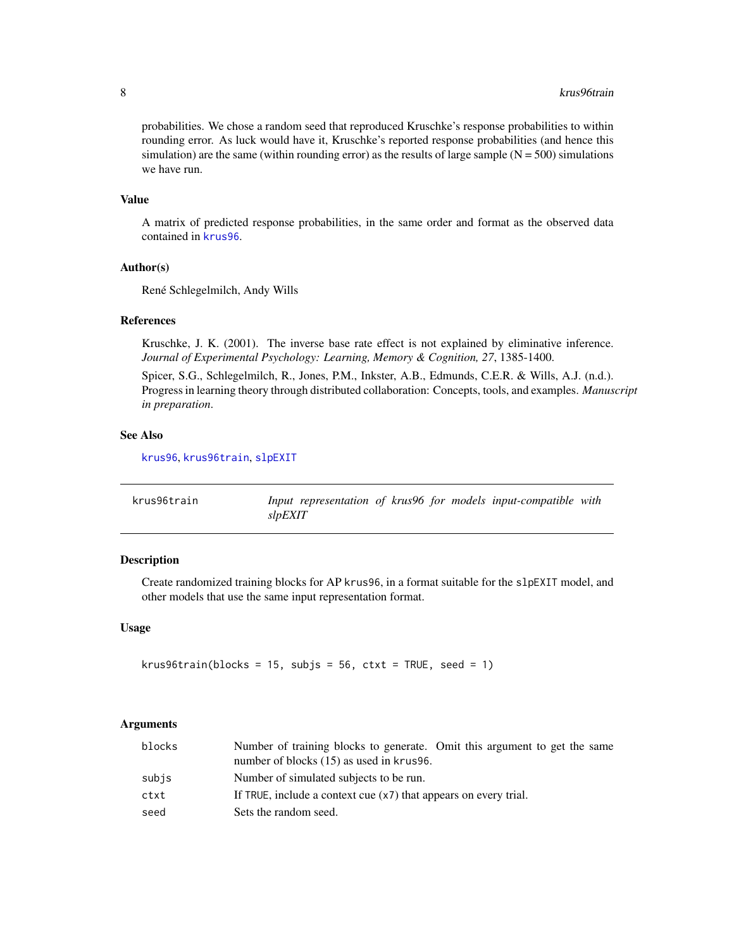#### 8 krus96train kontrollering kontrollering kontrollering kontrollering kontrollering kontrollering kontrollering k

probabilities. We chose a random seed that reproduced Kruschke's response probabilities to within rounding error. As luck would have it, Kruschke's reported response probabilities (and hence this simulation) are the same (within rounding error) as the results of large sample  $(N = 500)$  simulations we have run.

### Value

A matrix of predicted response probabilities, in the same order and format as the observed data contained in [krus96](#page-5-1).

### Author(s)

René Schlegelmilch, Andy Wills

### References

Kruschke, J. K. (2001). The inverse base rate effect is not explained by eliminative inference. *Journal of Experimental Psychology: Learning, Memory & Cognition, 27*, 1385-1400.

Spicer, S.G., Schlegelmilch, R., Jones, P.M., Inkster, A.B., Edmunds, C.E.R. & Wills, A.J. (n.d.). Progress in learning theory through distributed collaboration: Concepts, tools, and examples. *Manuscript in preparation*.

### See Also

[krus96](#page-5-1), [krus96train](#page-7-1), [slpEXIT](#page-47-1)

<span id="page-7-1"></span>

| krus96train | Input representation of krus96 for models input-compatible with |  |
|-------------|-----------------------------------------------------------------|--|
|             | slpEXIT                                                         |  |

### Description

Create randomized training blocks for AP krus96, in a format suitable for the slpEXIT model, and other models that use the same input representation format.

### Usage

```
krus96train(blocks = 15, subjs = 56, ctxt = TRUE, seed = 1)
```
#### Arguments

| blocks | Number of training blocks to generate. Omit this argument to get the same<br>number of blocks (15) as used in krus96. |
|--------|-----------------------------------------------------------------------------------------------------------------------|
| subjs  | Number of simulated subjects to be run.                                                                               |
| ctxt   | If TRUE, include a context cue (x7) that appears on every trial.                                                      |
| seed   | Sets the random seed.                                                                                                 |

<span id="page-7-0"></span>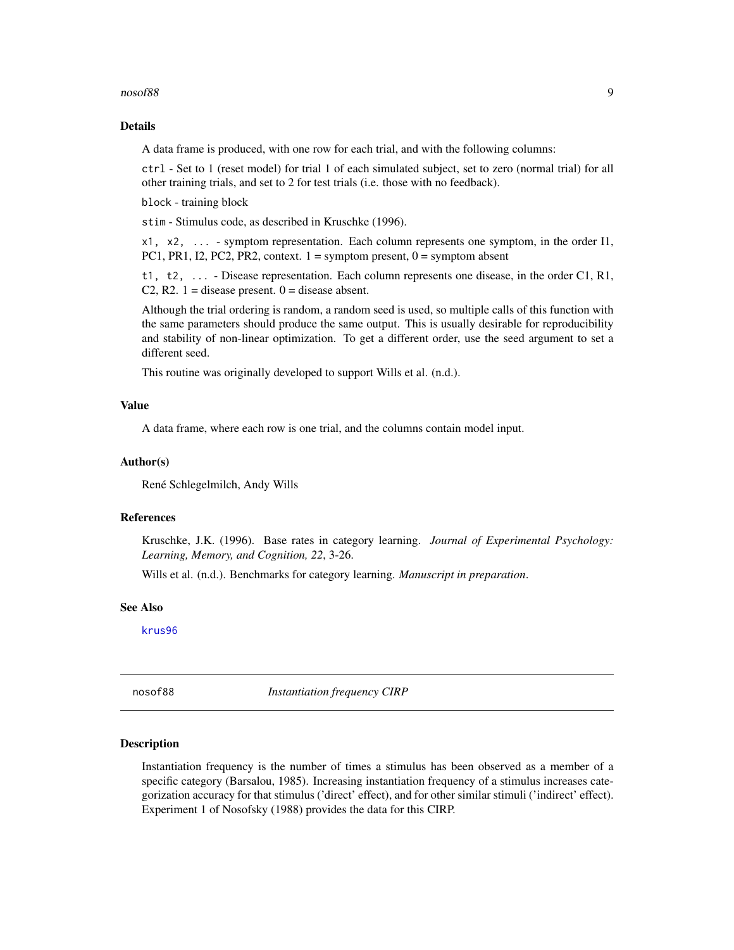#### <span id="page-8-0"></span> $\sim$  nosof88 99

### Details

A data frame is produced, with one row for each trial, and with the following columns:

ctrl - Set to 1 (reset model) for trial 1 of each simulated subject, set to zero (normal trial) for all other training trials, and set to 2 for test trials (i.e. those with no feedback).

block - training block

stim - Stimulus code, as described in Kruschke (1996).

x1, x2, ... - symptom representation. Each column represents one symptom, in the order I1, PC1, PR1, I2, PC2, PR2, context.  $1 =$  symptom present,  $0 =$  symptom absent

t1, t2, ... - Disease representation. Each column represents one disease, in the order C1, R1, C2, R2.  $1 =$  disease present.  $0 =$  disease absent.

Although the trial ordering is random, a random seed is used, so multiple calls of this function with the same parameters should produce the same output. This is usually desirable for reproducibility and stability of non-linear optimization. To get a different order, use the seed argument to set a different seed.

This routine was originally developed to support Wills et al. (n.d.).

#### Value

A data frame, where each row is one trial, and the columns contain model input.

#### Author(s)

René Schlegelmilch, Andy Wills

#### References

Kruschke, J.K. (1996). Base rates in category learning. *Journal of Experimental Psychology: Learning, Memory, and Cognition, 22*, 3-26.

Wills et al. (n.d.). Benchmarks for category learning. *Manuscript in preparation*.

#### See Also

[krus96](#page-5-1)

<span id="page-8-1"></span>nosof88 *Instantiation frequency CIRP*

#### Description

Instantiation frequency is the number of times a stimulus has been observed as a member of a specific category (Barsalou, 1985). Increasing instantiation frequency of a stimulus increases categorization accuracy for that stimulus ('direct' effect), and for other similar stimuli ('indirect' effect). Experiment 1 of Nosofsky (1988) provides the data for this CIRP.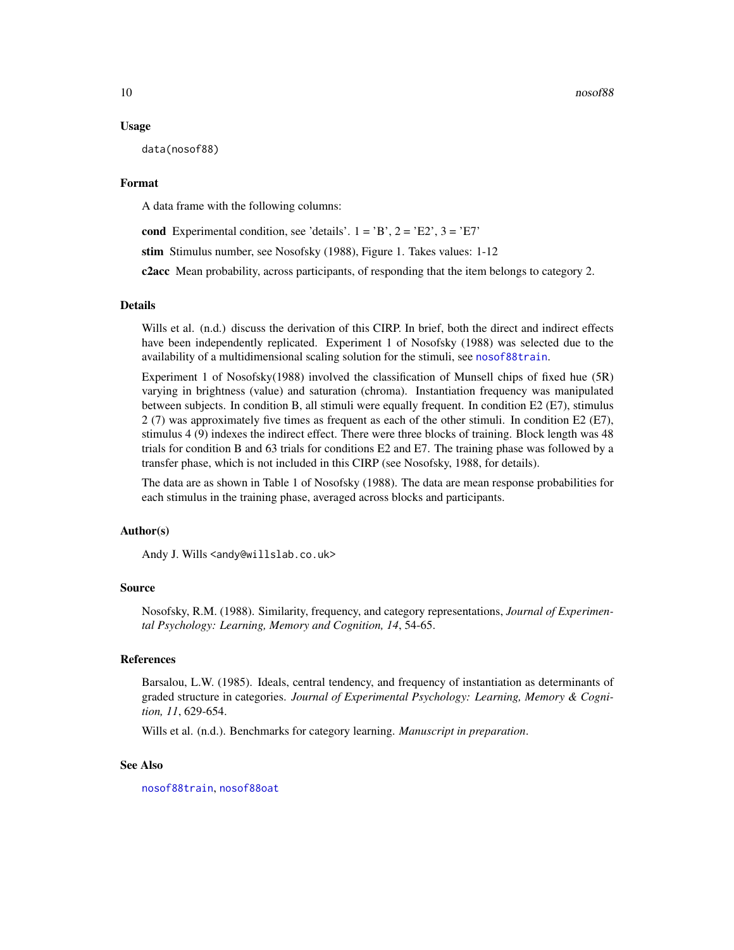#### Usage

data(nosof88)

#### Format

A data frame with the following columns:

cond Experimental condition, see 'details'.  $1 = 'B', 2 = 'E2', 3 = 'E7'$ 

stim Stimulus number, see Nosofsky (1988), Figure 1. Takes values: 1-12

c2acc Mean probability, across participants, of responding that the item belongs to category 2.

#### Details

Wills et al. (n.d.) discuss the derivation of this CIRP. In brief, both the direct and indirect effects have been independently replicated. Experiment 1 of Nosofsky (1988) was selected due to the availability of a multidimensional scaling solution for the stimuli, see [nosof88train](#page-15-1).

Experiment 1 of Nosofsky(1988) involved the classification of Munsell chips of fixed hue (5R) varying in brightness (value) and saturation (chroma). Instantiation frequency was manipulated between subjects. In condition B, all stimuli were equally frequent. In condition E2 (E7), stimulus 2 (7) was approximately five times as frequent as each of the other stimuli. In condition E2 (E7), stimulus 4 (9) indexes the indirect effect. There were three blocks of training. Block length was 48 trials for condition B and 63 trials for conditions E2 and E7. The training phase was followed by a transfer phase, which is not included in this CIRP (see Nosofsky, 1988, for details).

The data are as shown in Table 1 of Nosofsky (1988). The data are mean response probabilities for each stimulus in the training phase, averaged across blocks and participants.

#### Author(s)

Andy J. Wills <andy@willslab.co.uk>

### Source

Nosofsky, R.M. (1988). Similarity, frequency, and category representations, *Journal of Experimental Psychology: Learning, Memory and Cognition, 14*, 54-65.

### References

Barsalou, L.W. (1985). Ideals, central tendency, and frequency of instantiation as determinants of graded structure in categories. *Journal of Experimental Psychology: Learning, Memory & Cognition, 11*, 629-654.

Wills et al. (n.d.). Benchmarks for category learning. *Manuscript in preparation*.

### See Also

[nosof88train](#page-15-1), [nosof88oat](#page-12-1)

<span id="page-9-0"></span>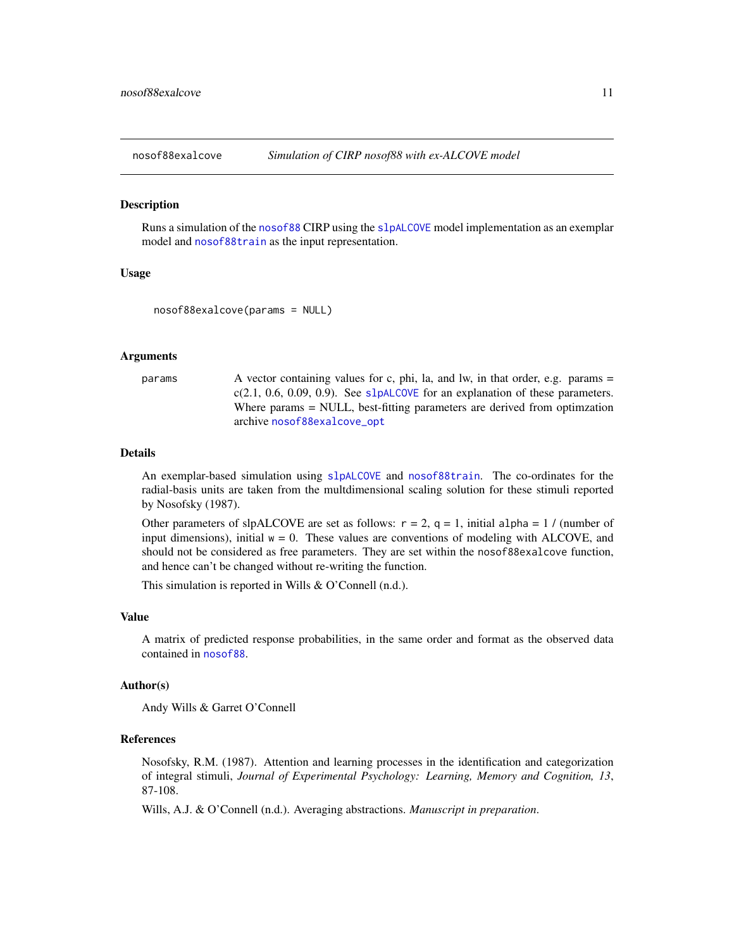<span id="page-10-1"></span><span id="page-10-0"></span>

#### Description

Runs a simulation of the [nosof88](#page-8-1) CIRP using the [slpALCOVE](#page-36-1) model implementation as an exemplar model and [nosof88train](#page-15-1) as the input representation.

### Usage

```
nosof88exalcove(params = NULL)
```
### Arguments

params A vector containing values for c, phi, la, and lw, in that order, e.g. params =  $c(2.1, 0.6, 0.09, 0.9)$ . See [slpALCOVE](#page-36-1) for an explanation of these parameters. Where params = NULL, best-fitting parameters are derived from optimzation archive [nosof88exalcove\\_opt](#page-11-1)

#### Details

An exemplar-based simulation using [slpALCOVE](#page-36-1) and [nosof88train](#page-15-1). The co-ordinates for the radial-basis units are taken from the multdimensional scaling solution for these stimuli reported by Nosofsky (1987).

Other parameters of slpALCOVE are set as follows:  $r = 2$ ,  $q = 1$ , initial alpha = 1 / (number of input dimensions), initial  $w = 0$ . These values are conventions of modeling with ALCOVE, and should not be considered as free parameters. They are set within the nosof88exalcove function, and hence can't be changed without re-writing the function.

This simulation is reported in Wills & O'Connell (n.d.).

#### Value

A matrix of predicted response probabilities, in the same order and format as the observed data contained in [nosof88](#page-8-1).

### Author(s)

Andy Wills & Garret O'Connell

### References

Nosofsky, R.M. (1987). Attention and learning processes in the identification and categorization of integral stimuli, *Journal of Experimental Psychology: Learning, Memory and Cognition, 13*, 87-108.

Wills, A.J. & O'Connell (n.d.). Averaging abstractions. *Manuscript in preparation*.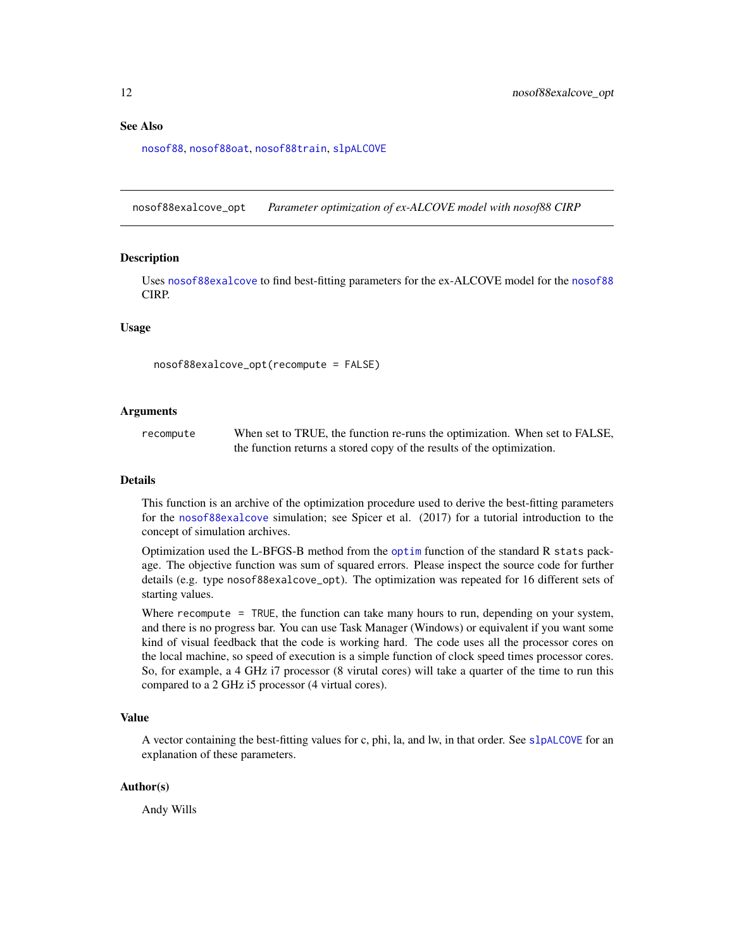### <span id="page-11-0"></span>See Also

[nosof88](#page-8-1), [nosof88oat](#page-12-1), [nosof88train](#page-15-1), [slpALCOVE](#page-36-1)

<span id="page-11-1"></span>nosof88exalcove\_opt *Parameter optimization of ex-ALCOVE model with nosof88 CIRP*

#### **Description**

Uses [nosof88exalcove](#page-10-1) to find best-fitting parameters for the ex-ALCOVE model for the [nosof88](#page-8-1) CIRP.

#### Usage

nosof88exalcove\_opt(recompute = FALSE)

#### Arguments

recompute When set to TRUE, the function re-runs the optimization. When set to FALSE, the function returns a stored copy of the results of the optimization.

#### Details

This function is an archive of the optimization procedure used to derive the best-fitting parameters for the [nosof88exalcove](#page-10-1) simulation; see Spicer et al. (2017) for a tutorial introduction to the concept of simulation archives.

Optimization used the L-BFGS-B method from the [optim](#page-0-0) function of the standard R stats package. The objective function was sum of squared errors. Please inspect the source code for further details (e.g. type nosof88exalcove\_opt). The optimization was repeated for 16 different sets of starting values.

Where recompute = TRUE, the function can take many hours to run, depending on your system, and there is no progress bar. You can use Task Manager (Windows) or equivalent if you want some kind of visual feedback that the code is working hard. The code uses all the processor cores on the local machine, so speed of execution is a simple function of clock speed times processor cores. So, for example, a 4 GHz i7 processor (8 virutal cores) will take a quarter of the time to run this compared to a 2 GHz i5 processor (4 virtual cores).

### Value

A vector containing the best-fitting values for c, phi, la, and lw, in that order. See [slpALCOVE](#page-36-1) for an explanation of these parameters.

#### Author(s)

Andy Wills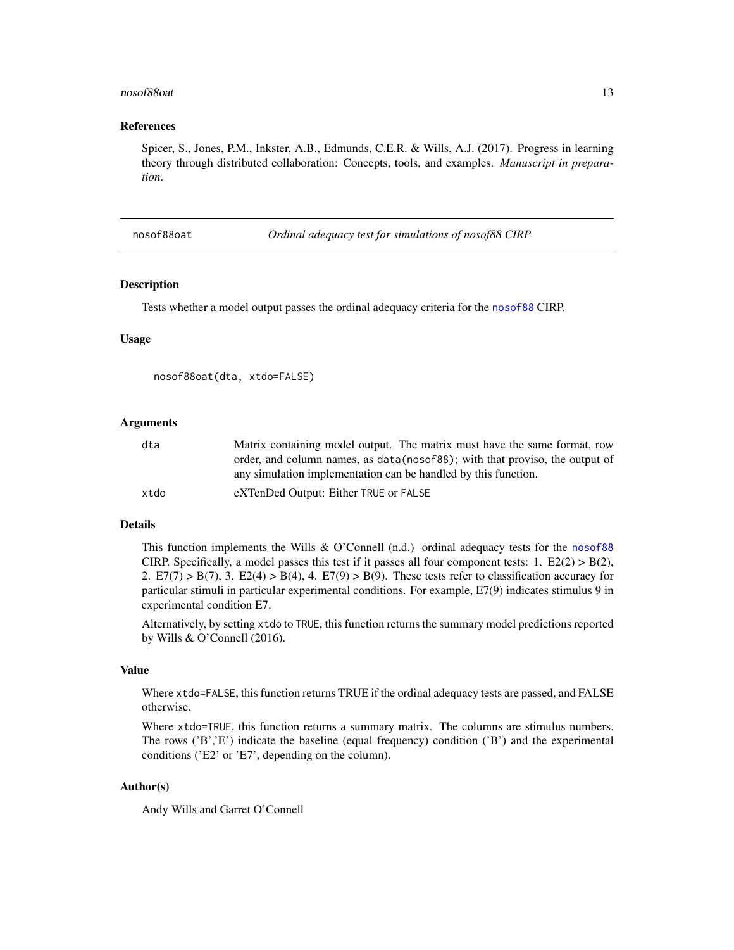#### <span id="page-12-0"></span>nosof88oat 13

### References

Spicer, S., Jones, P.M., Inkster, A.B., Edmunds, C.E.R. & Wills, A.J. (2017). Progress in learning theory through distributed collaboration: Concepts, tools, and examples. *Manuscript in preparation*.

<span id="page-12-1"></span>nosof88oat *Ordinal adequacy test for simulations of nosof88 CIRP*

#### **Description**

Tests whether a model output passes the ordinal adequacy criteria for the [nosof88](#page-8-1) CIRP.

#### Usage

```
nosof88oat(dta, xtdo=FALSE)
```
#### Arguments

| dta  | Matrix containing model output. The matrix must have the same format, row    |
|------|------------------------------------------------------------------------------|
|      | order, and column names, as data (nosof88); with that proviso, the output of |
|      | any simulation implementation can be handled by this function.               |
| xtdo | eXTenDed Output: Either TRUE or FALSE                                        |

#### Details

This function implements the Wills & O'Connell (n.d.) ordinal adequacy tests for the [nosof88](#page-8-1) CIRP. Specifically, a model passes this test if it passes all four component tests:  $1. E2(2) > B(2),$ 2.  $E7(7) > B(7)$ , 3.  $E2(4) > B(4)$ , 4.  $E7(9) > B(9)$ . These tests refer to classification accuracy for particular stimuli in particular experimental conditions. For example, E7(9) indicates stimulus 9 in experimental condition E7.

Alternatively, by setting xtdo to TRUE, this function returns the summary model predictions reported by Wills & O'Connell (2016).

### Value

Where xtdo=FALSE, this function returns TRUE if the ordinal adequacy tests are passed, and FALSE otherwise.

Where xtdo=TRUE, this function returns a summary matrix. The columns are stimulus numbers. The rows ('B','E') indicate the baseline (equal frequency) condition ('B') and the experimental conditions ('E2' or 'E7', depending on the column).

### Author(s)

Andy Wills and Garret O'Connell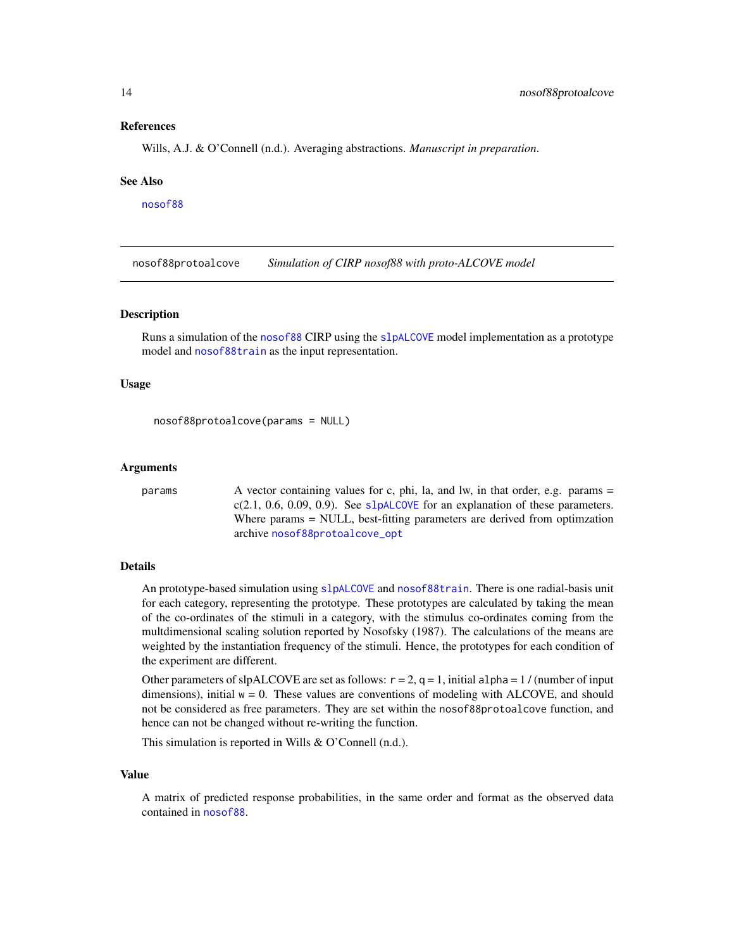#### <span id="page-13-0"></span>References

Wills, A.J. & O'Connell (n.d.). Averaging abstractions. *Manuscript in preparation*.

#### See Also

[nosof88](#page-8-1)

<span id="page-13-1"></span>nosof88protoalcove *Simulation of CIRP nosof88 with proto-ALCOVE model*

### Description

Runs a simulation of the [nosof88](#page-8-1) CIRP using the [slpALCOVE](#page-36-1) model implementation as a prototype model and [nosof88train](#page-15-1) as the input representation.

#### Usage

```
nosof88protoalcove(params = NULL)
```
#### Arguments

params A vector containing values for c, phi, la, and lw, in that order, e.g. params = c(2.1, 0.6, 0.09, 0.9). See [slpALCOVE](#page-36-1) for an explanation of these parameters. Where params = NULL, best-fitting parameters are derived from optimzation archive [nosof88protoalcove\\_opt](#page-14-1)

### Details

An prototype-based simulation using [slpALCOVE](#page-36-1) and [nosof88train](#page-15-1). There is one radial-basis unit for each category, representing the prototype. These prototypes are calculated by taking the mean of the co-ordinates of the stimuli in a category, with the stimulus co-ordinates coming from the multdimensional scaling solution reported by Nosofsky (1987). The calculations of the means are weighted by the instantiation frequency of the stimuli. Hence, the prototypes for each condition of the experiment are different.

Other parameters of slpALCOVE are set as follows:  $r = 2$ ,  $q = 1$ , initial alpha = 1/(number of input dimensions), initial  $w = 0$ . These values are conventions of modeling with ALCOVE, and should not be considered as free parameters. They are set within the nosof88protoalcove function, and hence can not be changed without re-writing the function.

This simulation is reported in Wills & O'Connell (n.d.).

#### Value

A matrix of predicted response probabilities, in the same order and format as the observed data contained in [nosof88](#page-8-1).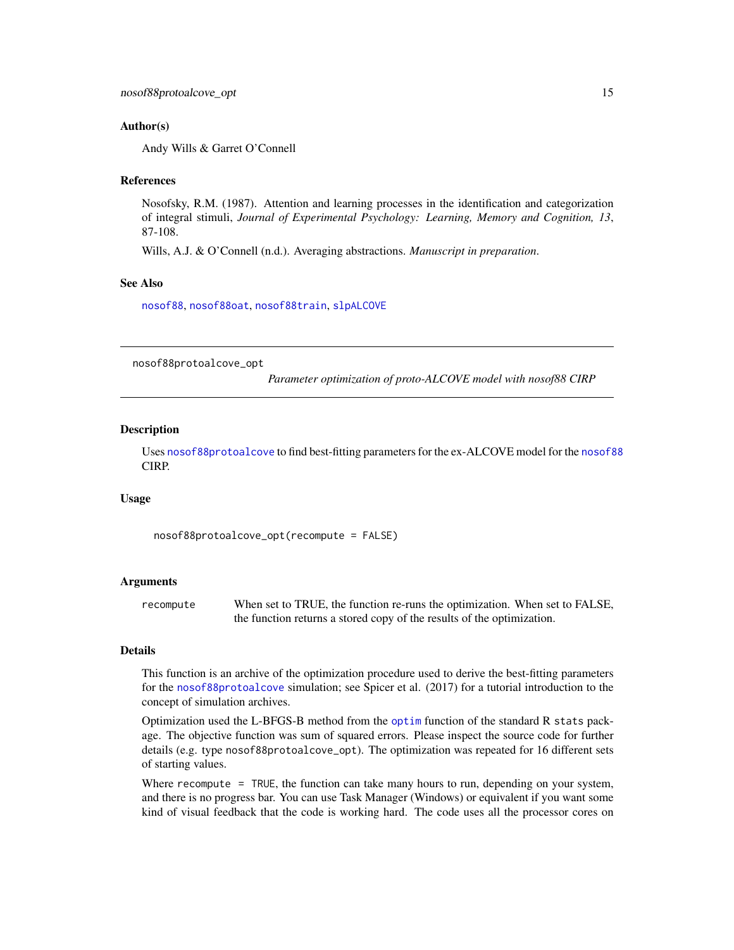### <span id="page-14-0"></span>Author(s)

Andy Wills & Garret O'Connell

#### References

Nosofsky, R.M. (1987). Attention and learning processes in the identification and categorization of integral stimuli, *Journal of Experimental Psychology: Learning, Memory and Cognition, 13*, 87-108.

Wills, A.J. & O'Connell (n.d.). Averaging abstractions. *Manuscript in preparation*.

### See Also

[nosof88](#page-8-1), [nosof88oat](#page-12-1), [nosof88train](#page-15-1), [slpALCOVE](#page-36-1)

<span id="page-14-1"></span>nosof88protoalcove\_opt

*Parameter optimization of proto-ALCOVE model with nosof88 CIRP*

#### Description

Uses [nosof88protoalcove](#page-13-1) to find best-fitting parameters for the ex-ALCOVE model for the [nosof88](#page-8-1) CIRP.

#### Usage

nosof88protoalcove\_opt(recompute = FALSE)

#### Arguments

recompute When set to TRUE, the function re-runs the optimization. When set to FALSE, the function returns a stored copy of the results of the optimization.

#### Details

This function is an archive of the optimization procedure used to derive the best-fitting parameters for the [nosof88protoalcove](#page-13-1) simulation; see Spicer et al. (2017) for a tutorial introduction to the concept of simulation archives.

Optimization used the L-BFGS-B method from the [optim](#page-0-0) function of the standard R stats package. The objective function was sum of squared errors. Please inspect the source code for further details (e.g. type nosof88protoalcove\_opt). The optimization was repeated for 16 different sets of starting values.

Where recompute = TRUE, the function can take many hours to run, depending on your system, and there is no progress bar. You can use Task Manager (Windows) or equivalent if you want some kind of visual feedback that the code is working hard. The code uses all the processor cores on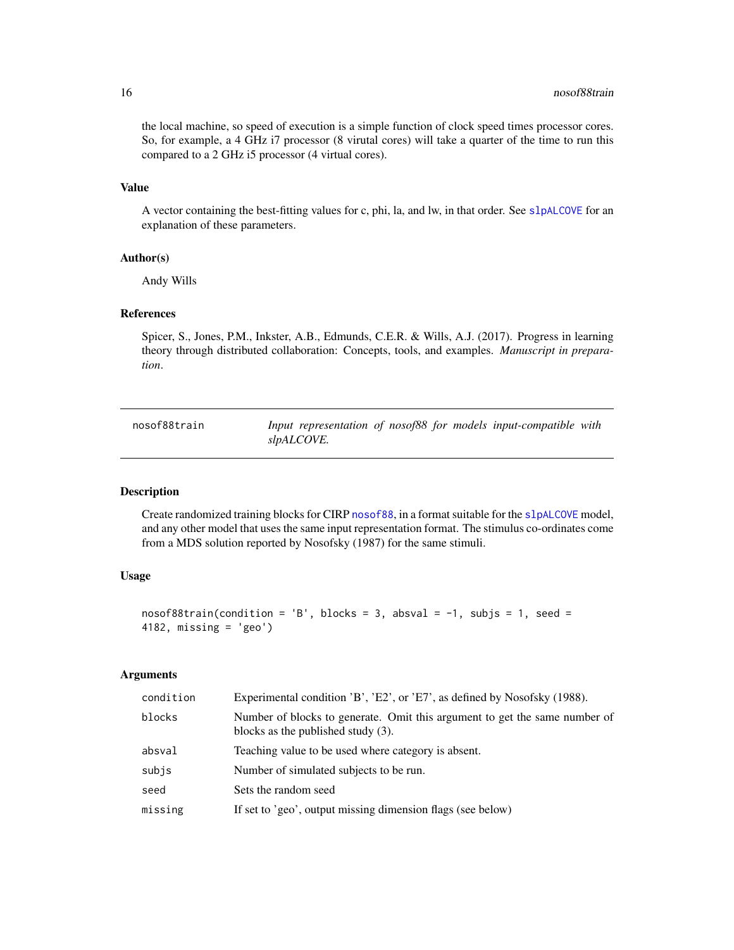the local machine, so speed of execution is a simple function of clock speed times processor cores. So, for example, a 4 GHz i7 processor (8 virutal cores) will take a quarter of the time to run this compared to a 2 GHz i5 processor (4 virtual cores).

### Value

A vector containing the best-fitting values for c, phi, la, and lw, in that order. See [slpALCOVE](#page-36-1) for an explanation of these parameters.

#### Author(s)

Andy Wills

### References

Spicer, S., Jones, P.M., Inkster, A.B., Edmunds, C.E.R. & Wills, A.J. (2017). Progress in learning theory through distributed collaboration: Concepts, tools, and examples. *Manuscript in preparation*.

<span id="page-15-1"></span>nosof88train *Input representation of nosof88 for models input-compatible with slpALCOVE.*

### Description

Create randomized training blocks for CIRP [nosof88](#page-8-1), in a format suitable for the [slpALCOVE](#page-36-1) model, and any other model that uses the same input representation format. The stimulus co-ordinates come from a MDS solution reported by Nosofsky (1987) for the same stimuli.

### Usage

```
nosof88train(condition = 'B', blocks = 3, absval = -1, subjs = 1, seed =
4182, missing = 'geo')
```
### Arguments

| condition | Experimental condition 'B', 'E2', or 'E7', as defined by Nosofsky (1988).                                           |
|-----------|---------------------------------------------------------------------------------------------------------------------|
| blocks    | Number of blocks to generate. Omit this argument to get the same number of<br>blocks as the published study $(3)$ . |
| absval    | Teaching value to be used where category is absent.                                                                 |
| subjs     | Number of simulated subjects to be run.                                                                             |
| seed      | Sets the random seed                                                                                                |
| missing   | If set to 'geo', output missing dimension flags (see below)                                                         |
|           |                                                                                                                     |

<span id="page-15-0"></span>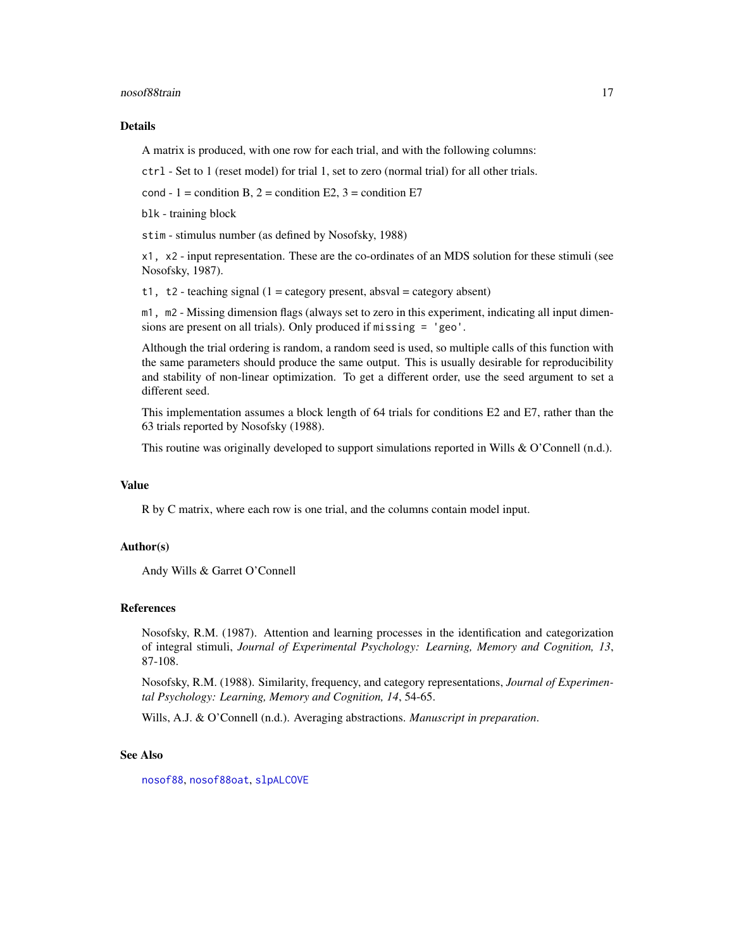<span id="page-16-0"></span>nosof88train 17

#### Details

A matrix is produced, with one row for each trial, and with the following columns:

ctrl - Set to 1 (reset model) for trial 1, set to zero (normal trial) for all other trials.

cond - 1 = condition B,  $2$  = condition E2, 3 = condition E7

blk - training block

stim - stimulus number (as defined by Nosofsky, 1988)

x1, x2 - input representation. These are the co-ordinates of an MDS solution for these stimuli (see Nosofsky, 1987).

t1, t2 - teaching signal  $(1 = \text{category present}, \text{absval} = \text{category absent})$ 

m1, m2 - Missing dimension flags (always set to zero in this experiment, indicating all input dimensions are present on all trials). Only produced if missing = 'geo'.

Although the trial ordering is random, a random seed is used, so multiple calls of this function with the same parameters should produce the same output. This is usually desirable for reproducibility and stability of non-linear optimization. To get a different order, use the seed argument to set a different seed.

This implementation assumes a block length of 64 trials for conditions E2 and E7, rather than the 63 trials reported by Nosofsky (1988).

This routine was originally developed to support simulations reported in Wills & O'Connell (n.d.).

#### Value

R by C matrix, where each row is one trial, and the columns contain model input.

### Author(s)

Andy Wills & Garret O'Connell

#### References

Nosofsky, R.M. (1987). Attention and learning processes in the identification and categorization of integral stimuli, *Journal of Experimental Psychology: Learning, Memory and Cognition, 13*, 87-108.

Nosofsky, R.M. (1988). Similarity, frequency, and category representations, *Journal of Experimental Psychology: Learning, Memory and Cognition, 14*, 54-65.

Wills, A.J. & O'Connell (n.d.). Averaging abstractions. *Manuscript in preparation*.

#### See Also

[nosof88](#page-8-1), [nosof88oat](#page-12-1), [slpALCOVE](#page-36-1)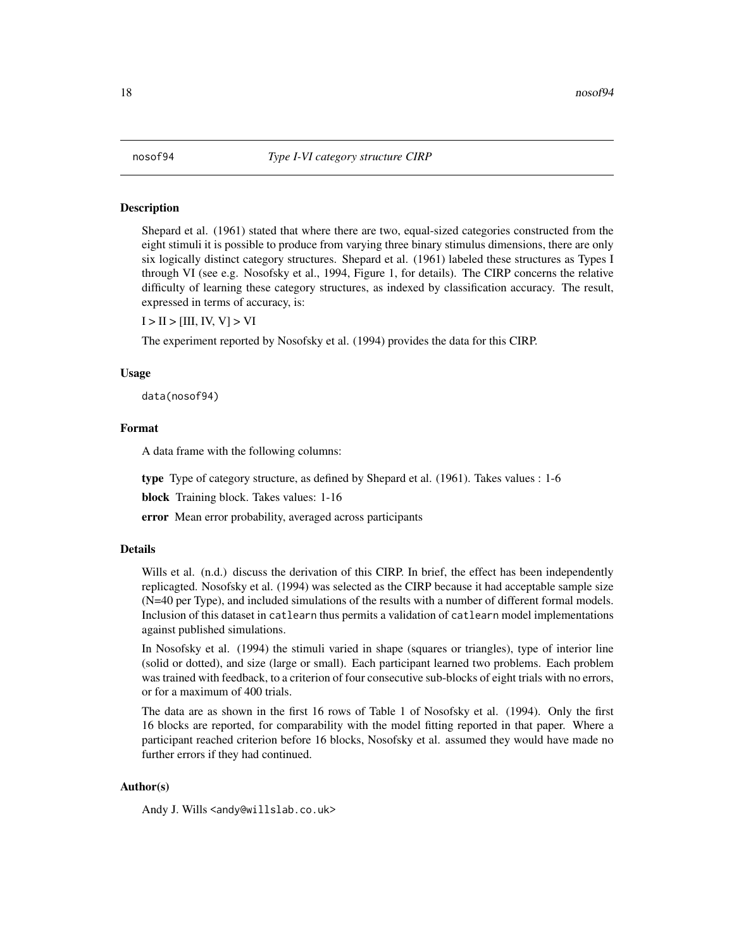### <span id="page-17-1"></span><span id="page-17-0"></span>Description

Shepard et al. (1961) stated that where there are two, equal-sized categories constructed from the eight stimuli it is possible to produce from varying three binary stimulus dimensions, there are only six logically distinct category structures. Shepard et al. (1961) labeled these structures as Types I through VI (see e.g. Nosofsky et al., 1994, Figure 1, for details). The CIRP concerns the relative difficulty of learning these category structures, as indexed by classification accuracy. The result, expressed in terms of accuracy, is:

 $I > II > [III, IV, V] > VI$ 

The experiment reported by Nosofsky et al. (1994) provides the data for this CIRP.

#### Usage

data(nosof94)

### Format

A data frame with the following columns:

type Type of category structure, as defined by Shepard et al. (1961). Takes values : 1-6

block Training block. Takes values: 1-16

error Mean error probability, averaged across participants

#### Details

Wills et al. (n.d.) discuss the derivation of this CIRP. In brief, the effect has been independently replicagted. Nosofsky et al. (1994) was selected as the CIRP because it had acceptable sample size (N=40 per Type), and included simulations of the results with a number of different formal models. Inclusion of this dataset in catlearn thus permits a validation of catlearn model implementations against published simulations.

In Nosofsky et al. (1994) the stimuli varied in shape (squares or triangles), type of interior line (solid or dotted), and size (large or small). Each participant learned two problems. Each problem was trained with feedback, to a criterion of four consecutive sub-blocks of eight trials with no errors, or for a maximum of 400 trials.

The data are as shown in the first 16 rows of Table 1 of Nosofsky et al. (1994). Only the first 16 blocks are reported, for comparability with the model fitting reported in that paper. Where a participant reached criterion before 16 blocks, Nosofsky et al. assumed they would have made no further errors if they had continued.

#### Author(s)

Andy J. Wills <andy@willslab.co.uk>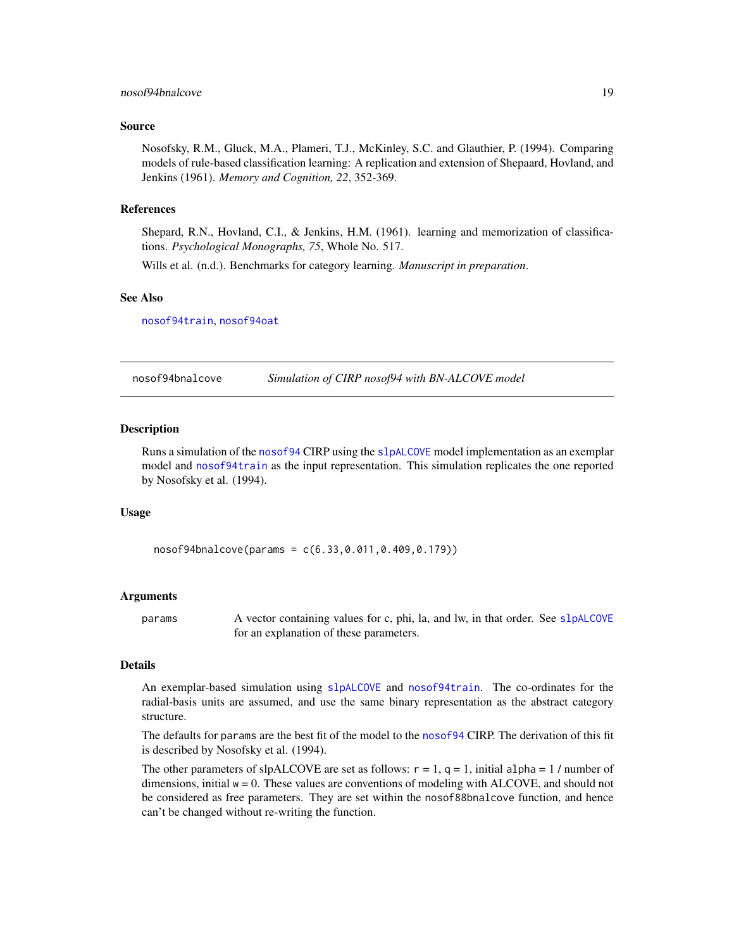### <span id="page-18-0"></span>nosof94bnalcove 19

#### Source

Nosofsky, R.M., Gluck, M.A., Plameri, T.J., McKinley, S.C. and Glauthier, P. (1994). Comparing models of rule-based classification learning: A replication and extension of Shepaard, Hovland, and Jenkins (1961). *Memory and Cognition, 22*, 352-369.

### References

Shepard, R.N., Hovland, C.I., & Jenkins, H.M. (1961). learning and memorization of classifications. *Psychological Monographs, 75*, Whole No. 517.

Wills et al. (n.d.). Benchmarks for category learning. *Manuscript in preparation*.

#### See Also

[nosof94train](#page-25-1), [nosof94oat](#page-22-1)

<span id="page-18-1"></span>nosof94bnalcove *Simulation of CIRP nosof94 with BN-ALCOVE model*

#### **Description**

Runs a simulation of the [nosof94](#page-17-1) CIRP using the [slpALCOVE](#page-36-1) model implementation as an exemplar model and [nosof94train](#page-25-1) as the input representation. This simulation replicates the one reported by Nosofsky et al. (1994).

#### Usage

nosof94bnalcove(params = c(6.33,0.011,0.409,0.179))

#### Arguments

params A vector containing values for c, phi, la, and lw, in that order. See s1 pALCOVE for an explanation of these parameters.

### Details

An exemplar-based simulation using [slpALCOVE](#page-36-1) and [nosof94train](#page-25-1). The co-ordinates for the radial-basis units are assumed, and use the same binary representation as the abstract category structure.

The defaults for params are the best fit of the model to the [nosof94](#page-17-1) CIRP. The derivation of this fit is described by Nosofsky et al. (1994).

The other parameters of slpALCOVE are set as follows:  $r = 1$ ,  $q = 1$ , initial alpha = 1/ number of dimensions, initial  $w = 0$ . These values are conventions of modeling with ALCOVE, and should not be considered as free parameters. They are set within the nosof88bnalcove function, and hence can't be changed without re-writing the function.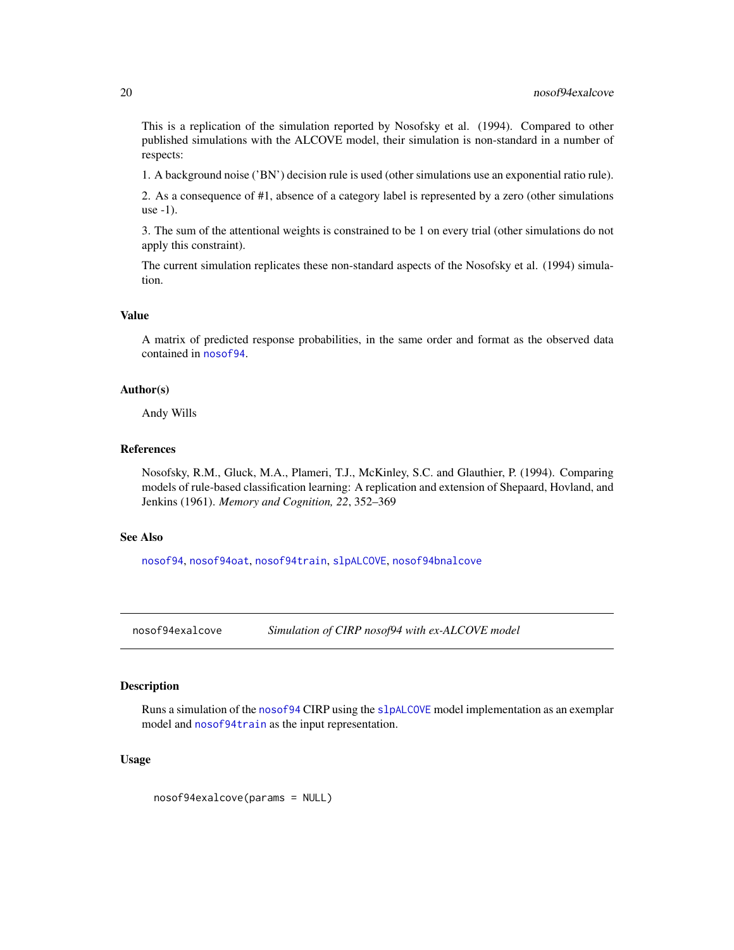<span id="page-19-0"></span>This is a replication of the simulation reported by Nosofsky et al. (1994). Compared to other published simulations with the ALCOVE model, their simulation is non-standard in a number of respects:

1. A background noise ('BN') decision rule is used (other simulations use an exponential ratio rule).

2. As a consequence of #1, absence of a category label is represented by a zero (other simulations use -1).

3. The sum of the attentional weights is constrained to be 1 on every trial (other simulations do not apply this constraint).

The current simulation replicates these non-standard aspects of the Nosofsky et al. (1994) simulation.

### Value

A matrix of predicted response probabilities, in the same order and format as the observed data contained in [nosof94](#page-17-1).

### Author(s)

Andy Wills

#### References

Nosofsky, R.M., Gluck, M.A., Plameri, T.J., McKinley, S.C. and Glauthier, P. (1994). Comparing models of rule-based classification learning: A replication and extension of Shepaard, Hovland, and Jenkins (1961). *Memory and Cognition, 22*, 352–369

### See Also

[nosof94](#page-17-1), [nosof94oat](#page-22-1), [nosof94train](#page-25-1), [slpALCOVE](#page-36-1), [nosof94bnalcove](#page-18-1)

<span id="page-19-1"></span>

nosof94exalcove *Simulation of CIRP nosof94 with ex-ALCOVE model*

### Description

Runs a simulation of the [nosof94](#page-17-1) CIRP using the [slpALCOVE](#page-36-1) model implementation as an exemplar model and [nosof94train](#page-25-1) as the input representation.

### Usage

nosof94exalcove(params = NULL)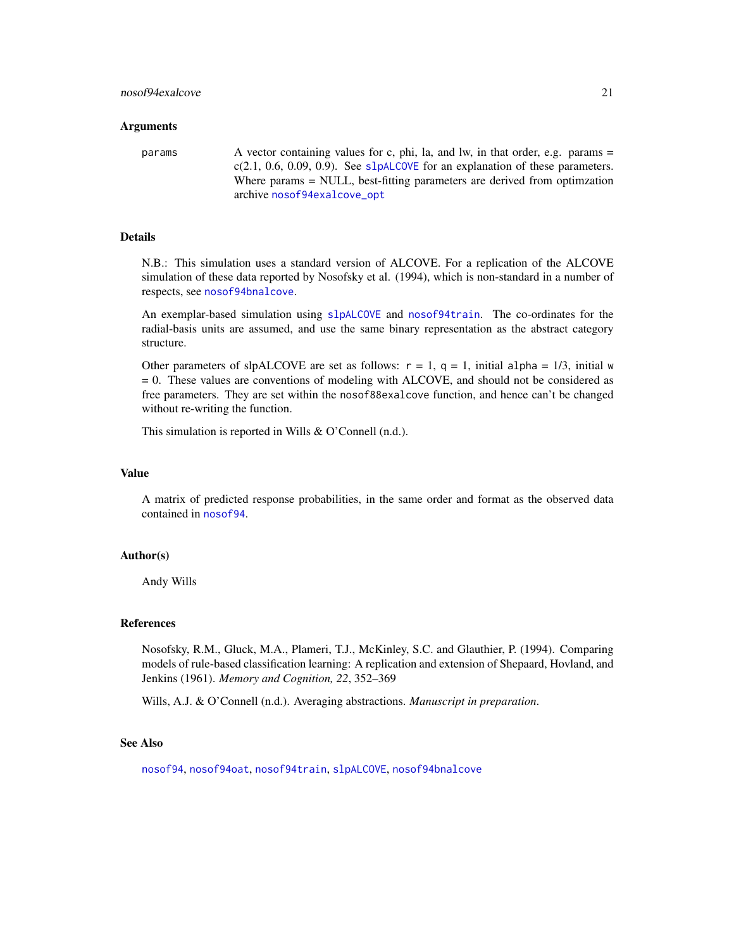#### <span id="page-20-0"></span>Arguments

params A vector containing values for c, phi, la, and lw, in that order, e.g. params =  $c(2.1, 0.6, 0.09, 0.9)$ . See [slpALCOVE](#page-36-1) for an explanation of these parameters. Where params = NULL, best-fitting parameters are derived from optimization archive [nosof94exalcove\\_opt](#page-21-1)

### Details

N.B.: This simulation uses a standard version of ALCOVE. For a replication of the ALCOVE simulation of these data reported by Nosofsky et al. (1994), which is non-standard in a number of respects, see [nosof94bnalcove](#page-18-1).

An exemplar-based simulation using [slpALCOVE](#page-36-1) and [nosof94train](#page-25-1). The co-ordinates for the radial-basis units are assumed, and use the same binary representation as the abstract category structure.

Other parameters of slpALCOVE are set as follows:  $r = 1$ ,  $q = 1$ , initial alpha = 1/3, initial w = 0. These values are conventions of modeling with ALCOVE, and should not be considered as free parameters. They are set within the nosof88exalcove function, and hence can't be changed without re-writing the function.

This simulation is reported in Wills & O'Connell (n.d.).

#### Value

A matrix of predicted response probabilities, in the same order and format as the observed data contained in [nosof94](#page-17-1).

#### Author(s)

Andy Wills

#### References

Nosofsky, R.M., Gluck, M.A., Plameri, T.J., McKinley, S.C. and Glauthier, P. (1994). Comparing models of rule-based classification learning: A replication and extension of Shepaard, Hovland, and Jenkins (1961). *Memory and Cognition, 22*, 352–369

Wills, A.J. & O'Connell (n.d.). Averaging abstractions. *Manuscript in preparation*.

### See Also

[nosof94](#page-17-1), [nosof94oat](#page-22-1), [nosof94train](#page-25-1), [slpALCOVE](#page-36-1), [nosof94bnalcove](#page-18-1)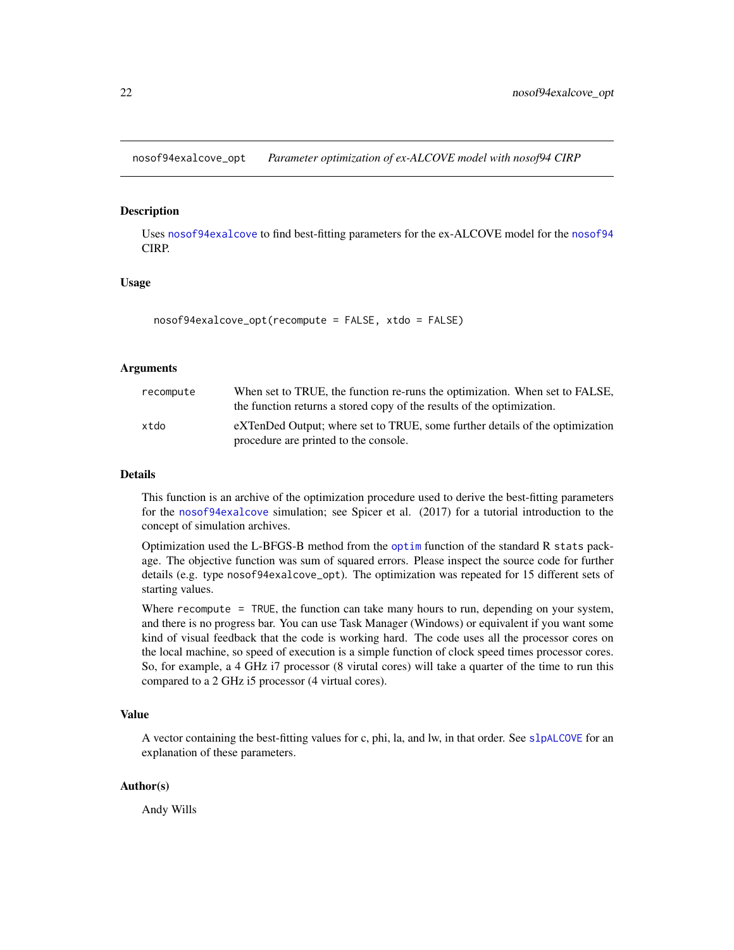<span id="page-21-1"></span><span id="page-21-0"></span>nosof94exalcove\_opt *Parameter optimization of ex-ALCOVE model with nosof94 CIRP*

### Description

Uses [nosof94exalcove](#page-19-1) to find best-fitting parameters for the ex-ALCOVE model for the [nosof94](#page-17-1) CIRP.

### Usage

```
nosof94exalcove_opt(recompute = FALSE, xtdo = FALSE)
```
### Arguments

| recompute | When set to TRUE, the function re-runs the optimization. When set to FALSE,<br>the function returns a stored copy of the results of the optimization. |
|-----------|-------------------------------------------------------------------------------------------------------------------------------------------------------|
| xtdo      | eXTenDed Output; where set to TRUE, some further details of the optimization<br>procedure are printed to the console.                                 |

#### Details

This function is an archive of the optimization procedure used to derive the best-fitting parameters for the [nosof94exalcove](#page-19-1) simulation; see Spicer et al. (2017) for a tutorial introduction to the concept of simulation archives.

Optimization used the L-BFGS-B method from the [optim](#page-0-0) function of the standard R stats package. The objective function was sum of squared errors. Please inspect the source code for further details (e.g. type nosof94exalcove\_opt). The optimization was repeated for 15 different sets of starting values.

Where recompute = TRUE, the function can take many hours to run, depending on your system, and there is no progress bar. You can use Task Manager (Windows) or equivalent if you want some kind of visual feedback that the code is working hard. The code uses all the processor cores on the local machine, so speed of execution is a simple function of clock speed times processor cores. So, for example, a 4 GHz i7 processor (8 virutal cores) will take a quarter of the time to run this compared to a 2 GHz i5 processor (4 virtual cores).

#### Value

A vector containing the best-fitting values for c, phi, la, and lw, in that order. See [slpALCOVE](#page-36-1) for an explanation of these parameters.

### Author(s)

Andy Wills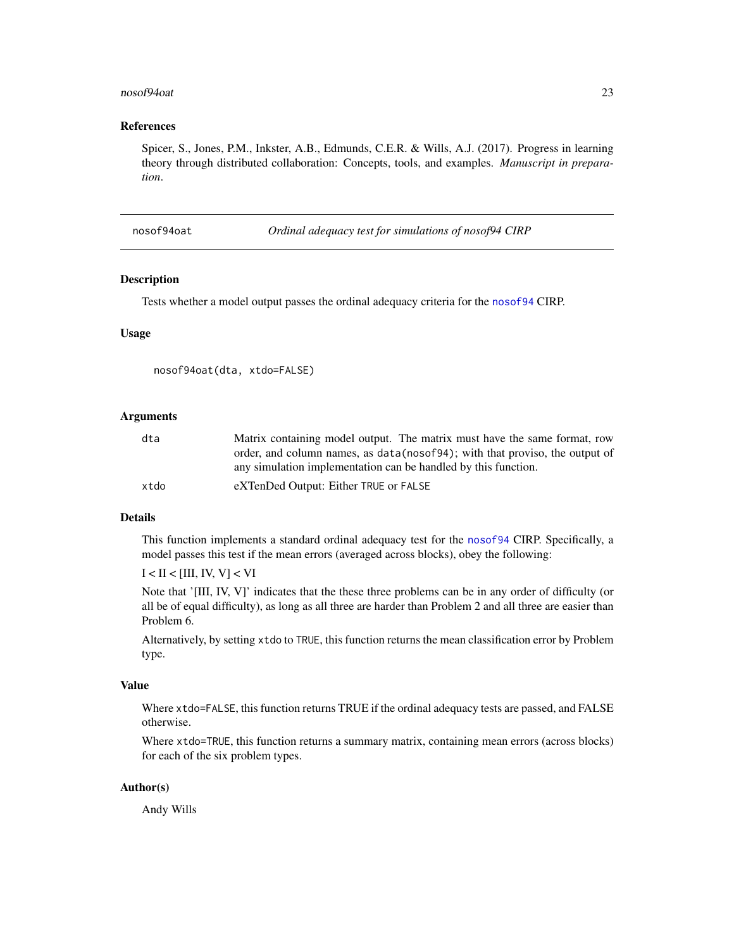#### <span id="page-22-0"></span>nosof94oat 23

### References

Spicer, S., Jones, P.M., Inkster, A.B., Edmunds, C.E.R. & Wills, A.J. (2017). Progress in learning theory through distributed collaboration: Concepts, tools, and examples. *Manuscript in preparation*.

<span id="page-22-1"></span>nosof94oat *Ordinal adequacy test for simulations of nosof94 CIRP*

#### Description

Tests whether a model output passes the ordinal adequacy criteria for the [nosof94](#page-17-1) CIRP.

### Usage

```
nosof94oat(dta, xtdo=FALSE)
```
### Arguments

| dta  | Matrix containing model output. The matrix must have the same format, row    |
|------|------------------------------------------------------------------------------|
|      | order, and column names, as data (nosof94); with that proviso, the output of |
|      | any simulation implementation can be handled by this function.               |
| xtdo | eXTenDed Output: Either TRUE or FALSE                                        |

### Details

This function implements a standard ordinal adequacy test for the [nosof94](#page-17-1) CIRP. Specifically, a model passes this test if the mean errors (averaged across blocks), obey the following:

 $I < II < [III, IV, V] < VI$ 

Note that '[III, IV, V]' indicates that the these three problems can be in any order of difficulty (or all be of equal difficulty), as long as all three are harder than Problem 2 and all three are easier than Problem 6.

Alternatively, by setting xtdo to TRUE, this function returns the mean classification error by Problem type.

### Value

Where xtdo=FALSE, this function returns TRUE if the ordinal adequacy tests are passed, and FALSE otherwise.

Where xtdo=TRUE, this function returns a summary matrix, containing mean errors (across blocks) for each of the six problem types.

#### Author(s)

Andy Wills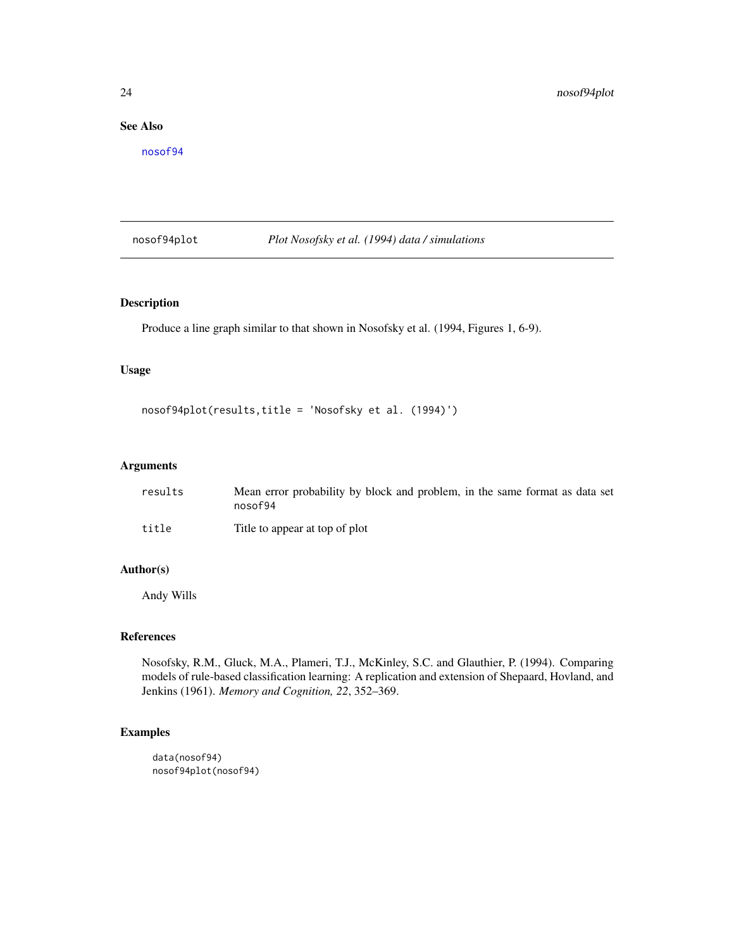### <span id="page-23-0"></span>See Also

[nosof94](#page-17-1)

nosof94plot *Plot Nosofsky et al. (1994) data / simulations*

### Description

Produce a line graph similar to that shown in Nosofsky et al. (1994, Figures 1, 6-9).

### Usage

```
nosof94plot(results,title = 'Nosofsky et al. (1994)')
```
#### Arguments

| results | Mean error probability by block and problem, in the same format as data set<br>nosof94 |
|---------|----------------------------------------------------------------------------------------|
| title   | Title to appear at top of plot                                                         |

### Author(s)

Andy Wills

### References

Nosofsky, R.M., Gluck, M.A., Plameri, T.J., McKinley, S.C. and Glauthier, P. (1994). Comparing models of rule-based classification learning: A replication and extension of Shepaard, Hovland, and Jenkins (1961). *Memory and Cognition, 22*, 352–369.

## Examples

```
data(nosof94)
nosof94plot(nosof94)
```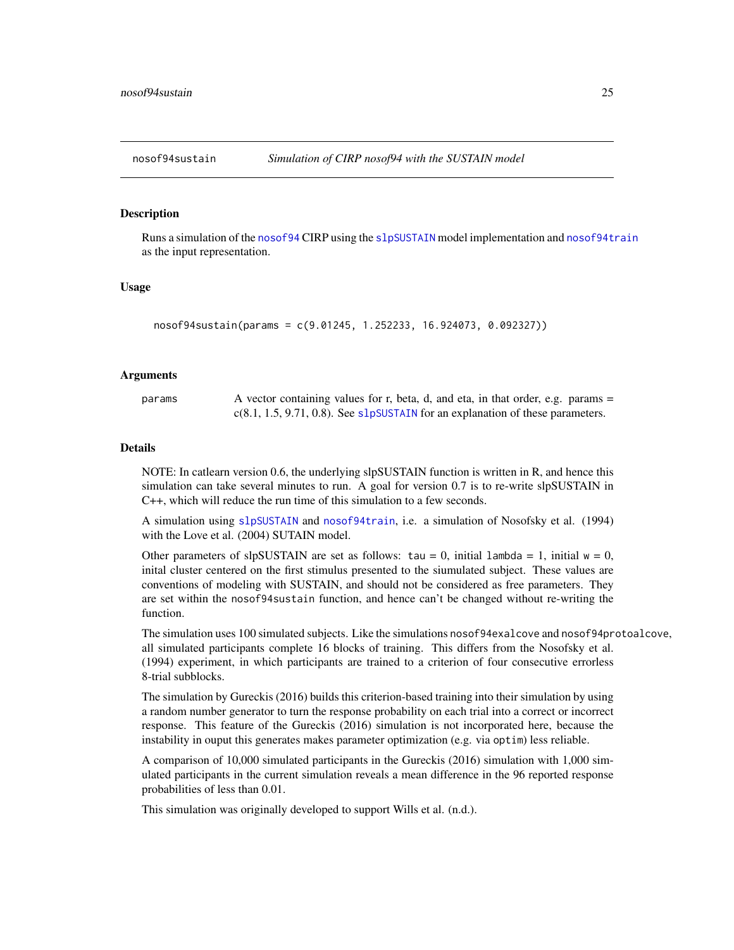<span id="page-24-0"></span>

#### **Description**

Runs a simulation of the [nosof94](#page-17-1) CIRP using the [slpSUSTAIN](#page-54-1) model implementation and [nosof94train](#page-25-1) as the input representation.

#### Usage

```
nosof94sustain(params = c(9.01245, 1.252233, 16.924073, 0.092327))
```
### Arguments

params  $\alpha$  A vector containing values for r, beta, d, and eta, in that order, e.g. params = c(8.1, 1.5, 9.71, 0.8). See [slpSUSTAIN](#page-54-1) for an explanation of these parameters.

#### Details

NOTE: In catlearn version 0.6, the underlying slpSUSTAIN function is written in R, and hence this simulation can take several minutes to run. A goal for version 0.7 is to re-write slpSUSTAIN in C++, which will reduce the run time of this simulation to a few seconds.

A simulation using [slpSUSTAIN](#page-54-1) and [nosof94train](#page-25-1), i.e. a simulation of Nosofsky et al. (1994) with the Love et al. (2004) SUTAIN model.

Other parameters of slpSUSTAIN are set as follows: tau = 0, initial lambda = 1, initial  $w = 0$ , inital cluster centered on the first stimulus presented to the siumulated subject. These values are conventions of modeling with SUSTAIN, and should not be considered as free parameters. They are set within the nosof94sustain function, and hence can't be changed without re-writing the function.

The simulation uses 100 simulated subjects. Like the simulations nosof94exalcove and nosof94protoalcove, all simulated participants complete 16 blocks of training. This differs from the Nosofsky et al. (1994) experiment, in which participants are trained to a criterion of four consecutive errorless 8-trial subblocks.

The simulation by Gureckis (2016) builds this criterion-based training into their simulation by using a random number generator to turn the response probability on each trial into a correct or incorrect response. This feature of the Gureckis (2016) simulation is not incorporated here, because the instability in ouput this generates makes parameter optimization (e.g. via optim) less reliable.

A comparison of 10,000 simulated participants in the Gureckis (2016) simulation with 1,000 simulated participants in the current simulation reveals a mean difference in the 96 reported response probabilities of less than 0.01.

This simulation was originally developed to support Wills et al. (n.d.).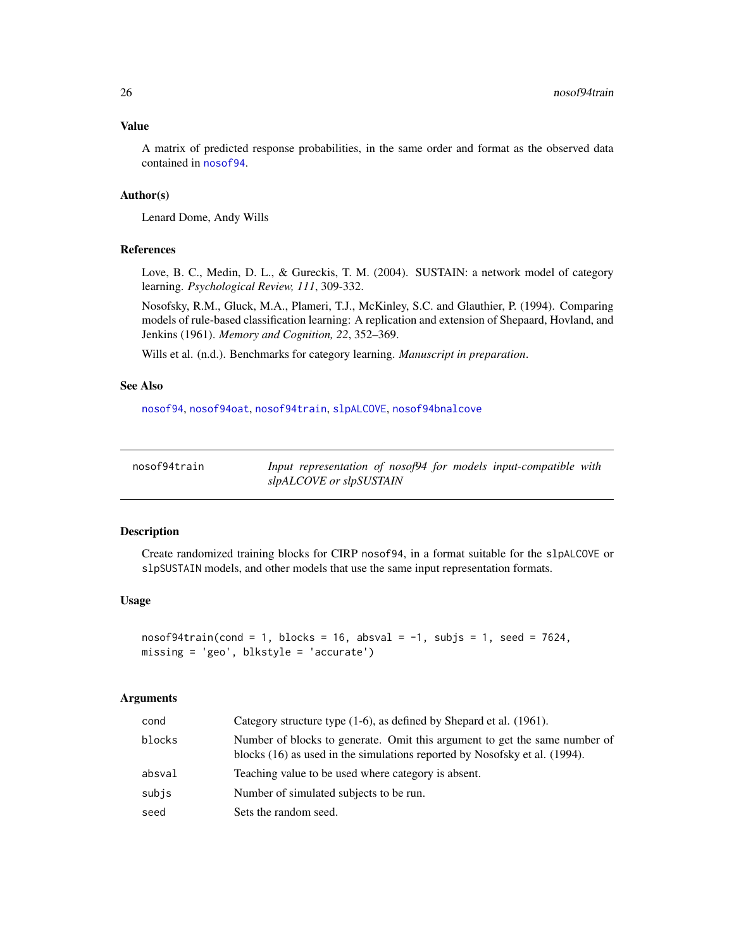### <span id="page-25-0"></span>Value

A matrix of predicted response probabilities, in the same order and format as the observed data contained in [nosof94](#page-17-1).

### Author(s)

Lenard Dome, Andy Wills

#### References

Love, B. C., Medin, D. L., & Gureckis, T. M. (2004). SUSTAIN: a network model of category learning. *Psychological Review, 111*, 309-332.

Nosofsky, R.M., Gluck, M.A., Plameri, T.J., McKinley, S.C. and Glauthier, P. (1994). Comparing models of rule-based classification learning: A replication and extension of Shepaard, Hovland, and Jenkins (1961). *Memory and Cognition, 22*, 352–369.

Wills et al. (n.d.). Benchmarks for category learning. *Manuscript in preparation*.

### See Also

[nosof94](#page-17-1), [nosof94oat](#page-22-1), [nosof94train](#page-25-1), [slpALCOVE](#page-36-1), [nosof94bnalcove](#page-18-1)

<span id="page-25-1"></span>

Input representation of nosof94 for models input-compatible with *slpALCOVE or slpSUSTAIN*

#### Description

Create randomized training blocks for CIRP nosof94, in a format suitable for the slpALCOVE or slpSUSTAIN models, and other models that use the same input representation formats.

### Usage

```
nosof94train(cond = 1, blocks = 16, absurd = -1, subjs = 1, seed = 7624,missing = 'geo', blkstyle = 'accurate')
```
#### Arguments

| cond   | Category structure type $(1-6)$ , as defined by Shepard et al. $(1961)$ .                                                                                |
|--------|----------------------------------------------------------------------------------------------------------------------------------------------------------|
| blocks | Number of blocks to generate. Omit this argument to get the same number of<br>blocks (16) as used in the simulations reported by Nosofsky et al. (1994). |
| absval | Teaching value to be used where category is absent.                                                                                                      |
| subis  | Number of simulated subjects to be run.                                                                                                                  |
| seed   | Sets the random seed.                                                                                                                                    |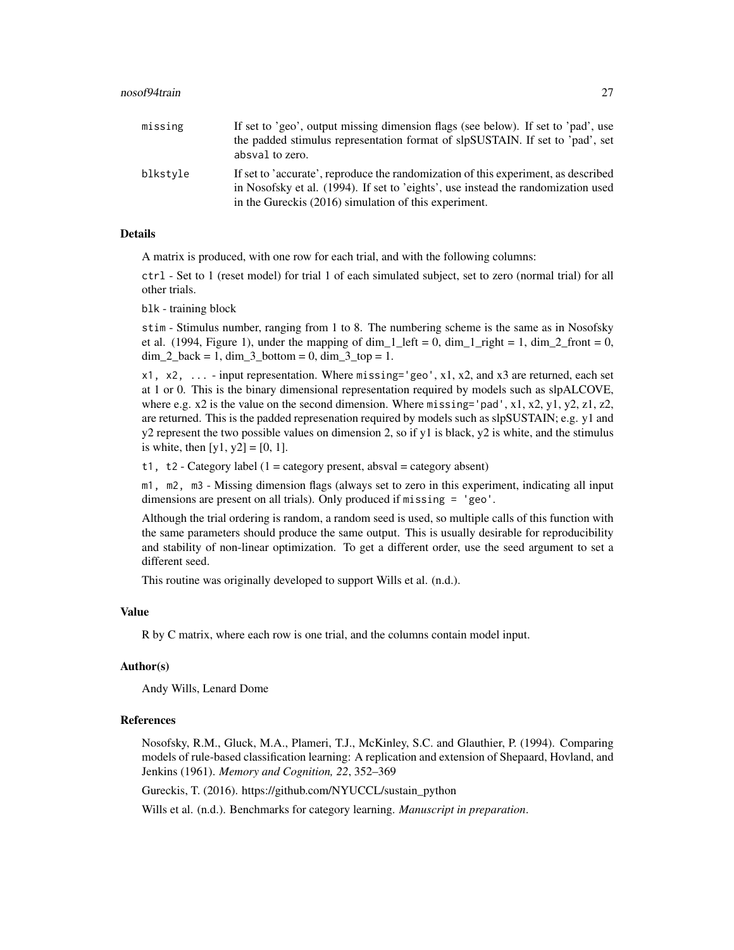| missing  | If set to 'geo', output missing dimension flags (see below). If set to 'pad', use<br>the padded stimulus representation format of slpSUSTAIN. If set to 'pad', set<br>absval to zero.                                            |
|----------|----------------------------------------------------------------------------------------------------------------------------------------------------------------------------------------------------------------------------------|
| blkstyle | If set to 'accurate', reproduce the randomization of this experiment, as described<br>in Nosofsky et al. (1994). If set to 'eights', use instead the randomization used<br>in the Gureckis (2016) simulation of this experiment. |

### Details

A matrix is produced, with one row for each trial, and with the following columns:

ctrl - Set to 1 (reset model) for trial 1 of each simulated subject, set to zero (normal trial) for all other trials.

blk - training block

stim - Stimulus number, ranging from 1 to 8. The numbering scheme is the same as in Nosofsky et al. (1994, Figure 1), under the mapping of  $\dim_1\ell_1$  left = 0,  $\dim_1\ell_1$  right = 1,  $\dim_2\ell_1$  front = 0,  $\dim_2$  back = 1,  $\dim_3$  bottom = 0,  $\dim_3$  top = 1.

x1, x2, ... - input representation. Where missing='geo', x1, x2, and x3 are returned, each set at 1 or 0. This is the binary dimensional representation required by models such as slpALCOVE, where e.g.  $x2$  is the value on the second dimension. Where missing='pad',  $x1$ ,  $x2$ ,  $y1$ ,  $y2$ ,  $z1$ ,  $z2$ , are returned. This is the padded represenation required by models such as slpSUSTAIN; e.g. y1 and  $y2$  represent the two possible values on dimension 2, so if  $y1$  is black,  $y2$  is white, and the stimulus is white, then  $[y1, y2] = [0, 1]$ .

t1, t2 - Category label (1 = category present, absval = category absent)

m1, m2, m3 - Missing dimension flags (always set to zero in this experiment, indicating all input dimensions are present on all trials). Only produced if missing = 'geo'.

Although the trial ordering is random, a random seed is used, so multiple calls of this function with the same parameters should produce the same output. This is usually desirable for reproducibility and stability of non-linear optimization. To get a different order, use the seed argument to set a different seed.

This routine was originally developed to support Wills et al. (n.d.).

### Value

R by C matrix, where each row is one trial, and the columns contain model input.

#### Author(s)

Andy Wills, Lenard Dome

### References

Nosofsky, R.M., Gluck, M.A., Plameri, T.J., McKinley, S.C. and Glauthier, P. (1994). Comparing models of rule-based classification learning: A replication and extension of Shepaard, Hovland, and Jenkins (1961). *Memory and Cognition, 22*, 352–369

Gureckis, T. (2016). https://github.com/NYUCCL/sustain\_python

Wills et al. (n.d.). Benchmarks for category learning. *Manuscript in preparation*.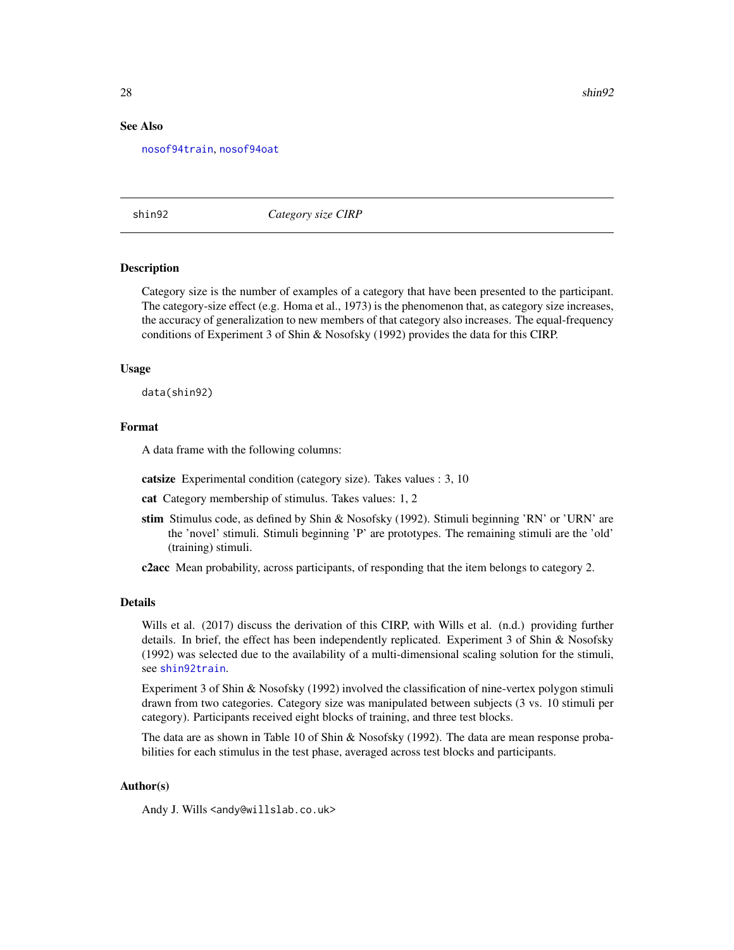#### See Also

[nosof94train](#page-25-1), [nosof94oat](#page-22-1)

<span id="page-27-1"></span>

shin92 *Category size CIRP*

#### Description

Category size is the number of examples of a category that have been presented to the participant. The category-size effect (e.g. Homa et al., 1973) is the phenomenon that, as category size increases, the accuracy of generalization to new members of that category also increases. The equal-frequency conditions of Experiment 3 of Shin & Nosofsky (1992) provides the data for this CIRP.

### Usage

data(shin92)

### Format

A data frame with the following columns:

catsize Experimental condition (category size). Takes values : 3, 10

cat Category membership of stimulus. Takes values: 1, 2

stim Stimulus code, as defined by Shin & Nosofsky (1992). Stimuli beginning 'RN' or 'URN' are the 'novel' stimuli. Stimuli beginning 'P' are prototypes. The remaining stimuli are the 'old' (training) stimuli.

c2acc Mean probability, across participants, of responding that the item belongs to category 2.

### Details

Wills et al. (2017) discuss the derivation of this CIRP, with Wills et al. (n.d.) providing further details. In brief, the effect has been independently replicated. Experiment 3 of Shin & Nosofsky (1992) was selected due to the availability of a multi-dimensional scaling solution for the stimuli, see [shin92train](#page-34-1).

Experiment 3 of Shin & Nosofsky (1992) involved the classification of nine-vertex polygon stimuli drawn from two categories. Category size was manipulated between subjects (3 vs. 10 stimuli per category). Participants received eight blocks of training, and three test blocks.

The data are as shown in Table 10 of Shin & Nosofsky (1992). The data are mean response probabilities for each stimulus in the test phase, averaged across test blocks and participants.

#### Author(s)

Andy J. Wills <andy@willslab.co.uk>

<span id="page-27-0"></span>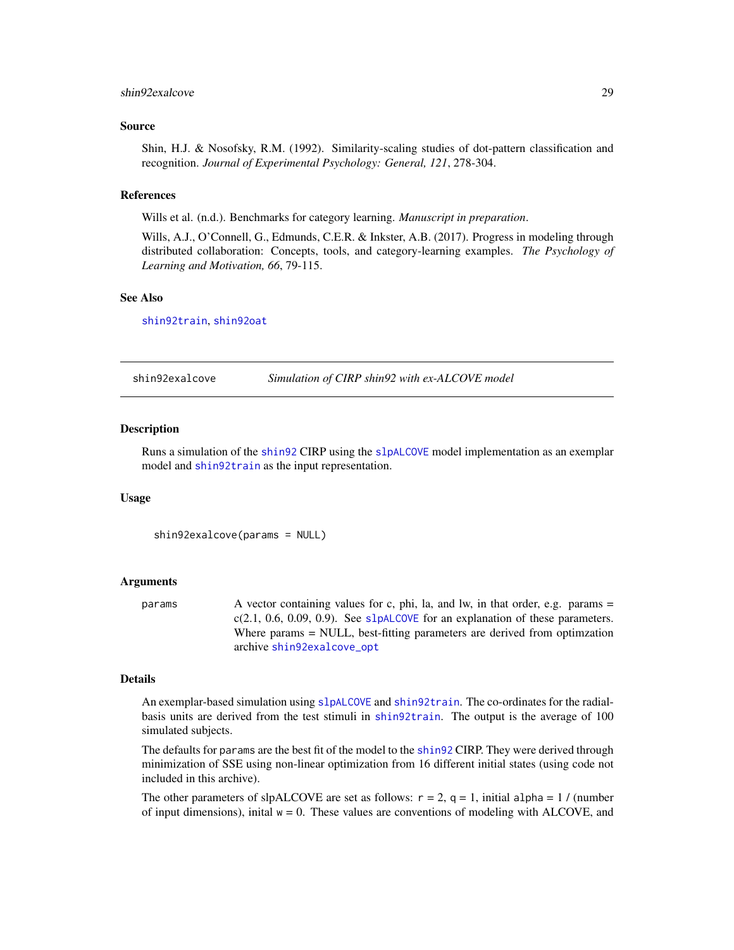#### <span id="page-28-0"></span>shin92exalcove 29

#### Source

Shin, H.J. & Nosofsky, R.M. (1992). Similarity-scaling studies of dot-pattern classification and recognition. *Journal of Experimental Psychology: General, 121*, 278-304.

#### References

Wills et al. (n.d.). Benchmarks for category learning. *Manuscript in preparation*.

Wills, A.J., O'Connell, G., Edmunds, C.E.R. & Inkster, A.B. (2017). Progress in modeling through distributed collaboration: Concepts, tools, and category-learning examples. *The Psychology of Learning and Motivation, 66*, 79-115.

#### See Also

[shin92train](#page-34-1), [shin92oat](#page-30-1)

<span id="page-28-1"></span>shin92exalcove *Simulation of CIRP shin92 with ex-ALCOVE model*

#### Description

Runs a simulation of the [shin92](#page-27-1) CIRP using the [slpALCOVE](#page-36-1) model implementation as an exemplar model and [shin92train](#page-34-1) as the input representation.

#### Usage

shin92exalcove(params = NULL)

#### Arguments

params A vector containing values for c, phi, la, and lw, in that order, e.g. params =  $c(2.1, 0.6, 0.09, 0.9)$ . See [slpALCOVE](#page-36-1) for an explanation of these parameters. Where params = NULL, best-fitting parameters are derived from optimzation archive [shin92exalcove\\_opt](#page-29-1)

### Details

An exemplar-based simulation using [slpALCOVE](#page-36-1) and [shin92train](#page-34-1). The co-ordinates for the radialbasis units are derived from the test stimuli in [shin92train](#page-34-1). The output is the average of 100 simulated subjects.

The defaults for params are the best fit of the model to the [shin92](#page-27-1) CIRP. They were derived through minimization of SSE using non-linear optimization from 16 different initial states (using code not included in this archive).

The other parameters of slpALCOVE are set as follows:  $r = 2$ ,  $q = 1$ , initial alpha = 1 / (number of input dimensions), inital  $w = 0$ . These values are conventions of modeling with ALCOVE, and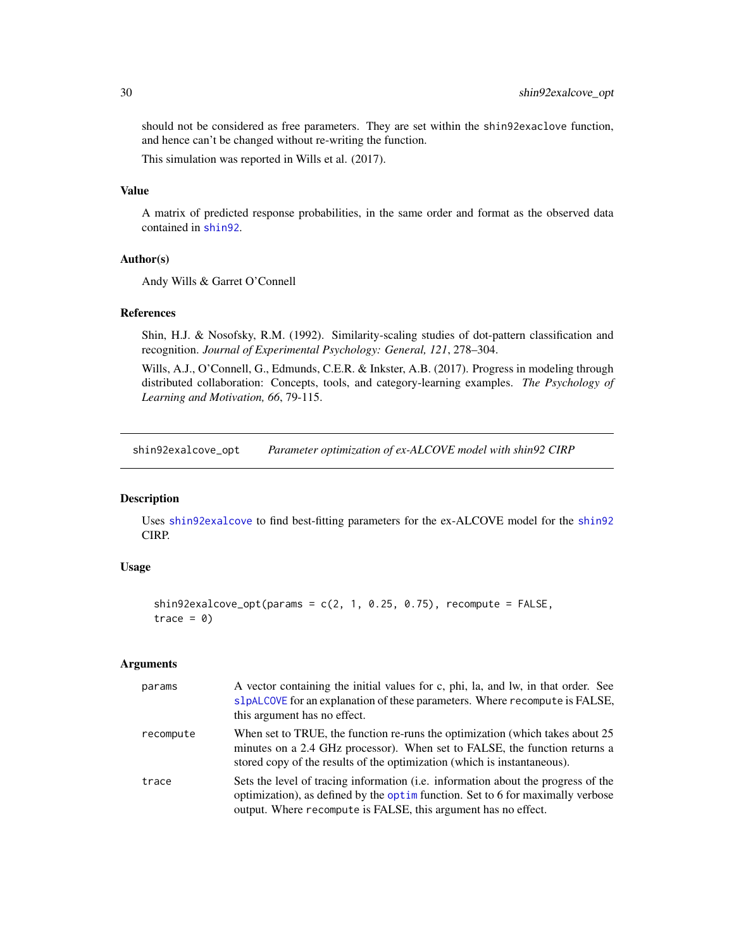should not be considered as free parameters. They are set within the shin92exaclove function, and hence can't be changed without re-writing the function.

This simulation was reported in Wills et al. (2017).

### Value

A matrix of predicted response probabilities, in the same order and format as the observed data contained in [shin92](#page-27-1).

### Author(s)

Andy Wills & Garret O'Connell

### References

Shin, H.J. & Nosofsky, R.M. (1992). Similarity-scaling studies of dot-pattern classification and recognition. *Journal of Experimental Psychology: General, 121*, 278–304.

Wills, A.J., O'Connell, G., Edmunds, C.E.R. & Inkster, A.B. (2017). Progress in modeling through distributed collaboration: Concepts, tools, and category-learning examples. *The Psychology of Learning and Motivation, 66*, 79-115.

<span id="page-29-1"></span>shin92exalcove\_opt *Parameter optimization of ex-ALCOVE model with shin92 CIRP*

### Description

Uses [shin92exalcove](#page-28-1) to find best-fitting parameters for the ex-ALCOVE model for the [shin92](#page-27-1) CIRP.

### Usage

```
shin92exalcove_opt(params = c(2, 1, 0.25, 0.75), recompute = FALSE,
trace = 0
```
### Arguments

| params    | A vector containing the initial values for c, phi, la, and lw, in that order. See<br>slpALCOVE for an explanation of these parameters. Where recompute is FALSE,<br>this argument has no effect.                                         |
|-----------|------------------------------------------------------------------------------------------------------------------------------------------------------------------------------------------------------------------------------------------|
| recompute | When set to TRUE, the function re-runs the optimization (which takes about 25)<br>minutes on a 2.4 GHz processor). When set to FALSE, the function returns a<br>stored copy of the results of the optimization (which is instantaneous). |
| trace     | Sets the level of tracing information (i.e. information about the progress of the<br>optimization), as defined by the optimulation. Set to 6 for maximally verbose<br>output. Where recompute is FALSE, this argument has no effect.     |

<span id="page-29-0"></span>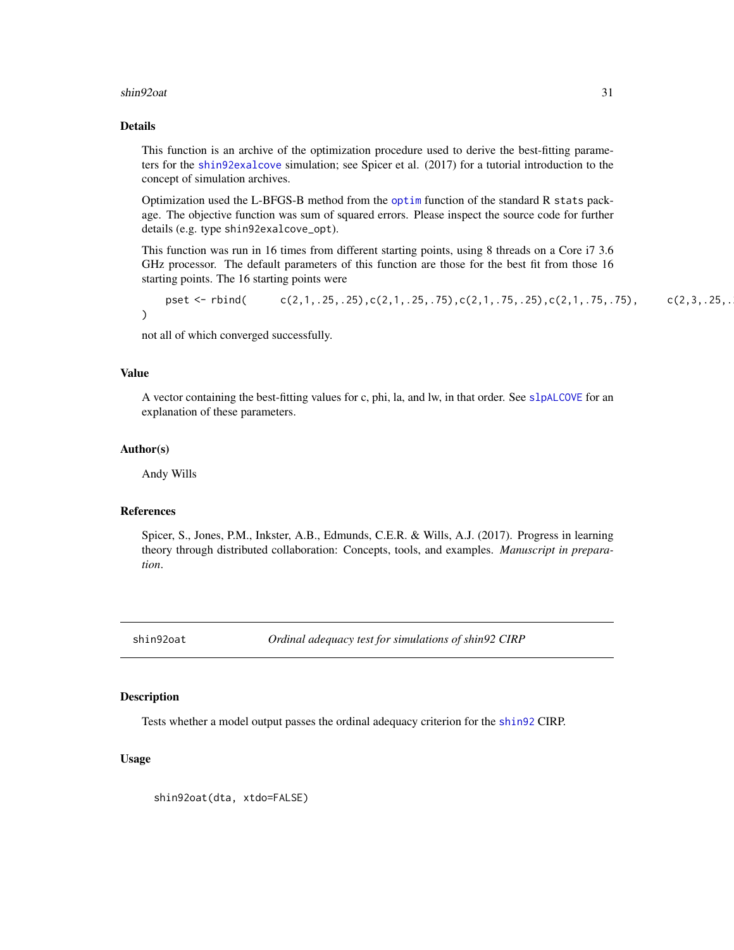#### <span id="page-30-0"></span>shin92oat 31

### Details

This function is an archive of the optimization procedure used to derive the best-fitting parameters for the [shin92exalcove](#page-28-1) simulation; see Spicer et al. (2017) for a tutorial introduction to the concept of simulation archives.

Optimization used the L-BFGS-B method from the [optim](#page-0-0) function of the standard R stats package. The objective function was sum of squared errors. Please inspect the source code for further details (e.g. type shin92exalcove\_opt).

This function was run in 16 times from different starting points, using 8 threads on a Core i7 3.6 GHz processor. The default parameters of this function are those for the best fit from those 16 starting points. The 16 starting points were

pset <- rbind( $c(2,1, .25, .25), c(2,1, .25, .75), c(2,1, .75, .25), c(2,1, .75, .75), c(2,3, .25, .$ )

not all of which converged successfully.

#### Value

A vector containing the best-fitting values for c, phi, la, and lw, in that order. See [slpALCOVE](#page-36-1) for an explanation of these parameters.

#### Author(s)

Andy Wills

### References

Spicer, S., Jones, P.M., Inkster, A.B., Edmunds, C.E.R. & Wills, A.J. (2017). Progress in learning theory through distributed collaboration: Concepts, tools, and examples. *Manuscript in preparation*.

<span id="page-30-1"></span>shin92oat *Ordinal adequacy test for simulations of shin92 CIRP*

#### Description

Tests whether a model output passes the ordinal adequacy criterion for the [shin92](#page-27-1) CIRP.

### Usage

shin92oat(dta, xtdo=FALSE)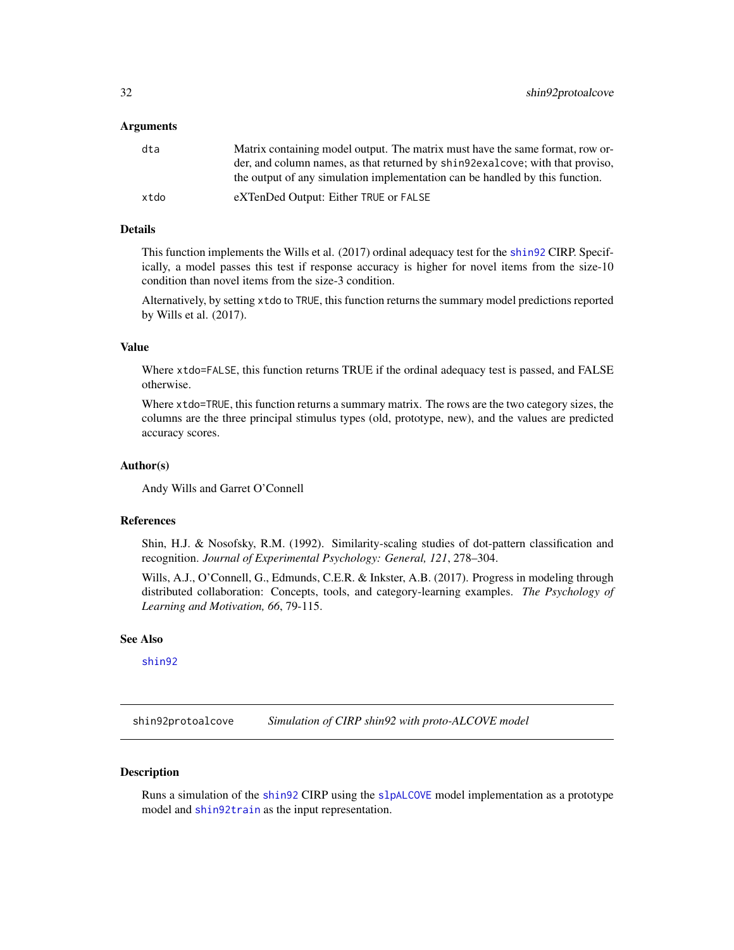#### <span id="page-31-0"></span>Arguments

| dta  | Matrix containing model output. The matrix must have the same format, row or-  |
|------|--------------------------------------------------------------------------------|
|      | der, and column names, as that returned by shings exalcove; with that proviso, |
|      | the output of any simulation implementation can be handled by this function.   |
| xtdo | eXTenDed Output: Either TRUE or FALSE                                          |

### Details

This function implements the Wills et al. (2017) ordinal adequacy test for the [shin92](#page-27-1) CIRP. Specifically, a model passes this test if response accuracy is higher for novel items from the size-10 condition than novel items from the size-3 condition.

Alternatively, by setting xtdo to TRUE, this function returns the summary model predictions reported by Wills et al. (2017).

### Value

Where xtdo=FALSE, this function returns TRUE if the ordinal adequacy test is passed, and FALSE otherwise.

Where xtdo=TRUE, this function returns a summary matrix. The rows are the two category sizes, the columns are the three principal stimulus types (old, prototype, new), and the values are predicted accuracy scores.

#### Author(s)

Andy Wills and Garret O'Connell

### References

Shin, H.J. & Nosofsky, R.M. (1992). Similarity-scaling studies of dot-pattern classification and recognition. *Journal of Experimental Psychology: General, 121*, 278–304.

Wills, A.J., O'Connell, G., Edmunds, C.E.R. & Inkster, A.B. (2017). Progress in modeling through distributed collaboration: Concepts, tools, and category-learning examples. *The Psychology of Learning and Motivation, 66*, 79-115.

### See Also

[shin92](#page-27-1)

<span id="page-31-1"></span>shin92protoalcove *Simulation of CIRP shin92 with proto-ALCOVE model*

### Description

Runs a simulation of the [shin92](#page-27-1) CIRP using the [slpALCOVE](#page-36-1) model implementation as a prototype model and [shin92train](#page-34-1) as the input representation.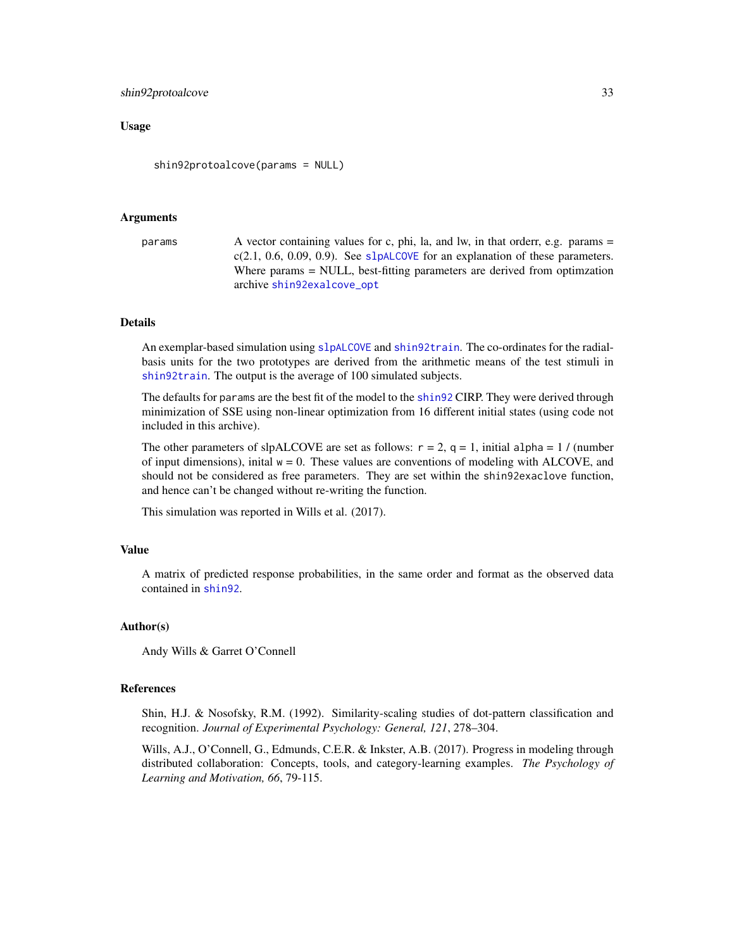#### <span id="page-32-0"></span>shin92protoalcove 33

### Usage

shin92protoalcove(params = NULL)

#### Arguments

```
params A vector containing values for c, phi, la, and lw, in that orderr, e.g. params =
                 c(2.1, 0.6, 0.09, 0.9)slpALCOVE for an explanation of these parameters.
                 Where params = NULL, best-fitting parameters are derived from optimzation
                 archive shin92exalcove_opt
```
### Details

An exemplar-based simulation using [slpALCOVE](#page-36-1) and [shin92train](#page-34-1). The co-ordinates for the radialbasis units for the two prototypes are derived from the arithmetic means of the test stimuli in [shin92train](#page-34-1). The output is the average of 100 simulated subjects.

The defaults for params are the best fit of the model to the [shin92](#page-27-1) CIRP. They were derived through minimization of SSE using non-linear optimization from 16 different initial states (using code not included in this archive).

The other parameters of slpALCOVE are set as follows:  $r = 2$ ,  $q = 1$ , initial alpha = 1 / (number of input dimensions), inital  $w = 0$ . These values are conventions of modeling with ALCOVE, and should not be considered as free parameters. They are set within the shin92exaclove function, and hence can't be changed without re-writing the function.

This simulation was reported in Wills et al. (2017).

#### Value

A matrix of predicted response probabilities, in the same order and format as the observed data contained in [shin92](#page-27-1).

### Author(s)

Andy Wills & Garret O'Connell

#### References

Shin, H.J. & Nosofsky, R.M. (1992). Similarity-scaling studies of dot-pattern classification and recognition. *Journal of Experimental Psychology: General, 121*, 278–304.

Wills, A.J., O'Connell, G., Edmunds, C.E.R. & Inkster, A.B. (2017). Progress in modeling through distributed collaboration: Concepts, tools, and category-learning examples. *The Psychology of Learning and Motivation, 66*, 79-115.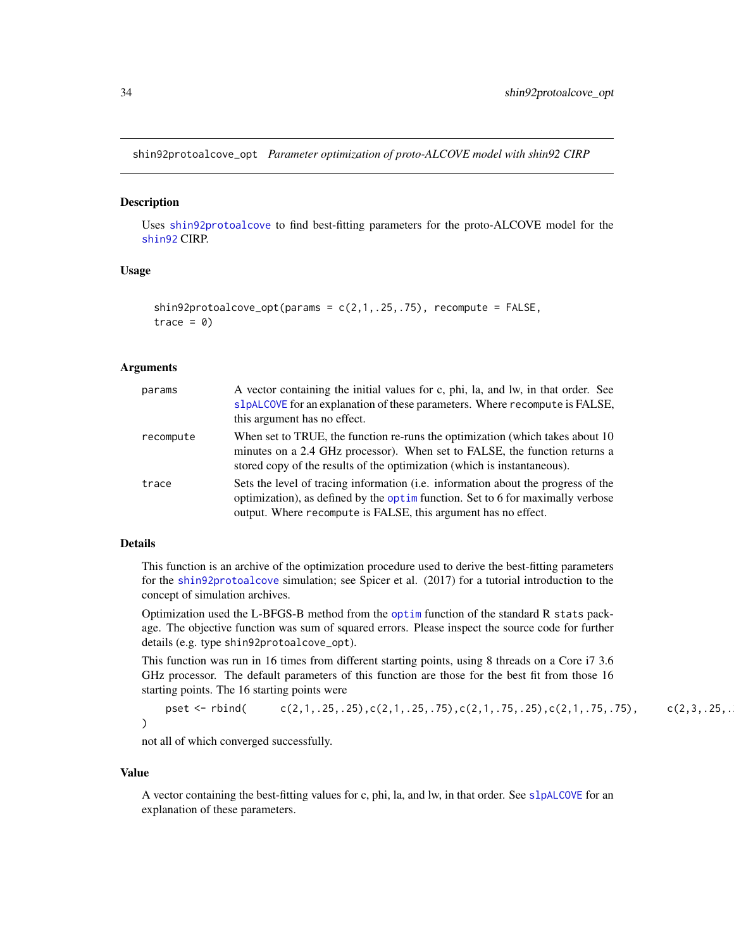<span id="page-33-0"></span>shin92protoalcove\_opt *Parameter optimization of proto-ALCOVE model with shin92 CIRP*

#### **Description**

Uses [shin92protoalcove](#page-31-1) to find best-fitting parameters for the proto-ALCOVE model for the [shin92](#page-27-1) CIRP.

### Usage

```
shin92protoalcove_opt(params = c(2,1,.25,.75), recompute = FALSE,
trace = 0
```
#### Arguments

| params    | A vector containing the initial values for c, phi, la, and lw, in that order. See<br>slpALCOVE for an explanation of these parameters. Where recompute is FALSE,<br>this argument has no effect.                                         |
|-----------|------------------------------------------------------------------------------------------------------------------------------------------------------------------------------------------------------------------------------------------|
| recompute | When set to TRUE, the function re-runs the optimization (which takes about 10)<br>minutes on a 2.4 GHz processor). When set to FALSE, the function returns a<br>stored copy of the results of the optimization (which is instantaneous). |
| trace     | Sets the level of tracing information (i.e. information about the progress of the<br>optimization), as defined by the optim function. Set to 6 for maximally verbose<br>output. Where recompute is FALSE, this argument has no effect.   |

### Details

This function is an archive of the optimization procedure used to derive the best-fitting parameters for the [shin92protoalcove](#page-31-1) simulation; see Spicer et al. (2017) for a tutorial introduction to the concept of simulation archives.

Optimization used the L-BFGS-B method from the [optim](#page-0-0) function of the standard R stats package. The objective function was sum of squared errors. Please inspect the source code for further details (e.g. type shin92protoalcove\_opt).

This function was run in 16 times from different starting points, using 8 threads on a Core i7 3.6 GHz processor. The default parameters of this function are those for the best fit from those 16 starting points. The 16 starting points were

pset <- rbind( $c(2,1, .25, .25), c(2,1, .25, .75), c(2,1, .75, .25), c(2,1, .75, .75), c(2,3, .25, .$ )

not all of which converged successfully.

#### Value

A vector containing the best-fitting values for c, phi, la, and lw, in that order. See [slpALCOVE](#page-36-1) for an explanation of these parameters.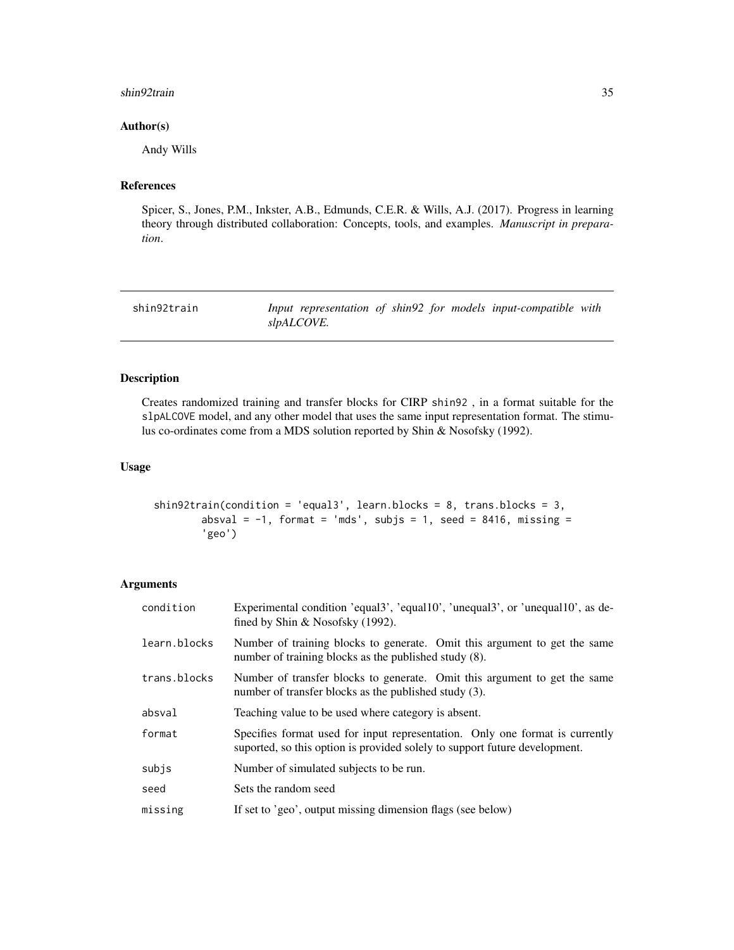#### <span id="page-34-0"></span>shin92train 35

### Author(s)

Andy Wills

### References

Spicer, S., Jones, P.M., Inkster, A.B., Edmunds, C.E.R. & Wills, A.J. (2017). Progress in learning theory through distributed collaboration: Concepts, tools, and examples. *Manuscript in preparation*.

<span id="page-34-1"></span>

| shin92train |            |  |  | Input representation of shin92 for models input-compatible with |  |
|-------------|------------|--|--|-----------------------------------------------------------------|--|
|             | slpALCOVE. |  |  |                                                                 |  |

### Description

Creates randomized training and transfer blocks for CIRP shin92 , in a format suitable for the slpALCOVE model, and any other model that uses the same input representation format. The stimulus co-ordinates come from a MDS solution reported by Shin & Nosofsky (1992).

## Usage

```
shin92train(condition = 'equal3', learn.blocks = 8, trans.blocks = 3,
       absval = -1, format = 'mds', subjs = 1, seed = 8416, missing =
        'geo')
```
### Arguments

| condition    | Experimental condition 'equals', 'equalston', 'unequalston', or 'unequalston', as de-<br>fined by Shin $\&$ Nosofsky (1992).                               |  |  |  |
|--------------|------------------------------------------------------------------------------------------------------------------------------------------------------------|--|--|--|
| learn.blocks | Number of training blocks to generate. Omit this argument to get the same<br>number of training blocks as the published study (8).                         |  |  |  |
| trans.blocks | Number of transfer blocks to generate. Omit this argument to get the same<br>number of transfer blocks as the published study (3).                         |  |  |  |
| absval       | Teaching value to be used where category is absent.                                                                                                        |  |  |  |
| format       | Specifies format used for input representation. Only one format is currently<br>suported, so this option is provided solely to support future development. |  |  |  |
| subjs        | Number of simulated subjects to be run.                                                                                                                    |  |  |  |
| seed         | Sets the random seed                                                                                                                                       |  |  |  |
| missing      | If set to 'geo', output missing dimension flags (see below)                                                                                                |  |  |  |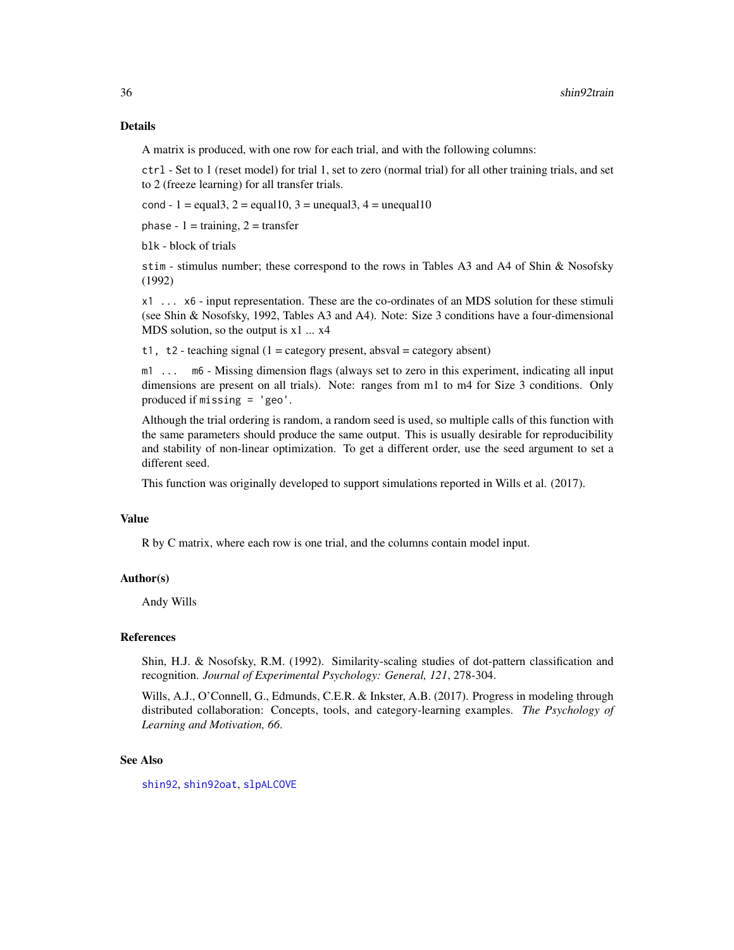### <span id="page-35-0"></span>Details

A matrix is produced, with one row for each trial, and with the following columns:

ctrl - Set to 1 (reset model) for trial 1, set to zero (normal trial) for all other training trials, and set to 2 (freeze learning) for all transfer trials.

cond - 1 = equal3, 2 = equal10, 3 = unequal3, 4 = unequal10

phase -  $1 = \text{training}, 2 = \text{transfer}$ 

blk - block of trials

stim - stimulus number; these correspond to the rows in Tables A3 and A4 of Shin & Nosofsky (1992)

x1 ... x6 - input representation. These are the co-ordinates of an MDS solution for these stimuli (see Shin & Nosofsky, 1992, Tables A3 and A4). Note: Size 3 conditions have a four-dimensional MDS solution, so the output is  $x1$  ...  $x4$ 

t1, t2 - teaching signal  $(1 = \text{category present}, \text{absval} = \text{category absent})$ 

m1 ... m6 - Missing dimension flags (always set to zero in this experiment, indicating all input dimensions are present on all trials). Note: ranges from m1 to m4 for Size 3 conditions. Only produced if missing = 'geo'.

Although the trial ordering is random, a random seed is used, so multiple calls of this function with the same parameters should produce the same output. This is usually desirable for reproducibility and stability of non-linear optimization. To get a different order, use the seed argument to set a different seed.

This function was originally developed to support simulations reported in Wills et al. (2017).

### Value

R by C matrix, where each row is one trial, and the columns contain model input.

### Author(s)

Andy Wills

#### References

Shin, H.J. & Nosofsky, R.M. (1992). Similarity-scaling studies of dot-pattern classification and recognition. *Journal of Experimental Psychology: General, 121*, 278-304.

Wills, A.J., O'Connell, G., Edmunds, C.E.R. & Inkster, A.B. (2017). Progress in modeling through distributed collaboration: Concepts, tools, and category-learning examples. *The Psychology of Learning and Motivation, 66*.

#### See Also

[shin92](#page-27-1), [shin92oat](#page-30-1), [slpALCOVE](#page-36-1)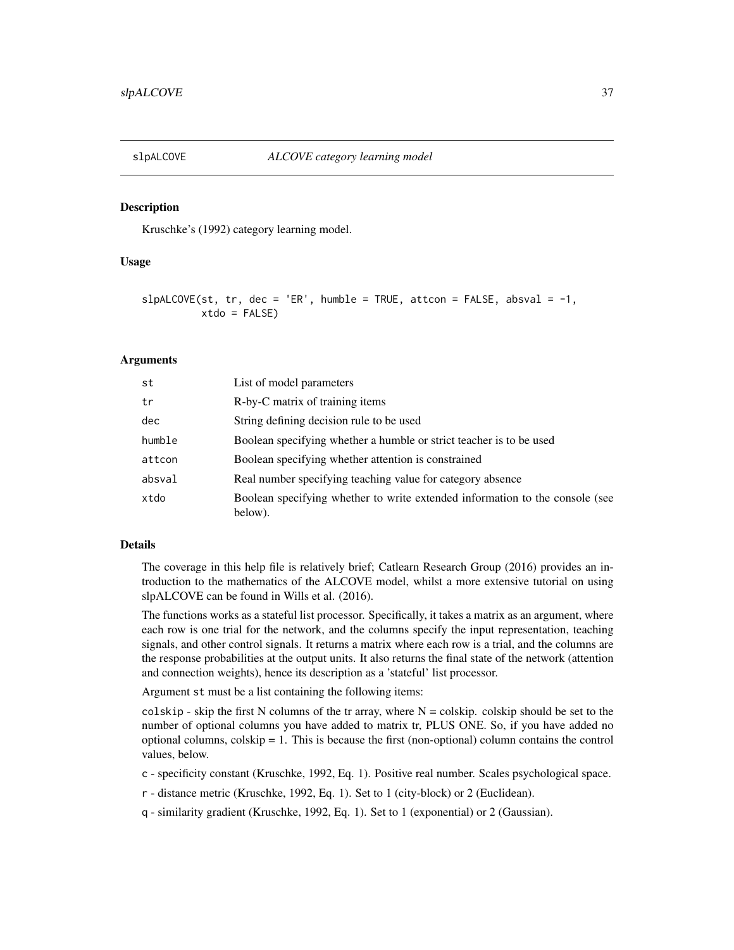<span id="page-36-1"></span><span id="page-36-0"></span>

### Description

Kruschke's (1992) category learning model.

### Usage

```
slpALCOVE(st, tr, dec = 'ER', humble = TRUE, attcon = FALSE, absval = -1,xtdo = FALSE
```
#### Arguments

| st     | List of model parameters                                                                |
|--------|-----------------------------------------------------------------------------------------|
| tr     | R-by-C matrix of training items                                                         |
| dec    | String defining decision rule to be used                                                |
| humble | Boolean specifying whether a humble or strict teacher is to be used                     |
| attcon | Boolean specifying whether attention is constrained                                     |
| absval | Real number specifying teaching value for category absence                              |
| xtdo   | Boolean specifying whether to write extended information to the console (see<br>below). |

#### Details

The coverage in this help file is relatively brief; Catlearn Research Group (2016) provides an introduction to the mathematics of the ALCOVE model, whilst a more extensive tutorial on using slpALCOVE can be found in Wills et al. (2016).

The functions works as a stateful list processor. Specifically, it takes a matrix as an argument, where each row is one trial for the network, and the columns specify the input representation, teaching signals, and other control signals. It returns a matrix where each row is a trial, and the columns are the response probabilities at the output units. It also returns the final state of the network (attention and connection weights), hence its description as a 'stateful' list processor.

Argument st must be a list containing the following items:

colskip - skip the first N columns of the tr array, where  $N = \text{colskip}$ . colskip should be set to the number of optional columns you have added to matrix tr, PLUS ONE. So, if you have added no optional columns, colskip  $= 1$ . This is because the first (non-optional) column contains the control values, below.

c - specificity constant (Kruschke, 1992, Eq. 1). Positive real number. Scales psychological space.

r - distance metric (Kruschke, 1992, Eq. 1). Set to 1 (city-block) or 2 (Euclidean).

q - similarity gradient (Kruschke, 1992, Eq. 1). Set to 1 (exponential) or 2 (Gaussian).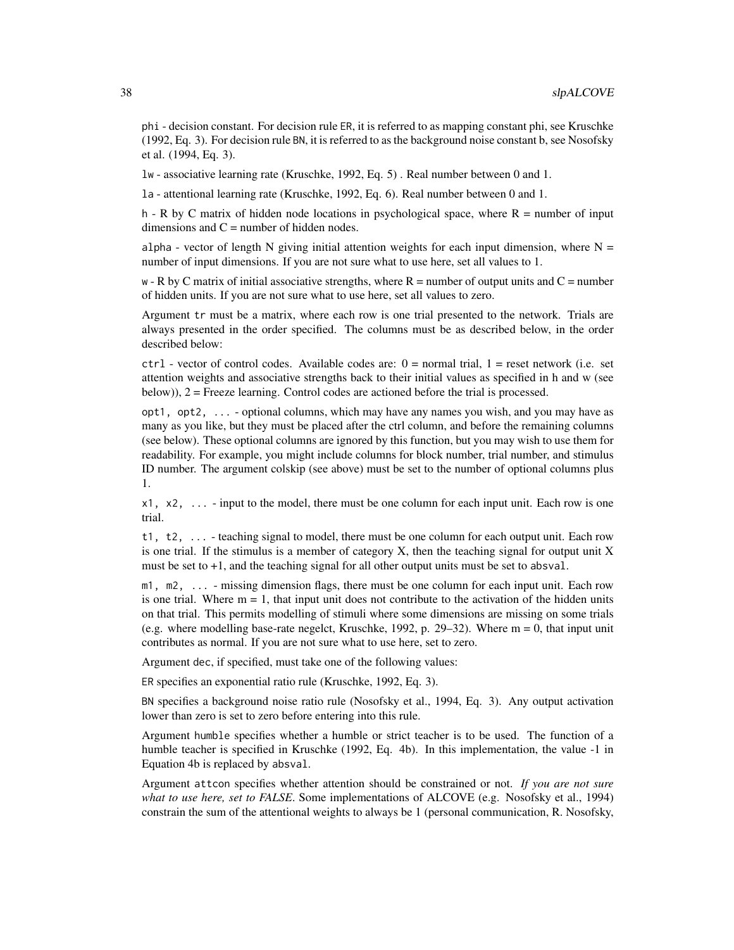phi - decision constant. For decision rule ER, it is referred to as mapping constant phi, see Kruschke (1992, Eq. 3). For decision rule BN, it is referred to as the background noise constant b, see Nosofsky et al. (1994, Eq. 3).

lw - associative learning rate (Kruschke, 1992, Eq. 5) . Real number between 0 and 1.

la - attentional learning rate (Kruschke, 1992, Eq. 6). Real number between 0 and 1.

h - R by C matrix of hidden node locations in psychological space, where  $R =$  number of input dimensions and  $C =$  number of hidden nodes.

alpha - vector of length N giving initial attention weights for each input dimension, where  $N =$ number of input dimensions. If you are not sure what to use here, set all values to 1.

 $w - R$  by C matrix of initial associative strengths, where  $R =$  number of output units and  $C =$  number of hidden units. If you are not sure what to use here, set all values to zero.

Argument tr must be a matrix, where each row is one trial presented to the network. Trials are always presented in the order specified. The columns must be as described below, in the order described below:

 $ctrl - vector$  of control codes. Available codes are:  $0 = normal trial$ ,  $1 = reset$  network (i.e. set attention weights and associative strengths back to their initial values as specified in h and w (see below)), 2 = Freeze learning. Control codes are actioned before the trial is processed.

opt1, opt2, ... - optional columns, which may have any names you wish, and you may have as many as you like, but they must be placed after the ctrl column, and before the remaining columns (see below). These optional columns are ignored by this function, but you may wish to use them for readability. For example, you might include columns for block number, trial number, and stimulus ID number. The argument colskip (see above) must be set to the number of optional columns plus 1.

 $x1, x2, \ldots$  - input to the model, there must be one column for each input unit. Each row is one trial.

t1, t2, ... - teaching signal to model, there must be one column for each output unit. Each row is one trial. If the stimulus is a member of category  $X$ , then the teaching signal for output unit  $X$ must be set to  $+1$ , and the teaching signal for all other output units must be set to absval.

m1, m2, ... - missing dimension flags, there must be one column for each input unit. Each row is one trial. Where  $m = 1$ , that input unit does not contribute to the activation of the hidden units on that trial. This permits modelling of stimuli where some dimensions are missing on some trials (e.g. where modelling base-rate negelct, Kruschke, 1992, p. 29–32). Where  $m = 0$ , that input unit contributes as normal. If you are not sure what to use here, set to zero.

Argument dec, if specified, must take one of the following values:

ER specifies an exponential ratio rule (Kruschke, 1992, Eq. 3).

BN specifies a background noise ratio rule (Nosofsky et al., 1994, Eq. 3). Any output activation lower than zero is set to zero before entering into this rule.

Argument humble specifies whether a humble or strict teacher is to be used. The function of a humble teacher is specified in Kruschke (1992, Eq. 4b). In this implementation, the value -1 in Equation 4b is replaced by absval.

Argument attcon specifies whether attention should be constrained or not. *If you are not sure what to use here, set to FALSE*. Some implementations of ALCOVE (e.g. Nosofsky et al., 1994) constrain the sum of the attentional weights to always be 1 (personal communication, R. Nosofsky,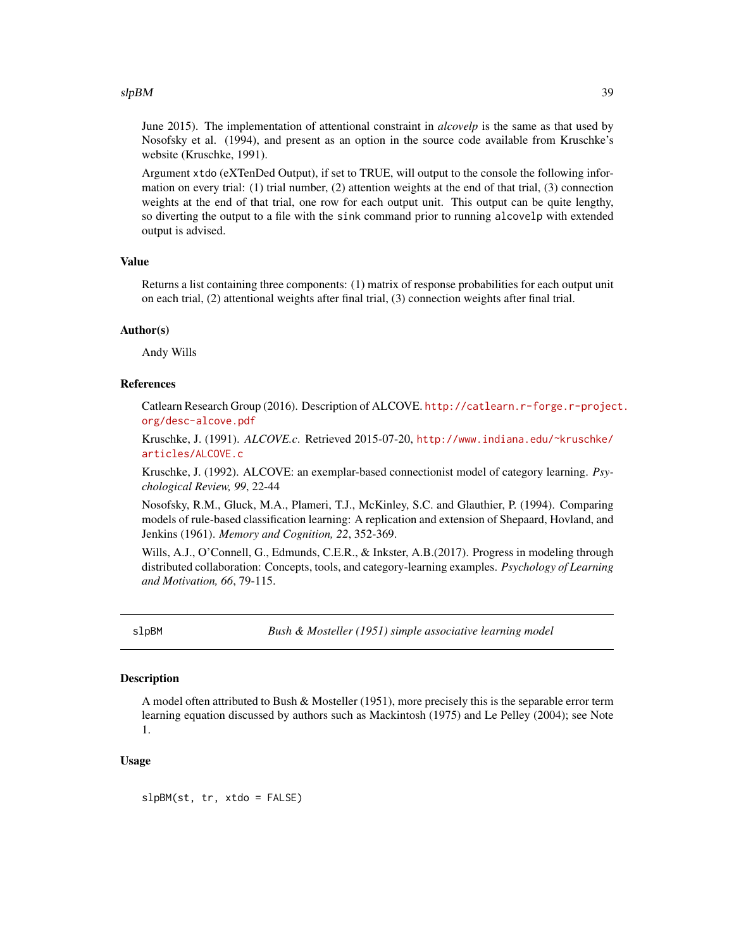#### <span id="page-38-0"></span> $slpBM$  39

June 2015). The implementation of attentional constraint in *alcovelp* is the same as that used by Nosofsky et al. (1994), and present as an option in the source code available from Kruschke's website (Kruschke, 1991).

Argument xtdo (eXTenDed Output), if set to TRUE, will output to the console the following information on every trial: (1) trial number, (2) attention weights at the end of that trial, (3) connection weights at the end of that trial, one row for each output unit. This output can be quite lengthy, so diverting the output to a file with the sink command prior to running alcovelp with extended output is advised.

### Value

Returns a list containing three components: (1) matrix of response probabilities for each output unit on each trial, (2) attentional weights after final trial, (3) connection weights after final trial.

#### Author(s)

Andy Wills

### References

Catlearn Research Group (2016). Description of ALCOVE. [http://catlearn.r-forge.r-projec](http://catlearn.r-forge.r-project.org/desc-alcove.pdf)t. [org/desc-alcove.pdf](http://catlearn.r-forge.r-project.org/desc-alcove.pdf)

Kruschke, J. (1991). *ALCOVE.c*. Retrieved 2015-07-20, [http://www.indiana.edu/~kruschke/](http://www.indiana.edu/~kruschke/articles/ALCOVE.c) [articles/ALCOVE.c](http://www.indiana.edu/~kruschke/articles/ALCOVE.c)

Kruschke, J. (1992). ALCOVE: an exemplar-based connectionist model of category learning. *Psychological Review, 99*, 22-44

Nosofsky, R.M., Gluck, M.A., Plameri, T.J., McKinley, S.C. and Glauthier, P. (1994). Comparing models of rule-based classification learning: A replication and extension of Shepaard, Hovland, and Jenkins (1961). *Memory and Cognition, 22*, 352-369.

Wills, A.J., O'Connell, G., Edmunds, C.E.R., & Inkster, A.B.(2017). Progress in modeling through distributed collaboration: Concepts, tools, and category-learning examples. *Psychology of Learning and Motivation, 66*, 79-115.

slpBM *Bush & Mosteller (1951) simple associative learning model*

### Description

A model often attributed to Bush & Mosteller (1951), more precisely this is the separable error term learning equation discussed by authors such as Mackintosh (1975) and Le Pelley (2004); see Note 1.

### Usage

slpBM(st, tr, xtdo = FALSE)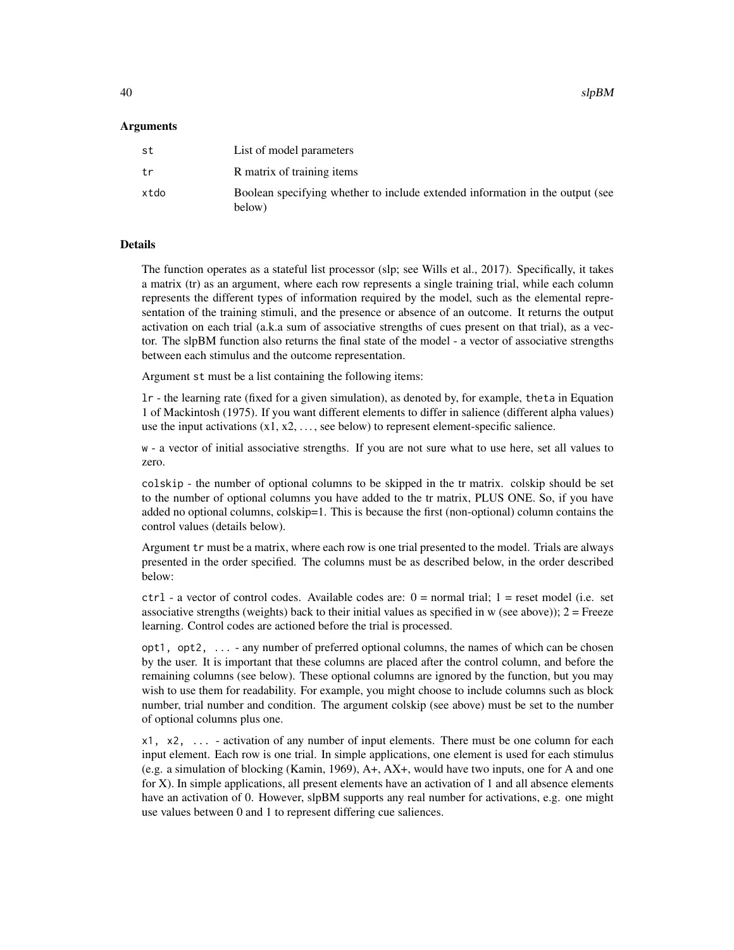$_{slpBM}$  slpBM since  $_{slpBM}$  sleps that  $_{slpBM}$  sleps that  $_{slpBM}$  sleps that  $_{slpBM}$  sleps that  $_{slpBM}$  sleps that  $_{slpBM}$  sleps that  $_{slpBM}$  sleps that  $_{slpBM}$  is the set of  $_{slpBM}$  sleps that  $_{slpBM}$  is the set of  $_{slpBM$ 

#### Arguments

| st   | List of model parameters                                                                |
|------|-----------------------------------------------------------------------------------------|
| tr   | R matrix of training items                                                              |
| xtdo | Boolean specifying whether to include extended information in the output (see<br>below) |

### Details

The function operates as a stateful list processor (slp; see Wills et al., 2017). Specifically, it takes a matrix (tr) as an argument, where each row represents a single training trial, while each column represents the different types of information required by the model, such as the elemental representation of the training stimuli, and the presence or absence of an outcome. It returns the output activation on each trial (a.k.a sum of associative strengths of cues present on that trial), as a vector. The slpBM function also returns the final state of the model - a vector of associative strengths between each stimulus and the outcome representation.

Argument st must be a list containing the following items:

lr - the learning rate (fixed for a given simulation), as denoted by, for example, theta in Equation 1 of Mackintosh (1975). If you want different elements to differ in salience (different alpha values) use the input activations  $(x1, x2, \ldots,$  see below) to represent element-specific salience.

w - a vector of initial associative strengths. If you are not sure what to use here, set all values to zero.

colskip - the number of optional columns to be skipped in the tr matrix. colskip should be set to the number of optional columns you have added to the tr matrix, PLUS ONE. So, if you have added no optional columns, colskip=1. This is because the first (non-optional) column contains the control values (details below).

Argument tr must be a matrix, where each row is one trial presented to the model. Trials are always presented in the order specified. The columns must be as described below, in the order described below:

 $ctrl - a$  vector of control codes. Available codes are:  $0 = normal trial$ ;  $1 = reset model$  (i.e. set associative strengths (weights) back to their initial values as specified in  $w$  (see above));  $2 =$  Freeze learning. Control codes are actioned before the trial is processed.

opt1, opt2, ... - any number of preferred optional columns, the names of which can be chosen by the user. It is important that these columns are placed after the control column, and before the remaining columns (see below). These optional columns are ignored by the function, but you may wish to use them for readability. For example, you might choose to include columns such as block number, trial number and condition. The argument colskip (see above) must be set to the number of optional columns plus one.

x1, x2, ... - activation of any number of input elements. There must be one column for each input element. Each row is one trial. In simple applications, one element is used for each stimulus (e.g. a simulation of blocking (Kamin, 1969), A+, AX+, would have two inputs, one for A and one for X). In simple applications, all present elements have an activation of 1 and all absence elements have an activation of 0. However, slpBM supports any real number for activations, e.g. one might use values between 0 and 1 to represent differing cue saliences.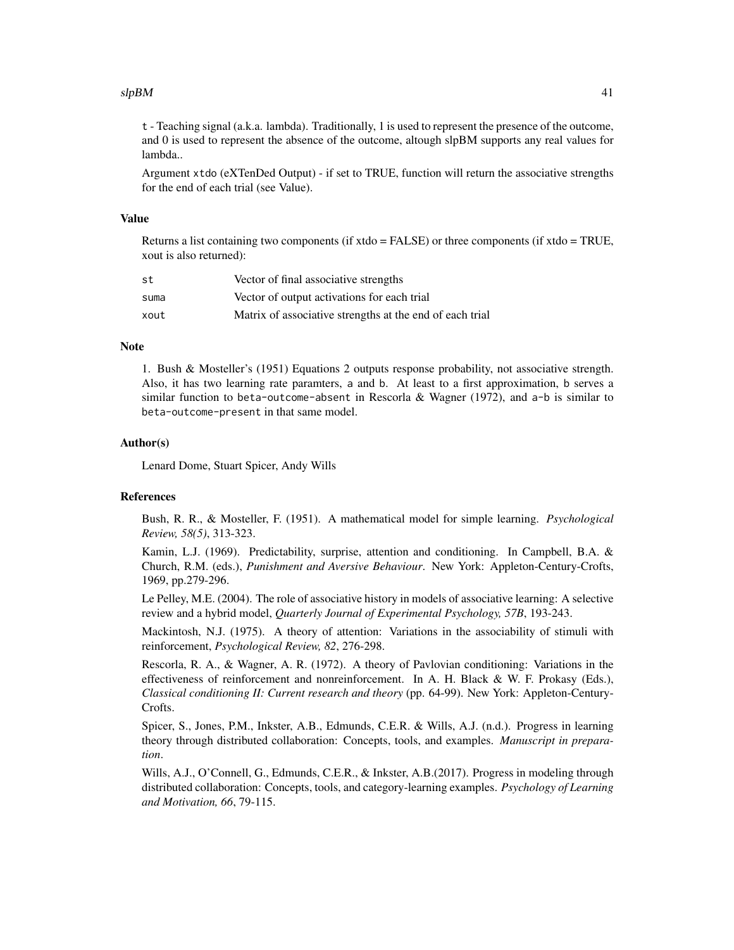#### $slpBM$  41

t - Teaching signal (a.k.a. lambda). Traditionally, 1 is used to represent the presence of the outcome, and 0 is used to represent the absence of the outcome, altough slpBM supports any real values for lambda..

Argument xtdo (eXTenDed Output) - if set to TRUE, function will return the associative strengths for the end of each trial (see Value).

#### Value

Returns a list containing two components (if  $x\text{tdo} = \text{FALSE}$ ) or three components (if  $x\text{tdo} = \text{TRUE}$ , xout is also returned):

| st   | Vector of final associative strengths                    |
|------|----------------------------------------------------------|
| suma | Vector of output activations for each trial              |
| xout | Matrix of associative strengths at the end of each trial |

### **Note**

1. Bush & Mosteller's (1951) Equations 2 outputs response probability, not associative strength. Also, it has two learning rate paramters, a and b. At least to a first approximation, b serves a similar function to beta-outcome-absent in Rescorla & Wagner (1972), and  $a-b$  is similar to beta-outcome-present in that same model.

#### Author(s)

Lenard Dome, Stuart Spicer, Andy Wills

#### References

Bush, R. R., & Mosteller, F. (1951). A mathematical model for simple learning. *Psychological Review, 58(5)*, 313-323.

Kamin, L.J. (1969). Predictability, surprise, attention and conditioning. In Campbell, B.A. & Church, R.M. (eds.), *Punishment and Aversive Behaviour*. New York: Appleton-Century-Crofts, 1969, pp.279-296.

Le Pelley, M.E. (2004). The role of associative history in models of associative learning: A selective review and a hybrid model, *Quarterly Journal of Experimental Psychology, 57B*, 193-243.

Mackintosh, N.J. (1975). A theory of attention: Variations in the associability of stimuli with reinforcement, *Psychological Review, 82*, 276-298.

Rescorla, R. A., & Wagner, A. R. (1972). A theory of Pavlovian conditioning: Variations in the effectiveness of reinforcement and nonreinforcement. In A. H. Black & W. F. Prokasy (Eds.), *Classical conditioning II: Current research and theory* (pp. 64-99). New York: Appleton-Century-Crofts.

Spicer, S., Jones, P.M., Inkster, A.B., Edmunds, C.E.R. & Wills, A.J. (n.d.). Progress in learning theory through distributed collaboration: Concepts, tools, and examples. *Manuscript in preparation*.

Wills, A.J., O'Connell, G., Edmunds, C.E.R., & Inkster, A.B.(2017). Progress in modeling through distributed collaboration: Concepts, tools, and category-learning examples. *Psychology of Learning and Motivation, 66*, 79-115.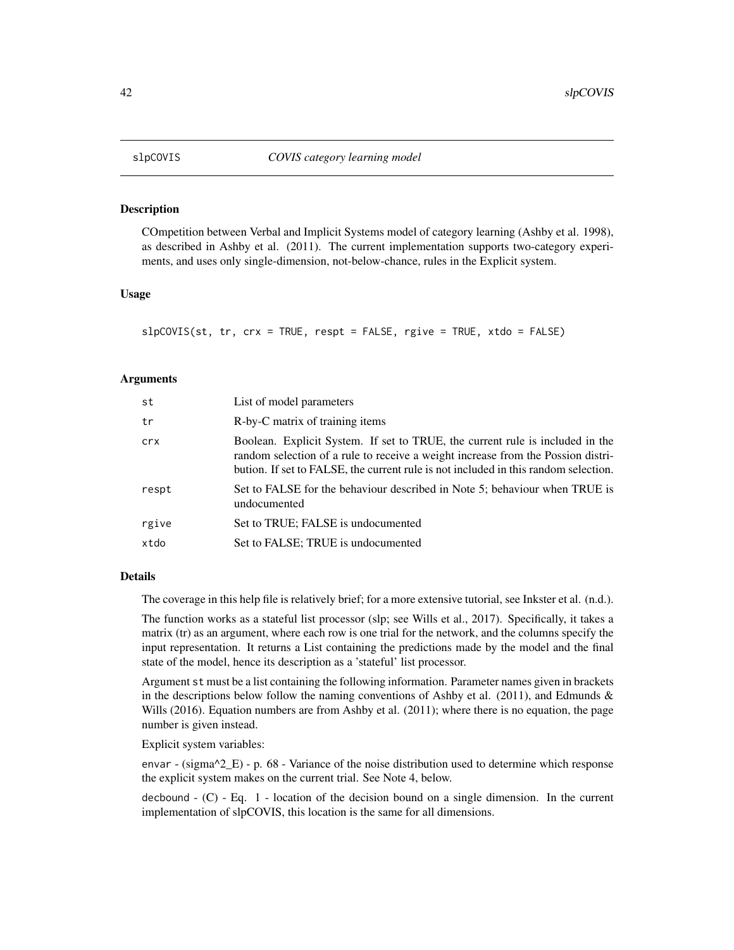<span id="page-41-0"></span>

### Description

COmpetition between Verbal and Implicit Systems model of category learning (Ashby et al. 1998), as described in Ashby et al. (2011). The current implementation supports two-category experiments, and uses only single-dimension, not-below-chance, rules in the Explicit system.

#### Usage

slpCOVIS(st, tr, crx = TRUE, respt = FALSE, rgive = TRUE, xtdo = FALSE)

#### Arguments

| st    | List of model parameters                                                                                                                                                                                                                                 |
|-------|----------------------------------------------------------------------------------------------------------------------------------------------------------------------------------------------------------------------------------------------------------|
| tr    | R-by-C matrix of training items                                                                                                                                                                                                                          |
| crx   | Boolean. Explicit System. If set to TRUE, the current rule is included in the<br>random selection of a rule to receive a weight increase from the Possion distri-<br>bution. If set to FALSE, the current rule is not included in this random selection. |
| respt | Set to FALSE for the behaviour described in Note 5; behaviour when TRUE is<br>undocumented                                                                                                                                                               |
| rgive | Set to TRUE; FALSE is undocumented                                                                                                                                                                                                                       |
| xtdo  | Set to FALSE; TRUE is undocumented                                                                                                                                                                                                                       |

#### Details

The coverage in this help file is relatively brief; for a more extensive tutorial, see Inkster et al. (n.d.).

The function works as a stateful list processor (slp; see Wills et al., 2017). Specifically, it takes a matrix (tr) as an argument, where each row is one trial for the network, and the columns specify the input representation. It returns a List containing the predictions made by the model and the final state of the model, hence its description as a 'stateful' list processor.

Argument st must be a list containing the following information. Parameter names given in brackets in the descriptions below follow the naming conventions of Ashby et al. (2011), and Edmunds  $\&$ Wills (2016). Equation numbers are from Ashby et al. (2011); where there is no equation, the page number is given instead.

Explicit system variables:

envar - (sigma $^2$ \_E) - p. 68 - Variance of the noise distribution used to determine which response the explicit system makes on the current trial. See Note 4, below.

decbound  $-$  (C)  $-$  Eq. 1  $-$  location of the decision bound on a single dimension. In the current implementation of slpCOVIS, this location is the same for all dimensions.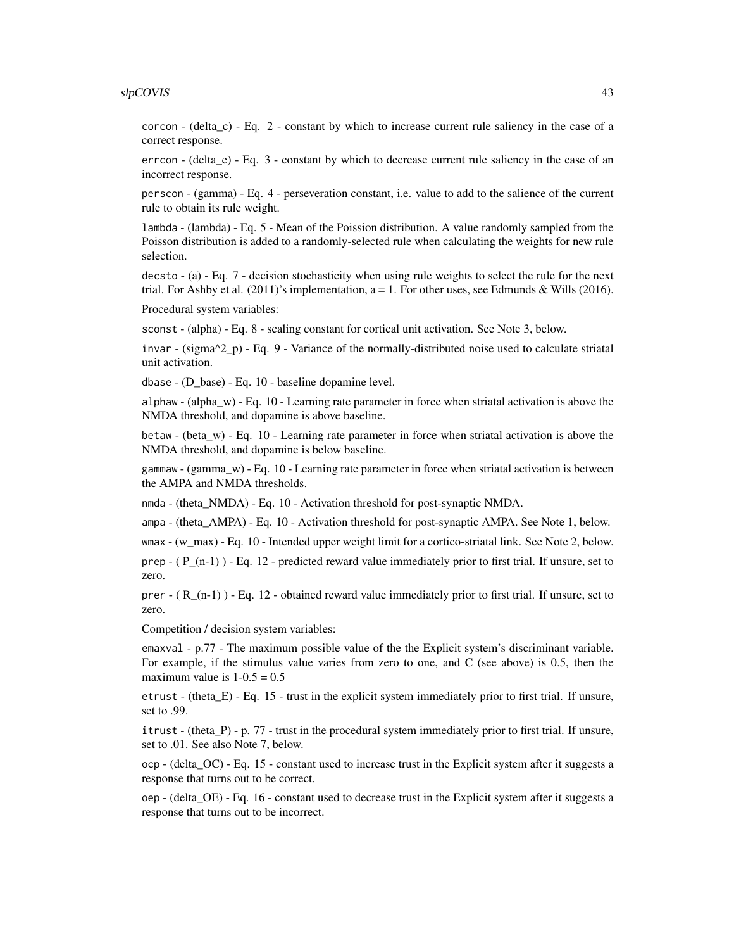#### slpCOVIS 43

corcon - (delta\_c) - Eq. 2 - constant by which to increase current rule saliency in the case of a correct response.

errcon - (delta\_e) - Eq. 3 - constant by which to decrease current rule saliency in the case of an incorrect response.

perscon - (gamma) - Eq. 4 - perseveration constant, i.e. value to add to the salience of the current rule to obtain its rule weight.

lambda - (lambda) - Eq. 5 - Mean of the Poission distribution. A value randomly sampled from the Poisson distribution is added to a randomly-selected rule when calculating the weights for new rule selection.

decsto - (a) - Eq. 7 - decision stochasticity when using rule weights to select the rule for the next trial. For Ashby et al.  $(2011)'$ s implementation, a = 1. For other uses, see Edmunds & Wills  $(2016)$ .

Procedural system variables:

sconst - (alpha) - Eq. 8 - scaling constant for cortical unit activation. See Note 3, below.

invar - (sigma^2\_p) - Eq. 9 - Variance of the normally-distributed noise used to calculate striatal unit activation.

dbase - (D\_base) - Eq. 10 - baseline dopamine level.

alphaw - (alpha\_w) - Eq. 10 - Learning rate parameter in force when striatal activation is above the NMDA threshold, and dopamine is above baseline.

betaw - (beta\_w) - Eq. 10 - Learning rate parameter in force when striatal activation is above the NMDA threshold, and dopamine is below baseline.

gammaw - (gamma\_w) - Eq. 10 - Learning rate parameter in force when striatal activation is between the AMPA and NMDA thresholds.

nmda - (theta\_NMDA) - Eq. 10 - Activation threshold for post-synaptic NMDA.

ampa - (theta\_AMPA) - Eq. 10 - Activation threshold for post-synaptic AMPA. See Note 1, below.

wmax - (w\_max) - Eq. 10 - Intended upper weight limit for a cortico-striatal link. See Note 2, below.

prep  $-$  ( $P_{n-1}$ ) - Eq. 12 - predicted reward value immediately prior to first trial. If unsure, set to zero.

prer  $-$  ( R (n-1) ) - Eq. 12 - obtained reward value immediately prior to first trial. If unsure, set to zero.

Competition / decision system variables:

emaxval - p.77 - The maximum possible value of the the Explicit system's discriminant variable. For example, if the stimulus value varies from zero to one, and C (see above) is 0.5, then the maximum value is  $1-0.5 = 0.5$ 

etrust - (theta $E$ ) - Eq. 15 - trust in the explicit system immediately prior to first trial. If unsure, set to .99.

itrust - (theta\_P) - p. 77 - trust in the procedural system immediately prior to first trial. If unsure, set to .01. See also Note 7, below.

ocp - (delta\_OC) - Eq. 15 - constant used to increase trust in the Explicit system after it suggests a response that turns out to be correct.

oep - (delta\_OE) - Eq. 16 - constant used to decrease trust in the Explicit system after it suggests a response that turns out to be incorrect.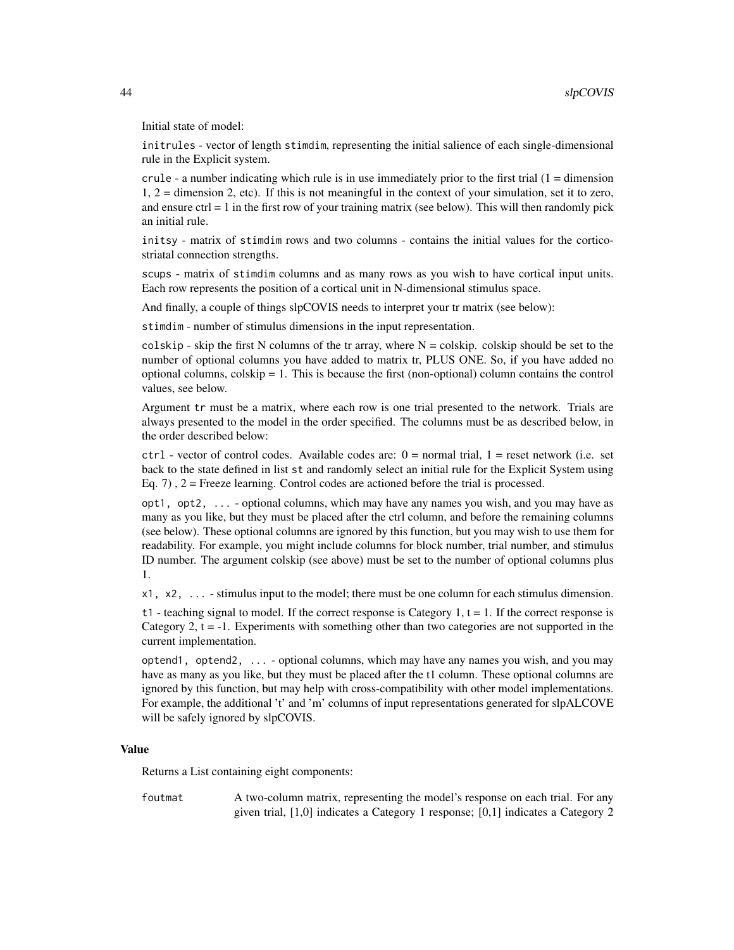Initial state of model:

initrules - vector of length stimdim, representing the initial salience of each single-dimensional rule in the Explicit system.

crule - a number indicating which rule is in use immediately prior to the first trial  $(1 =$  dimension 1, 2 = dimension 2, etc). If this is not meaningful in the context of your simulation, set it to zero, and ensure  $ctrl = 1$  in the first row of your training matrix (see below). This will then randomly pick an initial rule.

initsy - matrix of stimdim rows and two columns - contains the initial values for the corticostriatal connection strengths.

scups - matrix of stimdim columns and as many rows as you wish to have cortical input units. Each row represents the position of a cortical unit in N-dimensional stimulus space.

And finally, a couple of things slpCOVIS needs to interpret your tr matrix (see below):

stimdim - number of stimulus dimensions in the input representation.

colskip - skip the first N columns of the tr array, where  $N = \text{colskip}$ . colskip should be set to the number of optional columns you have added to matrix tr, PLUS ONE. So, if you have added no optional columns, colskip = 1. This is because the first (non-optional) column contains the control values, see below.

Argument tr must be a matrix, where each row is one trial presented to the network. Trials are always presented to the model in the order specified. The columns must be as described below, in the order described below:

 $ctrl - vector$  of control codes. Available codes are:  $0 = normal trial$ ,  $1 = reset$  network (i.e. set back to the state defined in list st and randomly select an initial rule for the Explicit System using Eq. 7),  $2 =$  Freeze learning. Control codes are actioned before the trial is processed.

opt1, opt2, ... - optional columns, which may have any names you wish, and you may have as many as you like, but they must be placed after the ctrl column, and before the remaining columns (see below). These optional columns are ignored by this function, but you may wish to use them for readability. For example, you might include columns for block number, trial number, and stimulus ID number. The argument colskip (see above) must be set to the number of optional columns plus 1.

x1, x2, ... - stimulus input to the model; there must be one column for each stimulus dimension.

t1 - teaching signal to model. If the correct response is Category 1,  $t = 1$ . If the correct response is Category 2,  $t = -1$ . Experiments with something other than two categories are not supported in the current implementation.

optend1, optend2, ... - optional columns, which may have any names you wish, and you may have as many as you like, but they must be placed after the t1 column. These optional columns are ignored by this function, but may help with cross-compatibility with other model implementations. For example, the additional 't' and 'm' columns of input representations generated for slpALCOVE will be safely ignored by slpCOVIS.

#### Value

Returns a List containing eight components:

foutmat A two-column matrix, representing the model's response on each trial. For any given trial, [1,0] indicates a Category 1 response; [0,1] indicates a Category 2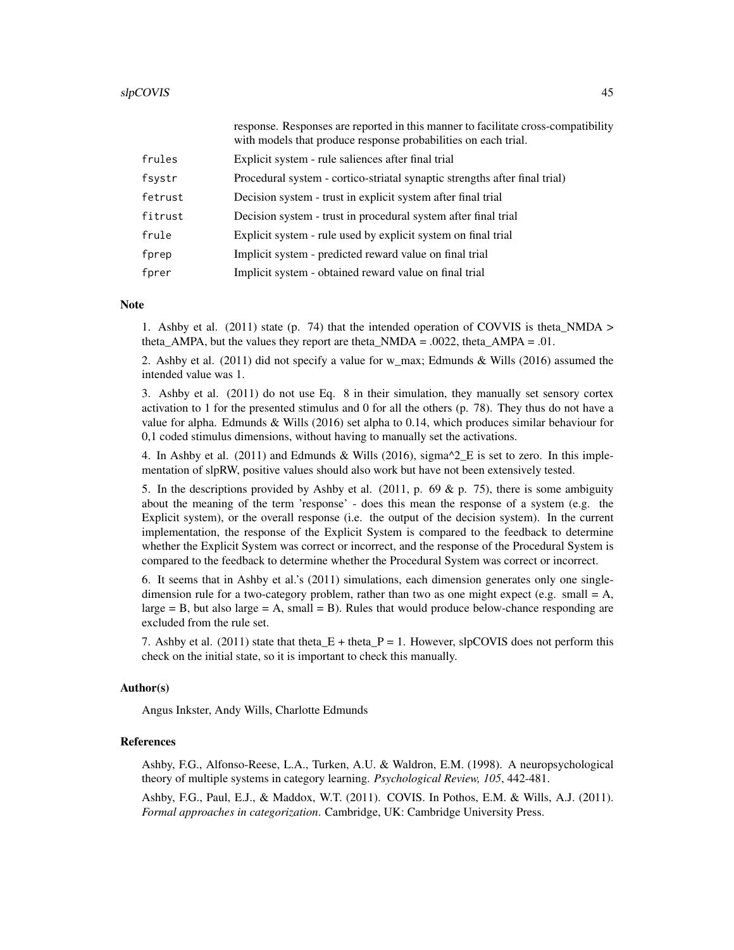|         | response. Responses are reported in this manner to facilitate cross-compatibility<br>with models that produce response probabilities on each trial. |
|---------|-----------------------------------------------------------------------------------------------------------------------------------------------------|
| frules  | Explicit system - rule saliences after final trial                                                                                                  |
| fsystr  | Procedural system - cortico-striatal synaptic strengths after final trial)                                                                          |
| fetrust | Decision system - trust in explicit system after final trial                                                                                        |
| fitrust | Decision system - trust in procedural system after final trial                                                                                      |
| frule   | Explicit system - rule used by explicit system on final trial                                                                                       |
| fprep   | Implicit system - predicted reward value on final trial                                                                                             |
| fprer   | Implicit system - obtained reward value on final trial                                                                                              |

#### **Note**

1. Ashby et al. (2011) state (p. 74) that the intended operation of COVVIS is theta\_NMDA > theta\_AMPA, but the values they report are theta\_NMDA =  $.0022$ , theta\_AMPA =  $.01$ .

2. Ashby et al. (2011) did not specify a value for w\_max; Edmunds & Wills (2016) assumed the intended value was 1.

3. Ashby et al. (2011) do not use Eq. 8 in their simulation, they manually set sensory cortex activation to 1 for the presented stimulus and 0 for all the others (p. 78). They thus do not have a value for alpha. Edmunds & Wills (2016) set alpha to 0.14, which produces similar behaviour for 0,1 coded stimulus dimensions, without having to manually set the activations.

4. In Ashby et al. (2011) and Edmunds & Wills (2016), sigma $^2$ <sub>E</sub> is set to zero. In this implementation of slpRW, positive values should also work but have not been extensively tested.

5. In the descriptions provided by Ashby et al. (2011, p. 69 & p. 75), there is some ambiguity about the meaning of the term 'response' - does this mean the response of a system (e.g. the Explicit system), or the overall response (i.e. the output of the decision system). In the current implementation, the response of the Explicit System is compared to the feedback to determine whether the Explicit System was correct or incorrect, and the response of the Procedural System is compared to the feedback to determine whether the Procedural System was correct or incorrect.

6. It seems that in Ashby et al.'s (2011) simulations, each dimension generates only one singledimension rule for a two-category problem, rather than two as one might expect (e.g. small  $= A$ ,  $\text{large} = B$ , but also large = A, small = B). Rules that would produce below-chance responding are excluded from the rule set.

7. Ashby et al. (2011) state that theta  $E +$  theta  $P = 1$ . However, slpCOVIS does not perform this check on the initial state, so it is important to check this manually.

### Author(s)

Angus Inkster, Andy Wills, Charlotte Edmunds

### References

Ashby, F.G., Alfonso-Reese, L.A., Turken, A.U. & Waldron, E.M. (1998). A neuropsychological theory of multiple systems in category learning. *Psychological Review, 105*, 442-481.

Ashby, F.G., Paul, E.J., & Maddox, W.T. (2011). COVIS. In Pothos, E.M. & Wills, A.J. (2011). *Formal approaches in categorization*. Cambridge, UK: Cambridge University Press.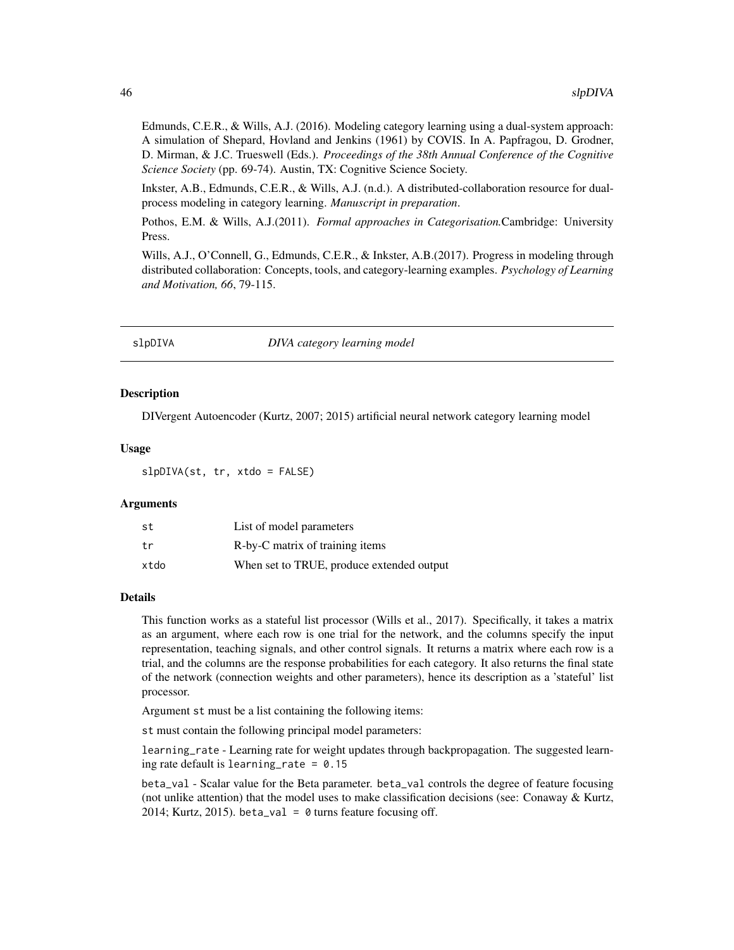<span id="page-45-0"></span>Edmunds, C.E.R., & Wills, A.J. (2016). Modeling category learning using a dual-system approach: A simulation of Shepard, Hovland and Jenkins (1961) by COVIS. In A. Papfragou, D. Grodner, D. Mirman, & J.C. Trueswell (Eds.). *Proceedings of the 38th Annual Conference of the Cognitive Science Society* (pp. 69-74). Austin, TX: Cognitive Science Society.

Inkster, A.B., Edmunds, C.E.R., & Wills, A.J. (n.d.). A distributed-collaboration resource for dualprocess modeling in category learning. *Manuscript in preparation*.

Pothos, E.M. & Wills, A.J.(2011). *Formal approaches in Categorisation.*Cambridge: University Press.

Wills, A.J., O'Connell, G., Edmunds, C.E.R., & Inkster, A.B.(2017). Progress in modeling through distributed collaboration: Concepts, tools, and category-learning examples. *Psychology of Learning and Motivation, 66*, 79-115.

slpDIVA *DIVA category learning model*

### Description

DIVergent Autoencoder (Kurtz, 2007; 2015) artificial neural network category learning model

### Usage

slpDIVA(st, tr, xtdo = FALSE)

#### Arguments

| st   | List of model parameters                  |
|------|-------------------------------------------|
| t.r  | R-by-C matrix of training items           |
| xtdo | When set to TRUE, produce extended output |

#### Details

This function works as a stateful list processor (Wills et al., 2017). Specifically, it takes a matrix as an argument, where each row is one trial for the network, and the columns specify the input representation, teaching signals, and other control signals. It returns a matrix where each row is a trial, and the columns are the response probabilities for each category. It also returns the final state of the network (connection weights and other parameters), hence its description as a 'stateful' list processor.

Argument st must be a list containing the following items:

st must contain the following principal model parameters:

learning\_rate - Learning rate for weight updates through backpropagation. The suggested learning rate default is learning\_rate =  $0.15$ 

beta\_val - Scalar value for the Beta parameter. beta\_val controls the degree of feature focusing (not unlike attention) that the model uses to make classification decisions (see: Conaway  $\&$  Kurtz, 2014; Kurtz, 2015). beta\_val =  $\theta$  turns feature focusing off.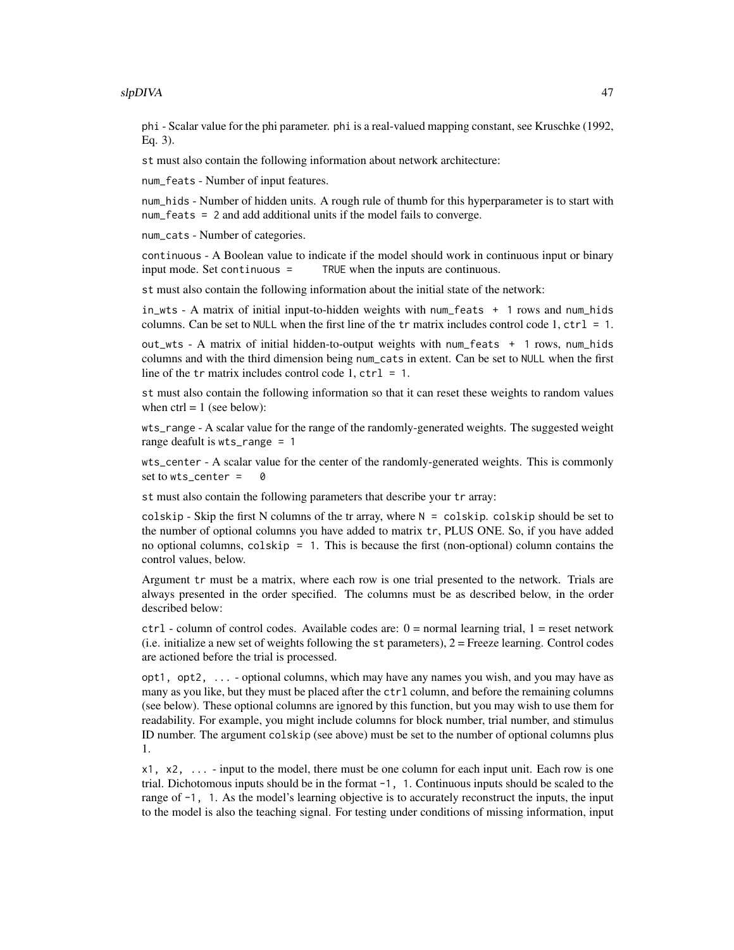phi - Scalar value for the phi parameter. phi is a real-valued mapping constant, see Kruschke (1992, Eq. 3).

st must also contain the following information about network architecture:

num\_feats - Number of input features.

num\_hids - Number of hidden units. A rough rule of thumb for this hyperparameter is to start with num\_feats = 2 and add additional units if the model fails to converge.

num\_cats - Number of categories.

continuous - A Boolean value to indicate if the model should work in continuous input or binary input mode. Set continuous = TRUE when the inputs are continuous.

st must also contain the following information about the initial state of the network:

in\_wts - A matrix of initial input-to-hidden weights with num\_feats + 1 rows and num\_hids columns. Can be set to NULL when the first line of the  $tr$  matrix includes control code 1,  $ctrl = 1$ .

out\_wts - A matrix of initial hidden-to-output weights with num\_feats + 1 rows, num\_hids columns and with the third dimension being num\_cats in extent. Can be set to NULL when the first line of the tr matrix includes control code 1,  $ctrl = 1$ .

st must also contain the following information so that it can reset these weights to random values when  $ctrl = 1$  (see below):

wts\_range - A scalar value for the range of the randomly-generated weights. The suggested weight range deafult is wts\_range = 1

wts\_center - A scalar value for the center of the randomly-generated weights. This is commonly set to  $wts_c$  center = 0

st must also contain the following parameters that describe your tr array:

colskip - Skip the first N columns of the tr array, where  $N = \text{colskip}$ . colskip should be set to the number of optional columns you have added to matrix tr, PLUS ONE. So, if you have added no optional columns, colskip = 1. This is because the first (non-optional) column contains the control values, below.

Argument tr must be a matrix, where each row is one trial presented to the network. Trials are always presented in the order specified. The columns must be as described below, in the order described below:

 $ctrl - column$  of control codes. Available codes are:  $0 = normal$  learning trial,  $1 = reset$  network (i.e. initialize a new set of weights following the st parameters), 2 = Freeze learning. Control codes are actioned before the trial is processed.

opt1, opt2, ... - optional columns, which may have any names you wish, and you may have as many as you like, but they must be placed after the ctrl column, and before the remaining columns (see below). These optional columns are ignored by this function, but you may wish to use them for readability. For example, you might include columns for block number, trial number, and stimulus ID number. The argument colskip (see above) must be set to the number of optional columns plus 1.

 $x1, x2, \ldots$  - input to the model, there must be one column for each input unit. Each row is one trial. Dichotomous inputs should be in the format -1, 1. Continuous inputs should be scaled to the range of  $-1$ , 1. As the model's learning objective is to accurately reconstruct the inputs, the input to the model is also the teaching signal. For testing under conditions of missing information, input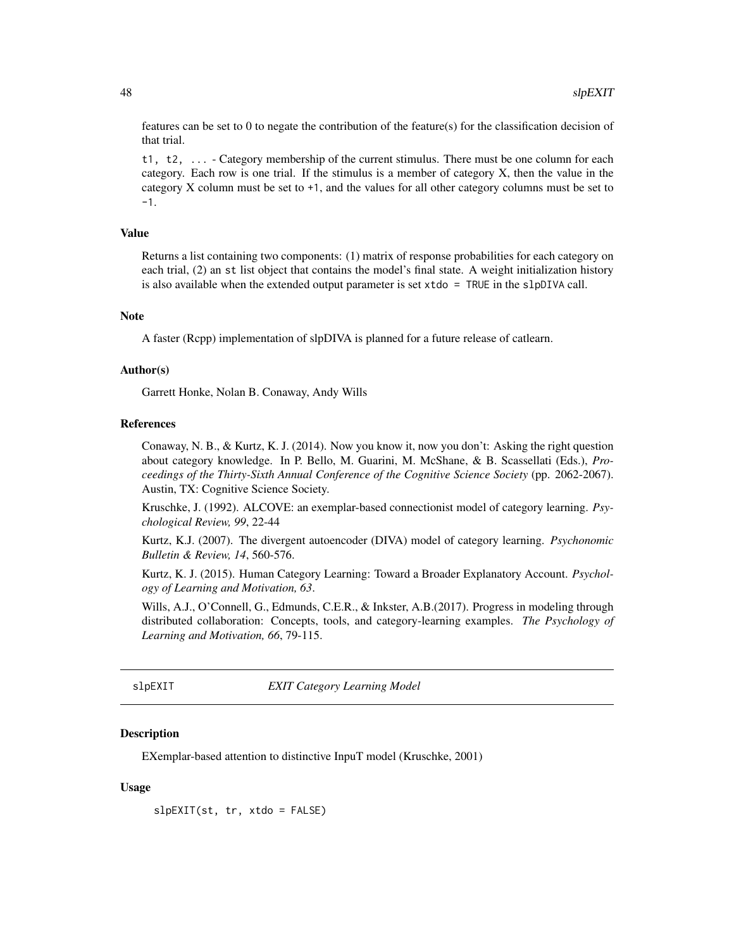features can be set to 0 to negate the contribution of the feature(s) for the classification decision of that trial.

t1, t2, ... - Category membership of the current stimulus. There must be one column for each category. Each row is one trial. If the stimulus is a member of category X, then the value in the category X column must be set to +1, and the values for all other category columns must be set to -1.

### Value

Returns a list containing two components: (1) matrix of response probabilities for each category on each trial, (2) an st list object that contains the model's final state. A weight initialization history is also available when the extended output parameter is set  $x \cdot \text{tdo} = \text{TRUE}$  in the slpDIVA call.

### Note

A faster (Rcpp) implementation of slpDIVA is planned for a future release of catlearn.

### Author(s)

Garrett Honke, Nolan B. Conaway, Andy Wills

#### References

Conaway, N. B., & Kurtz, K. J. (2014). Now you know it, now you don't: Asking the right question about category knowledge. In P. Bello, M. Guarini, M. McShane, & B. Scassellati (Eds.), *Proceedings of the Thirty-Sixth Annual Conference of the Cognitive Science Society* (pp. 2062-2067). Austin, TX: Cognitive Science Society.

Kruschke, J. (1992). ALCOVE: an exemplar-based connectionist model of category learning. *Psychological Review, 99*, 22-44

Kurtz, K.J. (2007). The divergent autoencoder (DIVA) model of category learning. *Psychonomic Bulletin & Review, 14*, 560-576.

Kurtz, K. J. (2015). Human Category Learning: Toward a Broader Explanatory Account. *Psychology of Learning and Motivation, 63*.

Wills, A.J., O'Connell, G., Edmunds, C.E.R., & Inkster, A.B.(2017). Progress in modeling through distributed collaboration: Concepts, tools, and category-learning examples. *The Psychology of Learning and Motivation, 66*, 79-115.

<span id="page-47-1"></span>slpEXIT *EXIT Category Learning Model*

### **Description**

EXemplar-based attention to distinctive InpuT model (Kruschke, 2001)

#### Usage

slpEXIT(st, tr, xtdo = FALSE)

<span id="page-47-0"></span>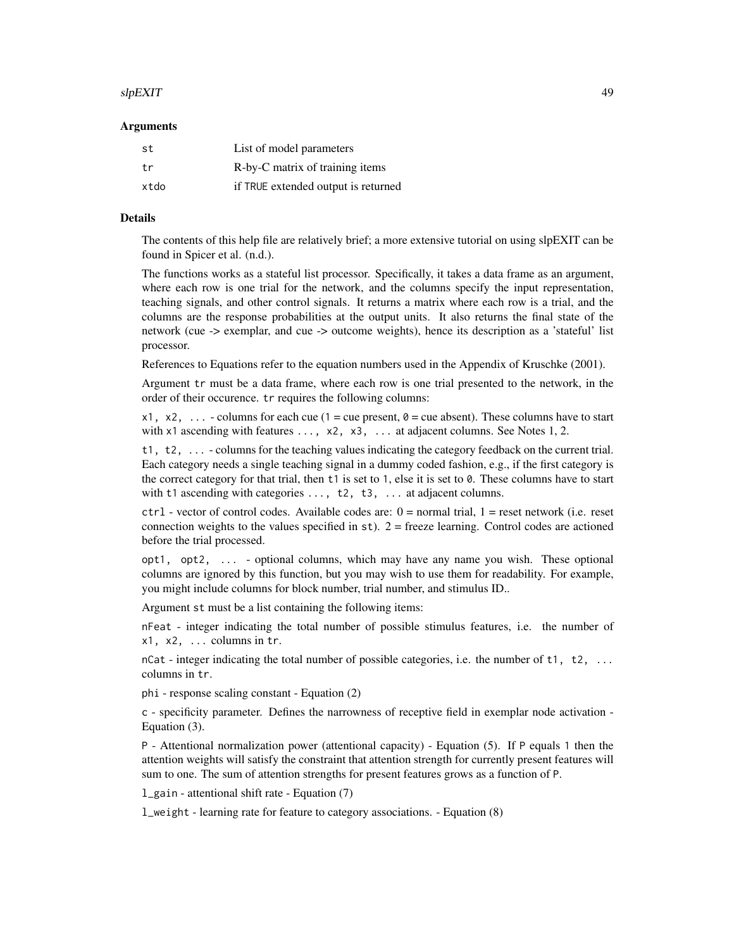#### slpEXIT 49

#### Arguments

| st   | List of model parameters            |
|------|-------------------------------------|
| tr   | R-by-C matrix of training items     |
| xtdo | if TRUE extended output is returned |

### Details

The contents of this help file are relatively brief; a more extensive tutorial on using slpEXIT can be found in Spicer et al. (n.d.).

The functions works as a stateful list processor. Specifically, it takes a data frame as an argument, where each row is one trial for the network, and the columns specify the input representation, teaching signals, and other control signals. It returns a matrix where each row is a trial, and the columns are the response probabilities at the output units. It also returns the final state of the network (cue -> exemplar, and cue -> outcome weights), hence its description as a 'stateful' list processor.

References to Equations refer to the equation numbers used in the Appendix of Kruschke (2001).

Argument tr must be a data frame, where each row is one trial presented to the network, in the order of their occurence. tr requires the following columns:

x1, x2, ... - columns for each cue (1 = cue present,  $\theta$  = cue absent). These columns have to start with  $x1$  ascending with features  $\dots$ ,  $x2$ ,  $x3$ ,  $\dots$  at adjacent columns. See Notes 1, 2.

t1, t2, ... - columns for the teaching values indicating the category feedback on the current trial. Each category needs a single teaching signal in a dummy coded fashion, e.g., if the first category is the correct category for that trial, then t1 is set to 1, else it is set to 0. These columns have to start with t1 ascending with categories ..., t2, t3, ... at adjacent columns.

 $ctrl - vector$  of control codes. Available codes are:  $0 = normal trial$ ,  $1 = reset$  network (i.e. reset connection weights to the values specified in  $st$ ).  $2 =$  freeze learning. Control codes are actioned before the trial processed.

opt1, opt2, ... - optional columns, which may have any name you wish. These optional columns are ignored by this function, but you may wish to use them for readability. For example, you might include columns for block number, trial number, and stimulus ID..

Argument st must be a list containing the following items:

nFeat - integer indicating the total number of possible stimulus features, i.e. the number of  $x1, x2, \ldots$  columns in tr.

nCat - integer indicating the total number of possible categories, i.e. the number of  $t1$ ,  $t2$ , ... columns in tr.

phi - response scaling constant - Equation (2)

c - specificity parameter. Defines the narrowness of receptive field in exemplar node activation - Equation (3).

P - Attentional normalization power (attentional capacity) - Equation (5). If P equals 1 then the attention weights will satisfy the constraint that attention strength for currently present features will sum to one. The sum of attention strengths for present features grows as a function of P.

l\_gain - attentional shift rate - Equation (7)

l\_weight - learning rate for feature to category associations. - Equation (8)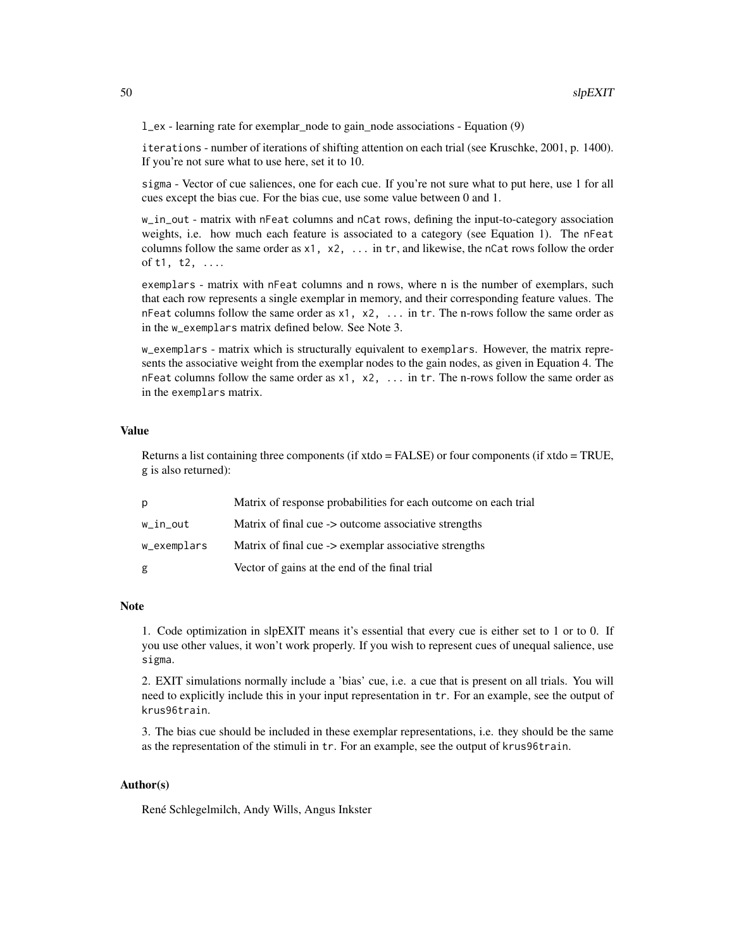l\_ex - learning rate for exemplar\_node to gain\_node associations - Equation (9)

iterations - number of iterations of shifting attention on each trial (see Kruschke, 2001, p. 1400). If you're not sure what to use here, set it to 10.

sigma - Vector of cue saliences, one for each cue. If you're not sure what to put here, use 1 for all cues except the bias cue. For the bias cue, use some value between 0 and 1.

w\_in\_out - matrix with nFeat columns and nCat rows, defining the input-to-category association weights, i.e. how much each feature is associated to a category (see Equation 1). The nFeat columns follow the same order as  $x1$ ,  $x2$ ,  $\dots$  in tr, and likewise, the nCat rows follow the order of t1, t2, ....

exemplars - matrix with nFeat columns and n rows, where n is the number of exemplars, such that each row represents a single exemplar in memory, and their corresponding feature values. The nFeat columns follow the same order as  $x1$ ,  $x2$ ,  $\ldots$  in tr. The n-rows follow the same order as in the w\_exemplars matrix defined below. See Note 3.

w\_exemplars - matrix which is structurally equivalent to exemplars. However, the matrix represents the associative weight from the exemplar nodes to the gain nodes, as given in Equation 4. The nFeat columns follow the same order as  $x1$ ,  $x2$ , ... in tr. The n-rows follow the same order as in the exemplars matrix.

#### Value

Returns a list containing three components (if xtdo = FALSE) or four components (if xtdo = TRUE, g is also returned):

| p           | Matrix of response probabilities for each outcome on each trial |
|-------------|-----------------------------------------------------------------|
| w_in_out    | Matrix of final cue -> outcome associative strengths            |
| w_exemplars | Matrix of final cue -> exemplar associative strengths           |
| g           | Vector of gains at the end of the final trial                   |

#### **Note**

1. Code optimization in slpEXIT means it's essential that every cue is either set to 1 or to 0. If you use other values, it won't work properly. If you wish to represent cues of unequal salience, use sigma.

2. EXIT simulations normally include a 'bias' cue, i.e. a cue that is present on all trials. You will need to explicitly include this in your input representation in tr. For an example, see the output of krus96train.

3. The bias cue should be included in these exemplar representations, i.e. they should be the same as the representation of the stimuli in tr. For an example, see the output of krus96train.

### Author(s)

René Schlegelmilch, Andy Wills, Angus Inkster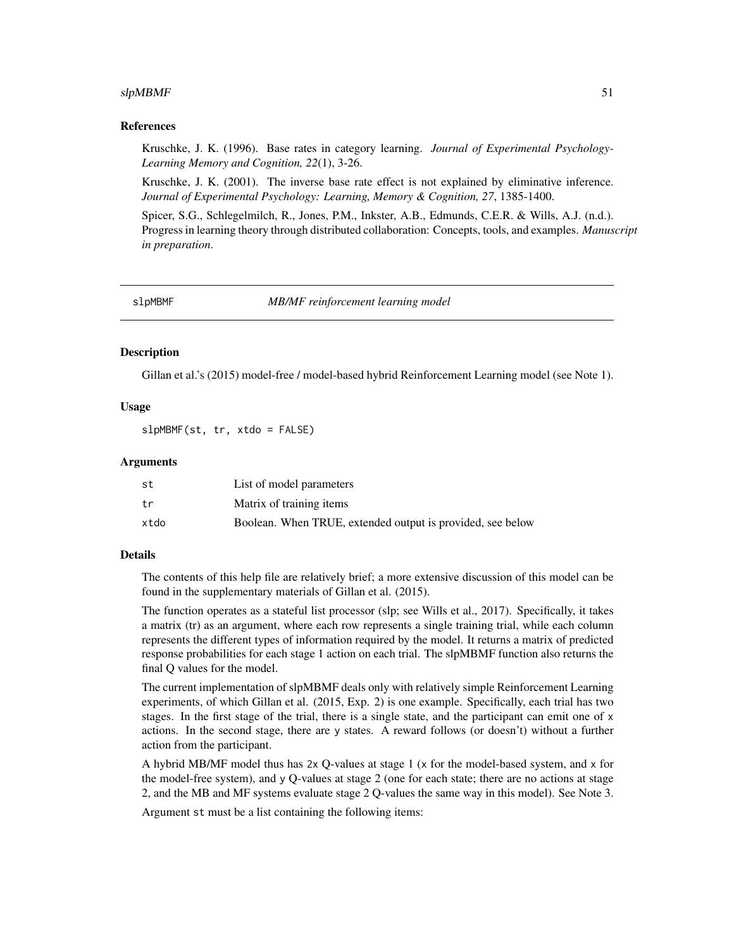### <span id="page-50-0"></span> $s$ lpMBMF 51

### References

Kruschke, J. K. (1996). Base rates in category learning. *Journal of Experimental Psychology-Learning Memory and Cognition, 22*(1), 3-26.

Kruschke, J. K. (2001). The inverse base rate effect is not explained by eliminative inference. *Journal of Experimental Psychology: Learning, Memory & Cognition, 27*, 1385-1400.

Spicer, S.G., Schlegelmilch, R., Jones, P.M., Inkster, A.B., Edmunds, C.E.R. & Wills, A.J. (n.d.). Progress in learning theory through distributed collaboration: Concepts, tools, and examples. *Manuscript in preparation*.

slpMBMF *MB/MF reinforcement learning model*

#### **Description**

Gillan et al.'s (2015) model-free / model-based hybrid Reinforcement Learning model (see Note 1).

### Usage

slpMBMF(st, tr, xtdo = FALSE)

### Arguments

| st   | List of model parameters                                   |
|------|------------------------------------------------------------|
| tr   | Matrix of training items                                   |
| xtdo | Boolean. When TRUE, extended output is provided, see below |

### Details

The contents of this help file are relatively brief; a more extensive discussion of this model can be found in the supplementary materials of Gillan et al. (2015).

The function operates as a stateful list processor (slp; see Wills et al., 2017). Specifically, it takes a matrix (tr) as an argument, where each row represents a single training trial, while each column represents the different types of information required by the model. It returns a matrix of predicted response probabilities for each stage 1 action on each trial. The slpMBMF function also returns the final Q values for the model.

The current implementation of slpMBMF deals only with relatively simple Reinforcement Learning experiments, of which Gillan et al. (2015, Exp. 2) is one example. Specifically, each trial has two stages. In the first stage of the trial, there is a single state, and the participant can emit one of x actions. In the second stage, there are y states. A reward follows (or doesn't) without a further action from the participant.

A hybrid MB/MF model thus has 2x Q-values at stage 1 (x for the model-based system, and x for the model-free system), and y Q-values at stage 2 (one for each state; there are no actions at stage 2, and the MB and MF systems evaluate stage 2 Q-values the same way in this model). See Note 3.

Argument st must be a list containing the following items: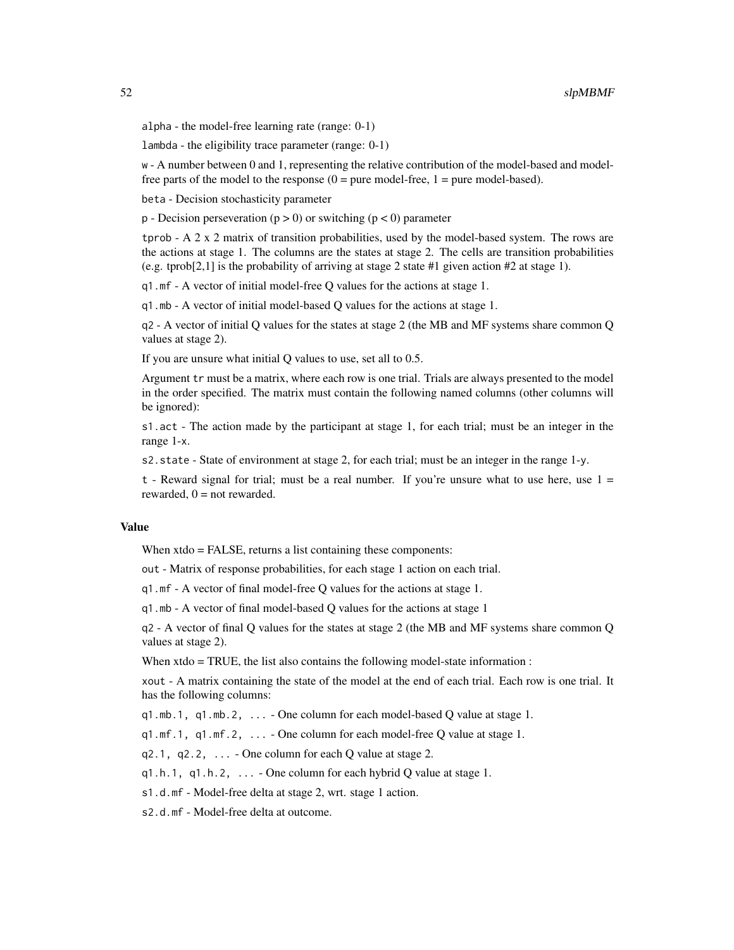alpha - the model-free learning rate (range: 0-1)

lambda - the eligibility trace parameter (range: 0-1)

w - A number between 0 and 1, representing the relative contribution of the model-based and modelfree parts of the model to the response  $(0 = pure \ model-free, 1 = pure \ model-based)$ .

beta - Decision stochasticity parameter

 $p -$  Decision perseveration ( $p > 0$ ) or switching ( $p < 0$ ) parameter

tprob - A 2 x 2 matrix of transition probabilities, used by the model-based system. The rows are the actions at stage 1. The columns are the states at stage 2. The cells are transition probabilities (e.g. tprob[2,1] is the probability of arriving at stage 2 state #1 given action #2 at stage 1).

q1.mf - A vector of initial model-free Q values for the actions at stage 1.

q1.mb - A vector of initial model-based Q values for the actions at stage 1.

q2 - A vector of initial Q values for the states at stage 2 (the MB and MF systems share common Q values at stage 2).

If you are unsure what initial Q values to use, set all to 0.5.

Argument tr must be a matrix, where each row is one trial. Trials are always presented to the model in the order specified. The matrix must contain the following named columns (other columns will be ignored):

s1.act - The action made by the participant at stage 1, for each trial; must be an integer in the range 1-x.

s2.state - State of environment at stage 2, for each trial; must be an integer in the range 1-y.

 $t$  - Reward signal for trial; must be a real number. If you're unsure what to use here, use  $1 =$ rewarded,  $0 =$  not rewarded.

### Value

When xtdo = FALSE, returns a list containing these components:

out - Matrix of response probabilities, for each stage 1 action on each trial.

q1.mf - A vector of final model-free Q values for the actions at stage 1.

q1.mb - A vector of final model-based Q values for the actions at stage 1

q2 - A vector of final Q values for the states at stage 2 (the MB and MF systems share common Q values at stage 2).

When xtdo = TRUE, the list also contains the following model-state information :

xout - A matrix containing the state of the model at the end of each trial. Each row is one trial. It has the following columns:

q1.mb.1, q1.mb.2,  $\dots$  - One column for each model-based Q value at stage 1.

 $q1.mf.1, q1.mf.2, \ldots$  - One column for each model-free O value at stage 1.

 $q2.1$ ,  $q2.2$ ,  $\ldots$  - One column for each Q value at stage 2.

 $q1.h.1$ ,  $q1.h.2$ , ... - One column for each hybrid Q value at stage 1.

s1.d.mf - Model-free delta at stage 2, wrt. stage 1 action.

s2.d.mf - Model-free delta at outcome.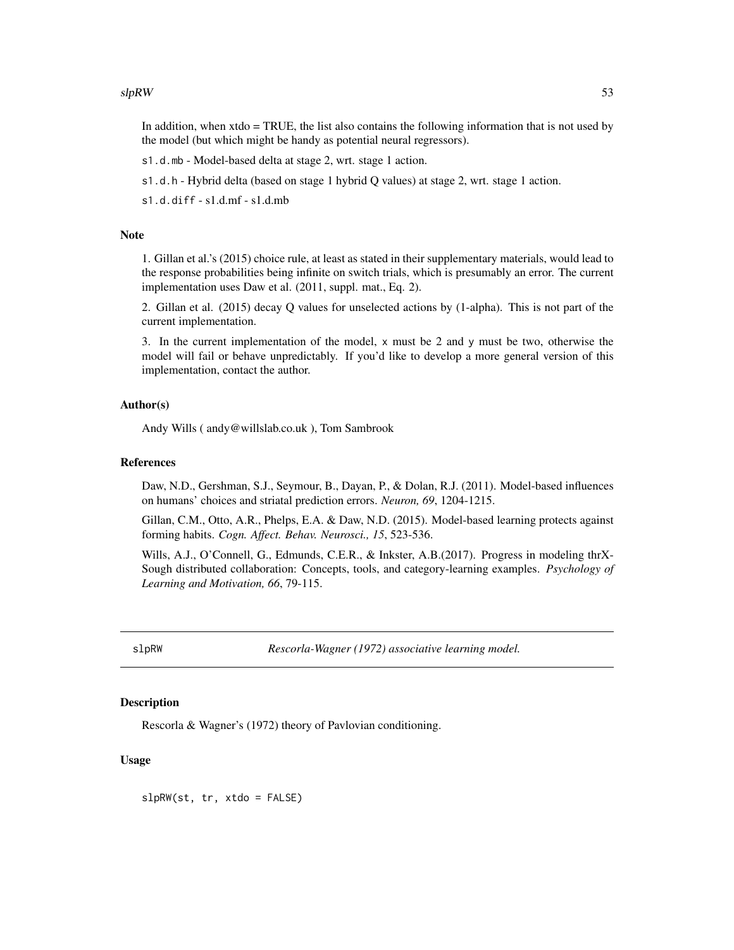#### <span id="page-52-0"></span> $slpRW$  53

In addition, when xtdo = TRUE, the list also contains the following information that is not used by the model (but which might be handy as potential neural regressors).

s1.d.mb - Model-based delta at stage 2, wrt. stage 1 action.

s1.d.h - Hybrid delta (based on stage 1 hybrid Q values) at stage 2, wrt. stage 1 action.

s1.d.diff - s1.d.mf - s1.d.mb

### Note

1. Gillan et al.'s (2015) choice rule, at least as stated in their supplementary materials, would lead to the response probabilities being infinite on switch trials, which is presumably an error. The current implementation uses Daw et al. (2011, suppl. mat., Eq. 2).

2. Gillan et al. (2015) decay Q values for unselected actions by (1-alpha). This is not part of the current implementation.

3. In the current implementation of the model,  $x$  must be 2 and  $y$  must be two, otherwise the model will fail or behave unpredictably. If you'd like to develop a more general version of this implementation, contact the author.

#### Author(s)

Andy Wills ( andy@willslab.co.uk ), Tom Sambrook

### References

Daw, N.D., Gershman, S.J., Seymour, B., Dayan, P., & Dolan, R.J. (2011). Model-based influences on humans' choices and striatal prediction errors. *Neuron, 69*, 1204-1215.

Gillan, C.M., Otto, A.R., Phelps, E.A. & Daw, N.D. (2015). Model-based learning protects against forming habits. *Cogn. Affect. Behav. Neurosci., 15*, 523-536.

Wills, A.J., O'Connell, G., Edmunds, C.E.R., & Inkster, A.B.(2017). Progress in modeling thrX-Sough distributed collaboration: Concepts, tools, and category-learning examples. *Psychology of Learning and Motivation, 66*, 79-115.

slpRW *Rescorla-Wagner (1972) associative learning model.*

### **Description**

Rescorla & Wagner's (1972) theory of Pavlovian conditioning.

### Usage

slpRW(st, tr, xtdo = FALSE)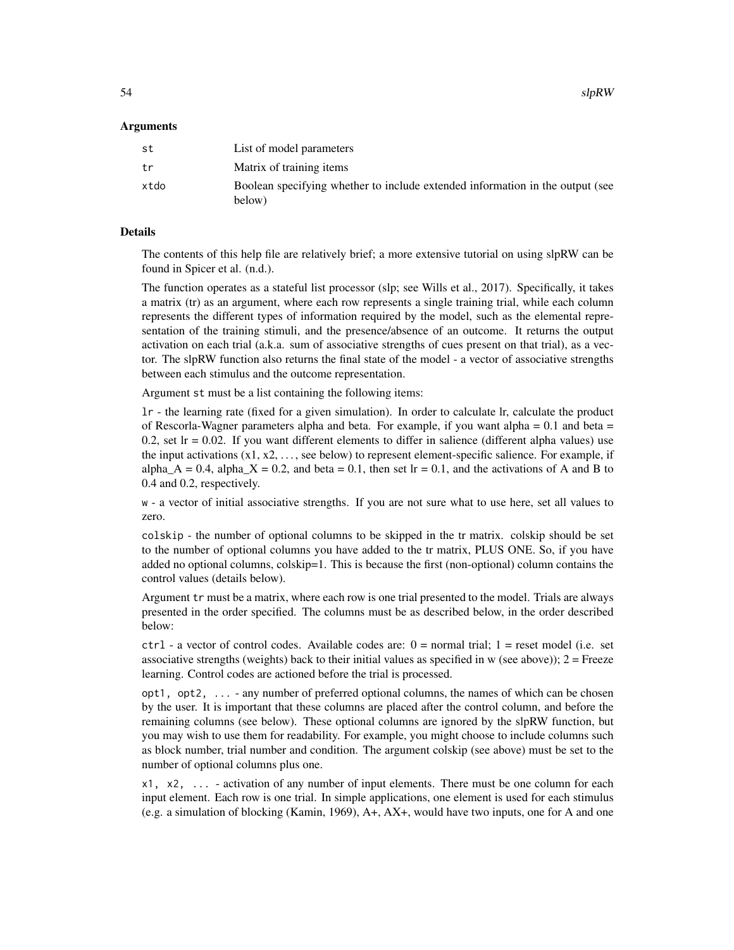$54$  slpRW

#### Arguments

| st   | List of model parameters                                                                |
|------|-----------------------------------------------------------------------------------------|
| tr   | Matrix of training items                                                                |
| xtdo | Boolean specifying whether to include extended information in the output (see<br>below) |

### Details

The contents of this help file are relatively brief; a more extensive tutorial on using slpRW can be found in Spicer et al. (n.d.).

The function operates as a stateful list processor (slp; see Wills et al., 2017). Specifically, it takes a matrix (tr) as an argument, where each row represents a single training trial, while each column represents the different types of information required by the model, such as the elemental representation of the training stimuli, and the presence/absence of an outcome. It returns the output activation on each trial (a.k.a. sum of associative strengths of cues present on that trial), as a vector. The slpRW function also returns the final state of the model - a vector of associative strengths between each stimulus and the outcome representation.

Argument st must be a list containing the following items:

lr - the learning rate (fixed for a given simulation). In order to calculate lr, calculate the product of Rescorla-Wagner parameters alpha and beta. For example, if you want alpha  $= 0.1$  and beta  $=$ 0.2, set  $Ir = 0.02$ . If you want different elements to differ in salience (different alpha values) use the input activations  $(x_1, x_2, \ldots,$  see below) to represent element-specific salience. For example, if alpha\_A = 0.4, alpha\_X = 0.2, and beta = 0.1, then set lr = 0.1, and the activations of A and B to 0.4 and 0.2, respectively.

w - a vector of initial associative strengths. If you are not sure what to use here, set all values to zero.

colskip - the number of optional columns to be skipped in the tr matrix. colskip should be set to the number of optional columns you have added to the tr matrix, PLUS ONE. So, if you have added no optional columns, colskip=1. This is because the first (non-optional) column contains the control values (details below).

Argument tr must be a matrix, where each row is one trial presented to the model. Trials are always presented in the order specified. The columns must be as described below, in the order described below:

 $ctrl - a$  vector of control codes. Available codes are:  $0 = normal trial$ ;  $1 = reset model$  (i.e. set associative strengths (weights) back to their initial values as specified in  $w$  (see above));  $2 =$  Freeze learning. Control codes are actioned before the trial is processed.

opt1, opt2, ... - any number of preferred optional columns, the names of which can be chosen by the user. It is important that these columns are placed after the control column, and before the remaining columns (see below). These optional columns are ignored by the slpRW function, but you may wish to use them for readability. For example, you might choose to include columns such as block number, trial number and condition. The argument colskip (see above) must be set to the number of optional columns plus one.

x1, x2, ... - activation of any number of input elements. There must be one column for each input element. Each row is one trial. In simple applications, one element is used for each stimulus (e.g. a simulation of blocking (Kamin, 1969), A+, AX+, would have two inputs, one for A and one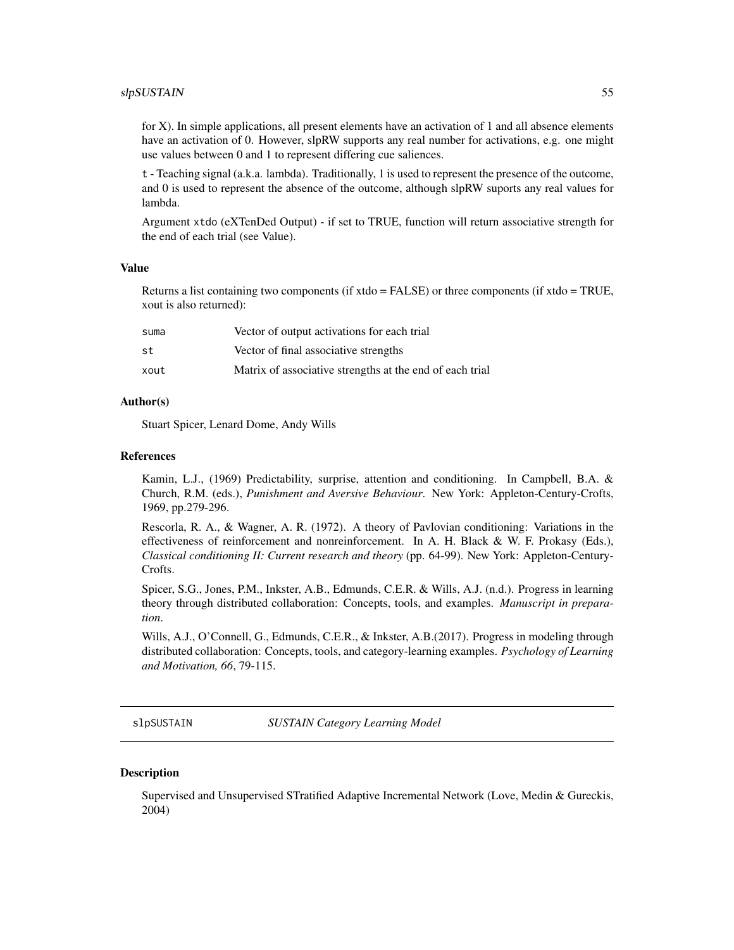#### <span id="page-54-0"></span> $slpSUSTAIN$  55

for X). In simple applications, all present elements have an activation of 1 and all absence elements have an activation of 0. However, slpRW supports any real number for activations, e.g. one might use values between 0 and 1 to represent differing cue saliences.

t - Teaching signal (a.k.a. lambda). Traditionally, 1 is used to represent the presence of the outcome, and 0 is used to represent the absence of the outcome, although slpRW suports any real values for lambda.

Argument xtdo (eXTenDed Output) - if set to TRUE, function will return associative strength for the end of each trial (see Value).

#### Value

Returns a list containing two components (if xtdo = FALSE) or three components (if xtdo = TRUE, xout is also returned):

| suma | Vector of output activations for each trial              |
|------|----------------------------------------------------------|
| st   | Vector of final associative strengths                    |
| xout | Matrix of associative strengths at the end of each trial |

### Author(s)

Stuart Spicer, Lenard Dome, Andy Wills

#### References

Kamin, L.J., (1969) Predictability, surprise, attention and conditioning. In Campbell, B.A. & Church, R.M. (eds.), *Punishment and Aversive Behaviour*. New York: Appleton-Century-Crofts, 1969, pp.279-296.

Rescorla, R. A., & Wagner, A. R. (1972). A theory of Pavlovian conditioning: Variations in the effectiveness of reinforcement and nonreinforcement. In A. H. Black & W. F. Prokasy (Eds.), *Classical conditioning II: Current research and theory* (pp. 64-99). New York: Appleton-Century-Crofts.

Spicer, S.G., Jones, P.M., Inkster, A.B., Edmunds, C.E.R. & Wills, A.J. (n.d.). Progress in learning theory through distributed collaboration: Concepts, tools, and examples. *Manuscript in preparation*.

Wills, A.J., O'Connell, G., Edmunds, C.E.R., & Inkster, A.B.(2017). Progress in modeling through distributed collaboration: Concepts, tools, and category-learning examples. *Psychology of Learning and Motivation, 66*, 79-115.

<span id="page-54-1"></span>slpSUSTAIN *SUSTAIN Category Learning Model*

#### **Description**

Supervised and Unsupervised STratified Adaptive Incremental Network (Love, Medin & Gureckis, 2004)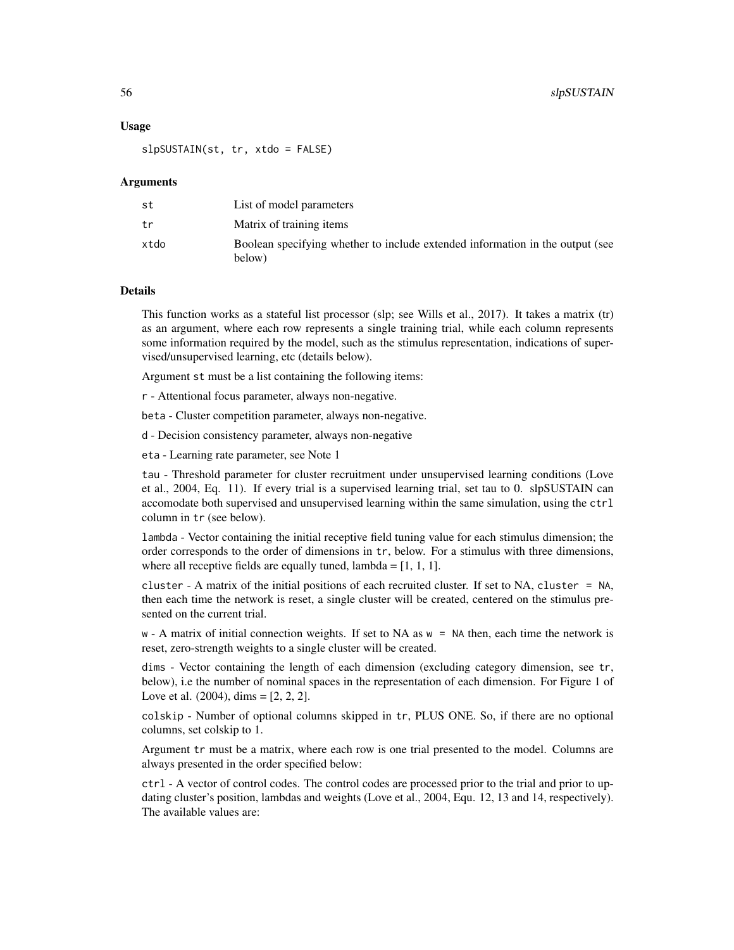#### Usage

slpSUSTAIN(st, tr, xtdo = FALSE)

#### Arguments

| st   | List of model parameters                                                                |
|------|-----------------------------------------------------------------------------------------|
| tr   | Matrix of training items                                                                |
| xtdo | Boolean specifying whether to include extended information in the output (see<br>below) |

#### Details

This function works as a stateful list processor (slp; see Wills et al., 2017). It takes a matrix (tr) as an argument, where each row represents a single training trial, while each column represents some information required by the model, such as the stimulus representation, indications of supervised/unsupervised learning, etc (details below).

Argument st must be a list containing the following items:

r - Attentional focus parameter, always non-negative.

beta - Cluster competition parameter, always non-negative.

d - Decision consistency parameter, always non-negative

eta - Learning rate parameter, see Note 1

tau - Threshold parameter for cluster recruitment under unsupervised learning conditions (Love et al., 2004, Eq. 11). If every trial is a supervised learning trial, set tau to 0. slpSUSTAIN can accomodate both supervised and unsupervised learning within the same simulation, using the ctrl column in tr (see below).

lambda - Vector containing the initial receptive field tuning value for each stimulus dimension; the order corresponds to the order of dimensions in tr, below. For a stimulus with three dimensions, where all receptive fields are equally tuned,  $lambda = [1, 1, 1]$ .

cluster - A matrix of the initial positions of each recruited cluster. If set to NA, cluster = NA, then each time the network is reset, a single cluster will be created, centered on the stimulus presented on the current trial.

w - A matrix of initial connection weights. If set to NA as w = NA then, each time the network is reset, zero-strength weights to a single cluster will be created.

dims - Vector containing the length of each dimension (excluding category dimension, see tr, below), i.e the number of nominal spaces in the representation of each dimension. For Figure 1 of Love et al.  $(2004)$ , dims =  $[2, 2, 2]$ .

colskip - Number of optional columns skipped in tr, PLUS ONE. So, if there are no optional columns, set colskip to 1.

Argument tr must be a matrix, where each row is one trial presented to the model. Columns are always presented in the order specified below:

ctrl - A vector of control codes. The control codes are processed prior to the trial and prior to updating cluster's position, lambdas and weights (Love et al., 2004, Equ. 12, 13 and 14, respectively). The available values are: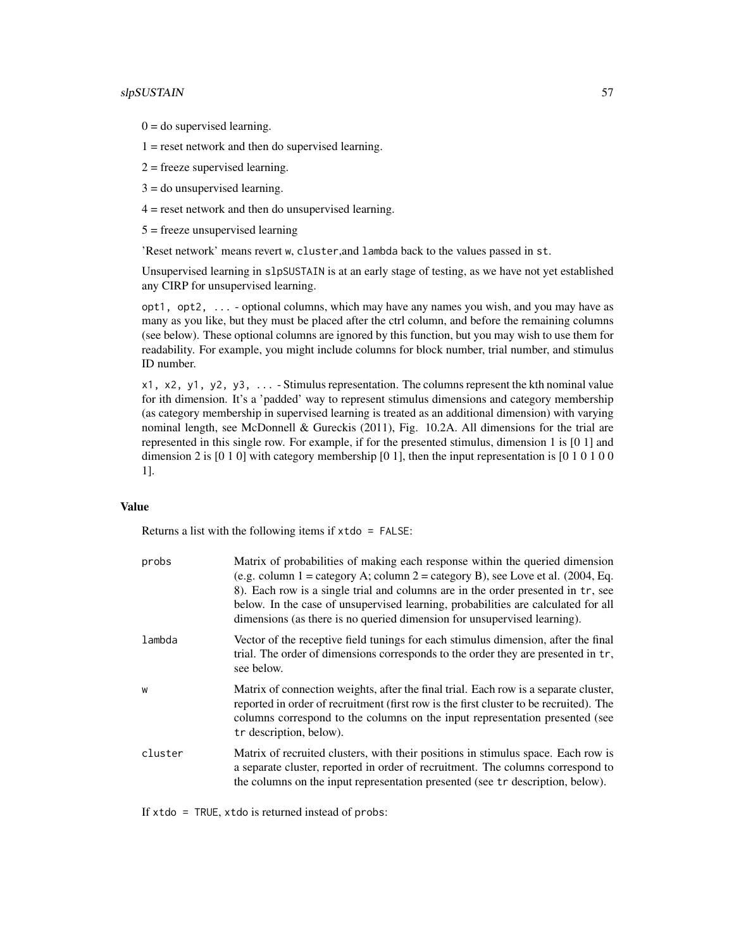### slpSUSTAIN 57

 $0 =$  do supervised learning.

 $1 =$  reset network and then do supervised learning.

 $2$  = freeze supervised learning.

3 = do unsupervised learning.

4 = reset network and then do unsupervised learning.

5 = freeze unsupervised learning

'Reset network' means revert w, cluster,and lambda back to the values passed in st.

Unsupervised learning in slpSUSTAIN is at an early stage of testing, as we have not yet established any CIRP for unsupervised learning.

opt1, opt2, ... - optional columns, which may have any names you wish, and you may have as many as you like, but they must be placed after the ctrl column, and before the remaining columns (see below). These optional columns are ignored by this function, but you may wish to use them for readability. For example, you might include columns for block number, trial number, and stimulus ID number.

x1, x2, y1, y2, y3, ... - Stimulus representation. The columns represent the kth nominal value for ith dimension. It's a 'padded' way to represent stimulus dimensions and category membership (as category membership in supervised learning is treated as an additional dimension) with varying nominal length, see McDonnell & Gureckis (2011), Fig. 10.2A. All dimensions for the trial are represented in this single row. For example, if for the presented stimulus, dimension 1 is [0 1] and dimension 2 is  $[0 1 0]$  with category membership  $[0 1]$ , then the input representation is  $[0 1 0 1 0 0]$ 1].

### Value

Returns a list with the following items if  $x \cdot d$  = FALSE:

| probs   | Matrix of probabilities of making each response within the queried dimension<br>(e.g. column $1 =$ category A; column $2 =$ category B), see Love et al. (2004, Eq.<br>8). Each row is a single trial and columns are in the order presented in tr, see<br>below. In the case of unsupervised learning, probabilities are calculated for all<br>dimensions (as there is no queried dimension for unsupervised learning). |
|---------|--------------------------------------------------------------------------------------------------------------------------------------------------------------------------------------------------------------------------------------------------------------------------------------------------------------------------------------------------------------------------------------------------------------------------|
| lambda  | Vector of the receptive field tunings for each stimulus dimension, after the final<br>trial. The order of dimensions corresponds to the order they are presented in tr,<br>see below.                                                                                                                                                                                                                                    |
| W       | Matrix of connection weights, after the final trial. Each row is a separate cluster,<br>reported in order of recruitment (first row is the first cluster to be recruited). The<br>columns correspond to the columns on the input representation presented (see<br>tr description, below).                                                                                                                                |
| cluster | Matrix of recruited clusters, with their positions in stimulus space. Each row is<br>a separate cluster, reported in order of recruitment. The columns correspond to<br>the columns on the input representation presented (see tr description, below).                                                                                                                                                                   |

If xtdo = TRUE, xtdo is returned instead of probs: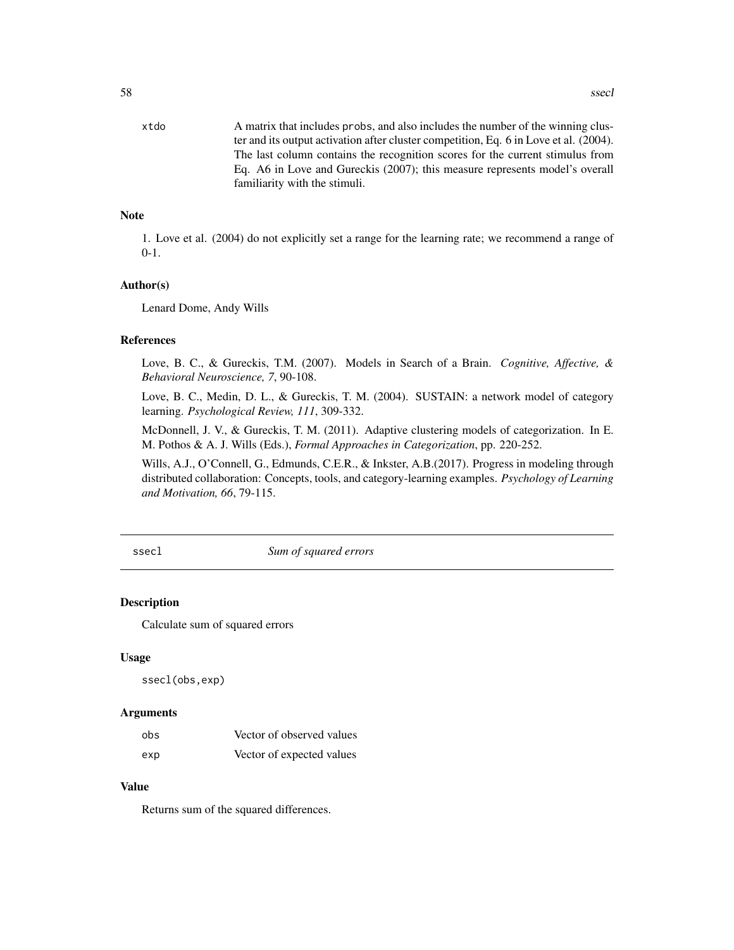<span id="page-57-0"></span>xtdo A matrix that includes probs, and also includes the number of the winning cluster and its output activation after cluster competition, Eq. 6 in Love et al. (2004). The last column contains the recognition scores for the current stimulus from Eq. A6 in Love and Gureckis (2007); this measure represents model's overall familiarity with the stimuli.

### **Note**

1. Love et al. (2004) do not explicitly set a range for the learning rate; we recommend a range of 0-1.

### Author(s)

Lenard Dome, Andy Wills

#### References

Love, B. C., & Gureckis, T.M. (2007). Models in Search of a Brain. *Cognitive, Affective, & Behavioral Neuroscience, 7*, 90-108.

Love, B. C., Medin, D. L., & Gureckis, T. M. (2004). SUSTAIN: a network model of category learning. *Psychological Review, 111*, 309-332.

McDonnell, J. V., & Gureckis, T. M. (2011). Adaptive clustering models of categorization. In E. M. Pothos & A. J. Wills (Eds.), *Formal Approaches in Categorization*, pp. 220-252.

Wills, A.J., O'Connell, G., Edmunds, C.E.R., & Inkster, A.B.(2017). Progress in modeling through distributed collaboration: Concepts, tools, and category-learning examples. *Psychology of Learning and Motivation, 66*, 79-115.

ssecl *Sum of squared errors*

### **Description**

Calculate sum of squared errors

#### Usage

ssecl(obs,exp)

### Arguments

| obs | Vector of observed values |
|-----|---------------------------|
| exp | Vector of expected values |

### Value

Returns sum of the squared differences.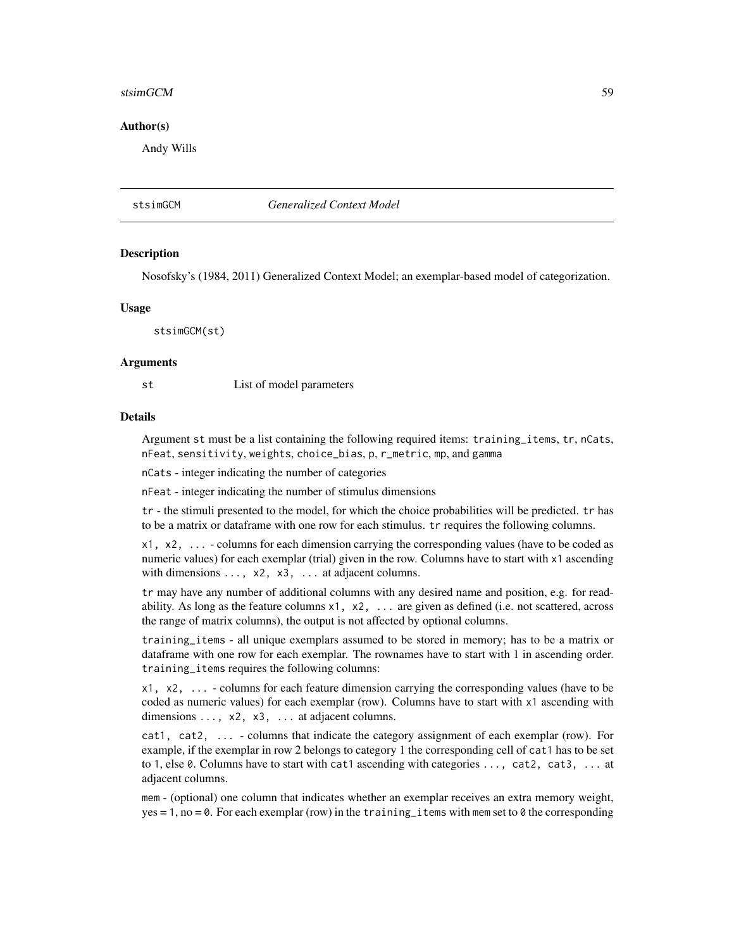#### <span id="page-58-0"></span>stsimGCM 59

#### Author(s)

Andy Wills

### stsimGCM *Generalized Context Model*

#### **Description**

Nosofsky's (1984, 2011) Generalized Context Model; an exemplar-based model of categorization.

#### Usage

stsimGCM(st)

#### Arguments

st List of model parameters

#### Details

Argument st must be a list containing the following required items: training\_items, tr, nCats, nFeat, sensitivity, weights, choice\_bias, p, r\_metric, mp, and gamma

nCats - integer indicating the number of categories

nFeat - integer indicating the number of stimulus dimensions

tr - the stimuli presented to the model, for which the choice probabilities will be predicted. tr has to be a matrix or dataframe with one row for each stimulus. tr requires the following columns.

x1, x2, ... - columns for each dimension carrying the corresponding values (have to be coded as numeric values) for each exemplar (trial) given in the row. Columns have to start with x1 ascending with dimensions  $\dots$ ,  $x^2$ ,  $x^3$ ,  $\dots$  at adjacent columns.

tr may have any number of additional columns with any desired name and position, e.g. for readability. As long as the feature columns  $x1$ ,  $x2$ ,  $\ldots$  are given as defined (i.e. not scattered, across the range of matrix columns), the output is not affected by optional columns.

training\_items - all unique exemplars assumed to be stored in memory; has to be a matrix or dataframe with one row for each exemplar. The rownames have to start with 1 in ascending order. training\_items requires the following columns:

x1, x2, ... - columns for each feature dimension carrying the corresponding values (have to be coded as numeric values) for each exemplar (row). Columns have to start with x1 ascending with dimensions ..., x2, x3, ... at adjacent columns.

cat1, cat2, ... - columns that indicate the category assignment of each exemplar (row). For example, if the exemplar in row 2 belongs to category 1 the corresponding cell of cat1 has to be set to 1, else 0. Columns have to start with cat1 ascending with categories ..., cat2, cat3, ... at adjacent columns.

mem - (optional) one column that indicates whether an exemplar receives an extra memory weight, yes = 1, no = 0. For each exemplar (row) in the training\_items with mem set to 0 the corresponding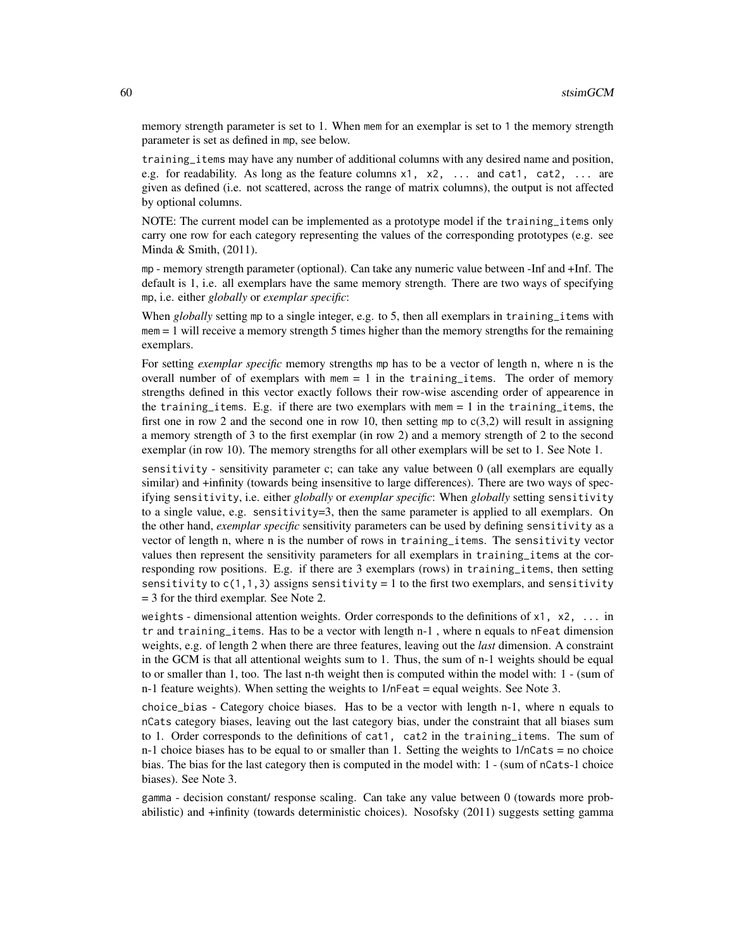memory strength parameter is set to 1. When mem for an exemplar is set to 1 the memory strength parameter is set as defined in mp, see below.

training\_items may have any number of additional columns with any desired name and position, e.g. for readability. As long as the feature columns  $x1$ ,  $x2$ , ... and cat1, cat2, ... are given as defined (i.e. not scattered, across the range of matrix columns), the output is not affected by optional columns.

NOTE: The current model can be implemented as a prototype model if the training\_items only carry one row for each category representing the values of the corresponding prototypes (e.g. see Minda & Smith, (2011).

mp - memory strength parameter (optional). Can take any numeric value between -Inf and +Inf. The default is 1, i.e. all exemplars have the same memory strength. There are two ways of specifying mp, i.e. either *globally* or *exemplar specific*:

When *globally* setting mp to a single integer, e.g. to 5, then all exemplars in training items with  $m = 1$  will receive a memory strength 5 times higher than the memory strengths for the remaining exemplars.

For setting *exemplar specific* memory strengths mp has to be a vector of length n, where n is the overall number of of exemplars with  $m = 1$  in the training items. The order of memory strengths defined in this vector exactly follows their row-wise ascending order of appearence in the training items. E.g. if there are two exemplars with mem  $= 1$  in the training items, the first one in row 2 and the second one in row 10, then setting mp to  $c(3,2)$  will result in assigning a memory strength of 3 to the first exemplar (in row 2) and a memory strength of 2 to the second exemplar (in row 10). The memory strengths for all other exemplars will be set to 1. See Note 1.

sensitivity - sensitivity parameter c; can take any value between 0 (all exemplars are equally similar) and +infinity (towards being insensitive to large differences). There are two ways of specifying sensitivity, i.e. either *globally* or *exemplar specific*: When *globally* setting sensitivity to a single value, e.g. sensitivity=3, then the same parameter is applied to all exemplars. On the other hand, *exemplar specific* sensitivity parameters can be used by defining sensitivity as a vector of length n, where n is the number of rows in training\_items. The sensitivity vector values then represent the sensitivity parameters for all exemplars in training\_items at the corresponding row positions. E.g. if there are 3 exemplars (rows) in training\_items, then setting sensitivity to  $c(1,1,3)$  assigns sensitivity = 1 to the first two exemplars, and sensitivity = 3 for the third exemplar. See Note 2.

weights - dimensional attention weights. Order corresponds to the definitions of  $x1$ ,  $x2$ , ... in tr and training\_items. Has to be a vector with length n-1 , where n equals to nFeat dimension weights, e.g. of length 2 when there are three features, leaving out the *last* dimension. A constraint in the GCM is that all attentional weights sum to 1. Thus, the sum of n-1 weights should be equal to or smaller than 1, too. The last n-th weight then is computed within the model with: 1 - (sum of  $n-1$  feature weights). When setting the weights to  $1/n$  Feat = equal weights. See Note 3.

choice\_bias - Category choice biases. Has to be a vector with length n-1, where n equals to nCats category biases, leaving out the last category bias, under the constraint that all biases sum to 1. Order corresponds to the definitions of cat1, cat2 in the training\_items. The sum of n-1 choice biases has to be equal to or smaller than 1. Setting the weights to  $1/nCats = no$  choice bias. The bias for the last category then is computed in the model with: 1 - (sum of nCats-1 choice biases). See Note 3.

gamma - decision constant/ response scaling. Can take any value between 0 (towards more probabilistic) and +infinity (towards deterministic choices). Nosofsky (2011) suggests setting gamma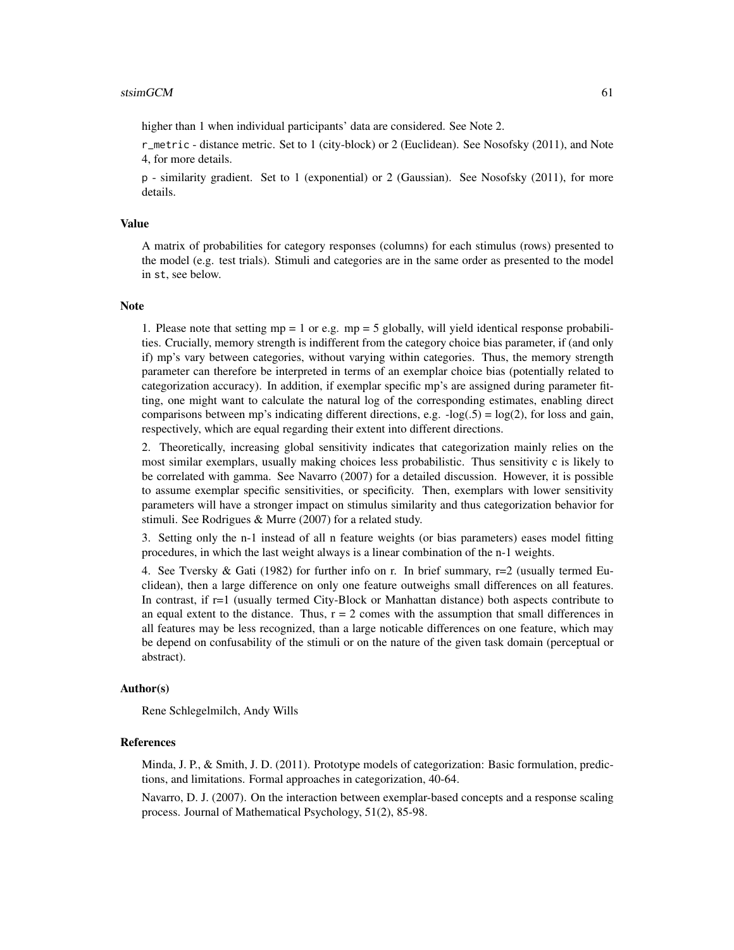higher than 1 when individual participants' data are considered. See Note 2.

r\_metric - distance metric. Set to 1 (city-block) or 2 (Euclidean). See Nosofsky (2011), and Note 4, for more details.

p - similarity gradient. Set to 1 (exponential) or 2 (Gaussian). See Nosofsky (2011), for more details.

#### Value

A matrix of probabilities for category responses (columns) for each stimulus (rows) presented to the model (e.g. test trials). Stimuli and categories are in the same order as presented to the model in st, see below.

#### Note

1. Please note that setting  $mp = 1$  or e.g.  $mp = 5$  globally, will yield identical response probabilities. Crucially, memory strength is indifferent from the category choice bias parameter, if (and only if) mp's vary between categories, without varying within categories. Thus, the memory strength parameter can therefore be interpreted in terms of an exemplar choice bias (potentially related to categorization accuracy). In addition, if exemplar specific mp's are assigned during parameter fitting, one might want to calculate the natural log of the corresponding estimates, enabling direct comparisons between mp's indicating different directions, e.g.  $-\log(0.5) = \log(2)$ , for loss and gain, respectively, which are equal regarding their extent into different directions.

2. Theoretically, increasing global sensitivity indicates that categorization mainly relies on the most similar exemplars, usually making choices less probabilistic. Thus sensitivity c is likely to be correlated with gamma. See Navarro (2007) for a detailed discussion. However, it is possible to assume exemplar specific sensitivities, or specificity. Then, exemplars with lower sensitivity parameters will have a stronger impact on stimulus similarity and thus categorization behavior for stimuli. See Rodrigues & Murre (2007) for a related study.

3. Setting only the n-1 instead of all n feature weights (or bias parameters) eases model fitting procedures, in which the last weight always is a linear combination of the n-1 weights.

4. See Tversky & Gati (1982) for further info on r. In brief summary,  $r=2$  (usually termed Euclidean), then a large difference on only one feature outweighs small differences on all features. In contrast, if r=1 (usually termed City-Block or Manhattan distance) both aspects contribute to an equal extent to the distance. Thus,  $r = 2$  comes with the assumption that small differences in all features may be less recognized, than a large noticable differences on one feature, which may be depend on confusability of the stimuli or on the nature of the given task domain (perceptual or abstract).

#### Author(s)

Rene Schlegelmilch, Andy Wills

#### References

Minda, J. P., & Smith, J. D. (2011). Prototype models of categorization: Basic formulation, predictions, and limitations. Formal approaches in categorization, 40-64.

Navarro, D. J. (2007). On the interaction between exemplar-based concepts and a response scaling process. Journal of Mathematical Psychology, 51(2), 85-98.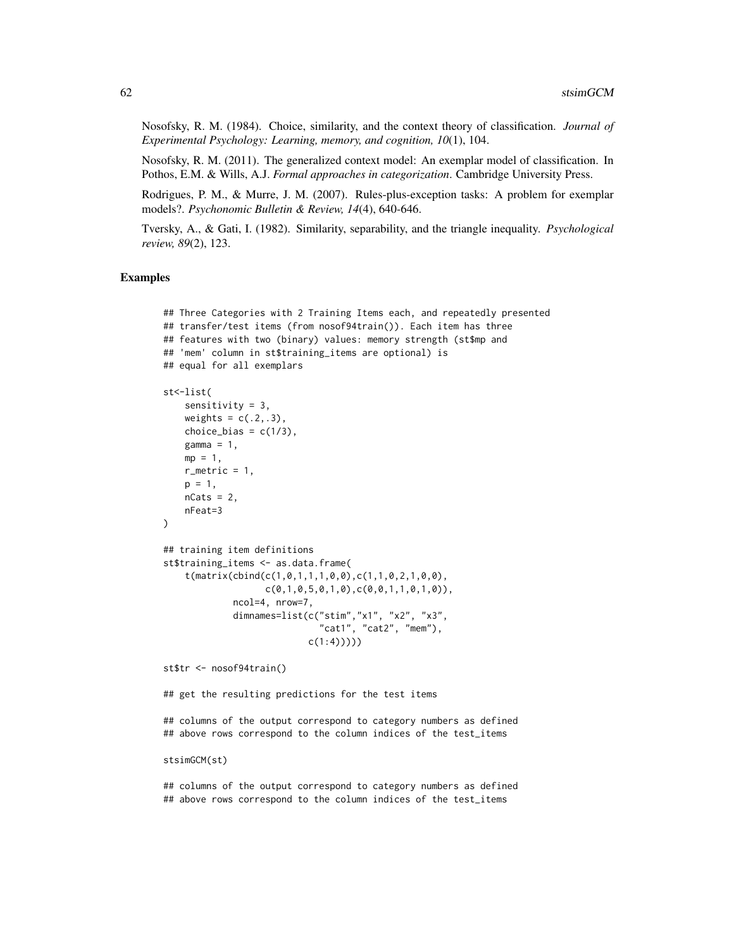Nosofsky, R. M. (1984). Choice, similarity, and the context theory of classification. *Journal of Experimental Psychology: Learning, memory, and cognition, 10*(1), 104.

Nosofsky, R. M. (2011). The generalized context model: An exemplar model of classification. In Pothos, E.M. & Wills, A.J. *Formal approaches in categorization*. Cambridge University Press.

Rodrigues, P. M., & Murre, J. M. (2007). Rules-plus-exception tasks: A problem for exemplar models?. *Psychonomic Bulletin & Review, 14*(4), 640-646.

Tversky, A., & Gati, I. (1982). Similarity, separability, and the triangle inequality. *Psychological review, 89*(2), 123.

### Examples

```
## Three Categories with 2 Training Items each, and repeatedly presented
## transfer/test items (from nosof94train()). Each item has three
## features with two (binary) values: memory strength (st$mp and
## 'mem' column in st$training_items are optional) is
## equal for all exemplars
st<-list(
    sensitivity = 3,
    weights = c(.2,.3),
   choice_bias = c(1/3),
   gamma = 1,
   mp = 1,
   r_metric = 1,
    p = 1,
    nCats = 2,
    nFeat=3
\lambda## training item definitions
st$training_items <- as.data.frame(
    t(matrix(cbind(c(1,0,1,1,1,0,0),c(1,1,0,2,1,0,0),
                   c(0,1,0,5,0,1,0), c(0,0,1,1,0,1,0)),ncol=4, nrow=7,
             dimnames=list(c("stim","x1", "x2", "x3",
                             "cat1", "cat2", "mem"),
                           c(1:4))))
st$tr <- nosof94train()
```
## get the resulting predictions for the test items

## columns of the output correspond to category numbers as defined ## above rows correspond to the column indices of the test\_items

stsimGCM(st)

## columns of the output correspond to category numbers as defined ## above rows correspond to the column indices of the test\_items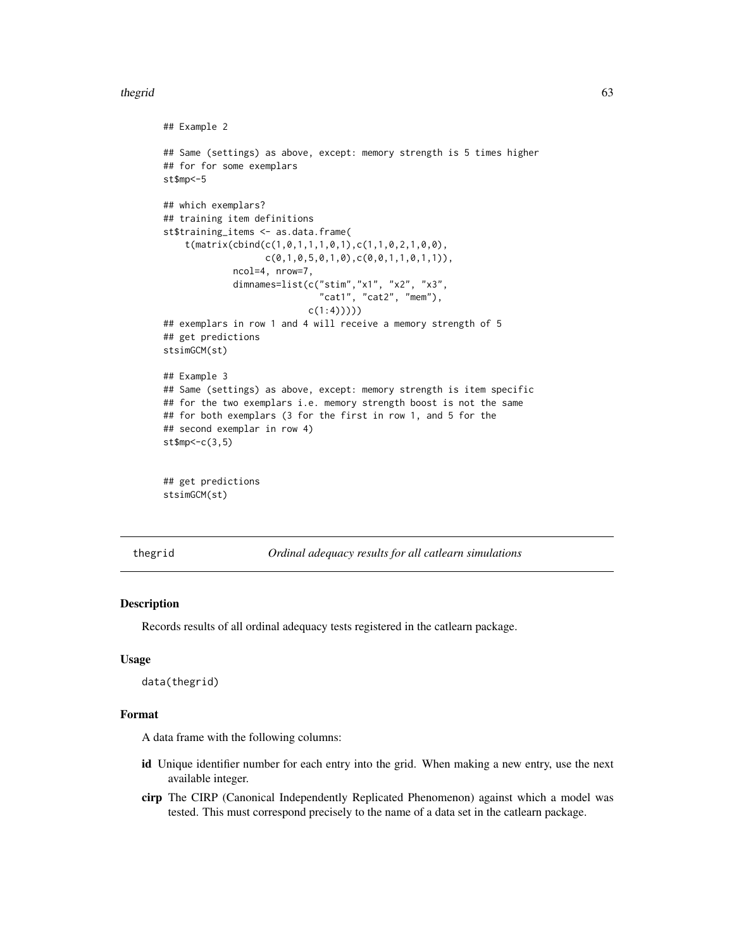#### <span id="page-62-0"></span>thegrid 63

```
## Example 2
## Same (settings) as above, except: memory strength is 5 times higher
## for for some exemplars
st$mp<-5
## which exemplars?
## training item definitions
st$training_items <- as.data.frame(
    t(matrix(cbind(c(1,0,1,1,1,0,1),c(1,1,0,2,1,0,0),
                   c(0,1,0,5,0,1,0), c(0,0,1,1,0,1,1)),ncol=4, nrow=7,
             dimnames=list(c("stim","x1", "x2", "x3",
                             "cat1", "cat2", "mem"),
                           c(1:4)))))
## exemplars in row 1 and 4 will receive a memory strength of 5
## get predictions
stsimGCM(st)
## Example 3
## Same (settings) as above, except: memory strength is item specific
## for the two exemplars i.e. memory strength boost is not the same
## for both exemplars (3 for the first in row 1, and 5 for the
## second exemplar in row 4)
st$mp<-c(3,5)
## get predictions
stsimGCM(st)
```
thegrid *Ordinal adequacy results for all catlearn simulations*

#### Description

Records results of all ordinal adequacy tests registered in the catlearn package.

#### Usage

data(thegrid)

#### Format

A data frame with the following columns:

- id Unique identifier number for each entry into the grid. When making a new entry, use the next available integer.
- cirp The CIRP (Canonical Independently Replicated Phenomenon) against which a model was tested. This must correspond precisely to the name of a data set in the catlearn package.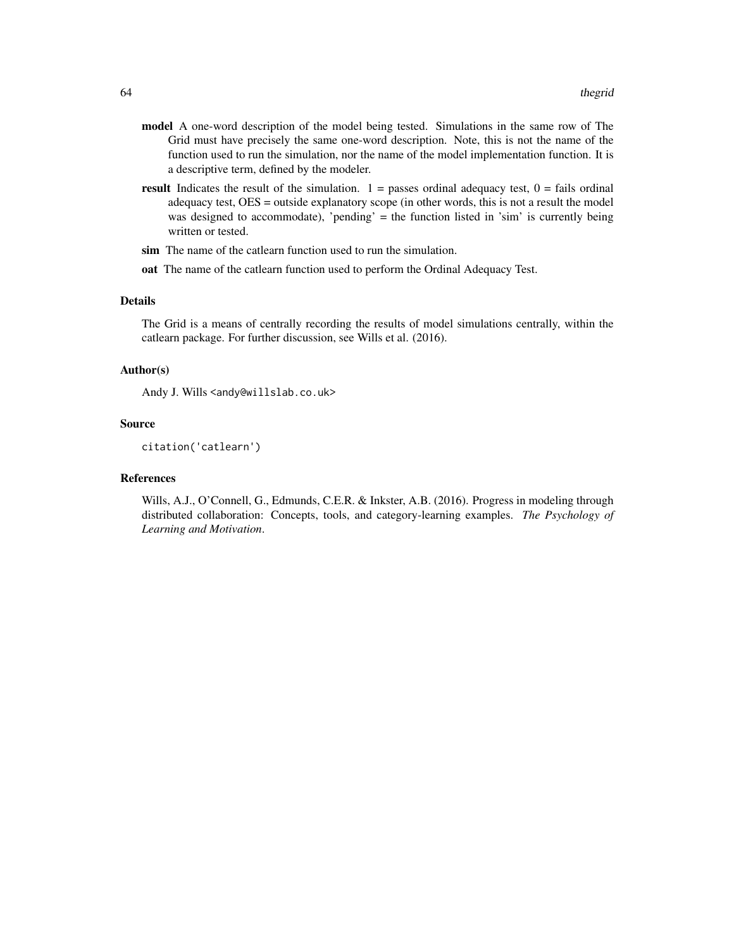- model A one-word description of the model being tested. Simulations in the same row of The Grid must have precisely the same one-word description. Note, this is not the name of the function used to run the simulation, nor the name of the model implementation function. It is a descriptive term, defined by the modeler.
- **result** Indicates the result of the simulation.  $1 =$  passes ordinal adequacy test,  $0 =$  fails ordinal adequacy test, OES = outside explanatory scope (in other words, this is not a result the model was designed to accommodate), 'pending' = the function listed in 'sim' is currently being written or tested.
- sim The name of the catlearn function used to run the simulation.
- oat The name of the catlearn function used to perform the Ordinal Adequacy Test.

### Details

The Grid is a means of centrally recording the results of model simulations centrally, within the catlearn package. For further discussion, see Wills et al. (2016).

#### Author(s)

Andy J. Wills <andy@willslab.co.uk>

#### Source

citation('catlearn')

#### References

Wills, A.J., O'Connell, G., Edmunds, C.E.R. & Inkster, A.B. (2016). Progress in modeling through distributed collaboration: Concepts, tools, and category-learning examples. *The Psychology of Learning and Motivation*.